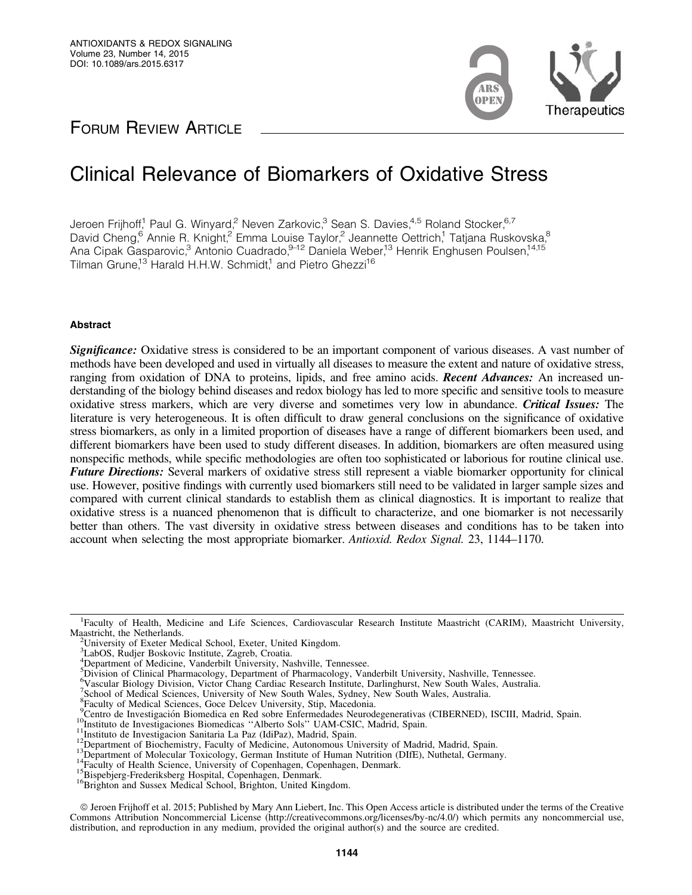

## FORUM REVIEW ARTICLE

# Clinical Relevance of Biomarkers of Oxidative Stress

Jeroen Frijhoff,<sup>1</sup> Paul G. Winyard,<sup>2</sup> Neven Zarkovic,<sup>3</sup> Sean S. Davies,<sup>4,5</sup> Roland Stocker,<sup>6,7</sup> David Cheng,<sup>6</sup> Annie R. Knight,<sup>2</sup> Emma Louise Taylor,<sup>2</sup> Jeannette Oettrich,<sup>1</sup> Tatjana Ruskovska,<sup>8</sup> Ana Cipak Gasparovic,<sup>3</sup> Antonio Cuadrado, 9-12 Daniela Weber,<sup>13</sup> Henrik Enghusen Poulsen, 14,15 Tilman Grune,<sup>13</sup> Harald H.H.W. Schmidt,<sup>1</sup> and Pietro Ghezzi<sup>16</sup>

## Abstract

Significance: Oxidative stress is considered to be an important component of various diseases. A vast number of methods have been developed and used in virtually all diseases to measure the extent and nature of oxidative stress, ranging from oxidation of DNA to proteins, lipids, and free amino acids. **Recent Advances:** An increased understanding of the biology behind diseases and redox biology has led to more specific and sensitive tools to measure oxidative stress markers, which are very diverse and sometimes very low in abundance. Critical Issues: The literature is very heterogeneous. It is often difficult to draw general conclusions on the significance of oxidative stress biomarkers, as only in a limited proportion of diseases have a range of different biomarkers been used, and different biomarkers have been used to study different diseases. In addition, biomarkers are often measured using nonspecific methods, while specific methodologies are often too sophisticated or laborious for routine clinical use. Future Directions: Several markers of oxidative stress still represent a viable biomarker opportunity for clinical use. However, positive findings with currently used biomarkers still need to be validated in larger sample sizes and compared with current clinical standards to establish them as clinical diagnostics. It is important to realize that oxidative stress is a nuanced phenomenon that is difficult to characterize, and one biomarker is not necessarily better than others. The vast diversity in oxidative stress between diseases and conditions has to be taken into account when selecting the most appropriate biomarker. *Antioxid. Redox Signal.* 23, 1144–1170.

4 Department of Medicine, Vanderbilt University, Nashville, Tennessee. 5 Division of Clinical Pharmacology, Department of Pharmacology, Vanderbilt University, Nashville, Tennessee.

<sup>9</sup>Centro de Investigación Biomedica en Red sobre Enfermedades Neurodegenerativas (CIBERNED), ISCIII, Madrid, Spain.

- 
- <sup>10</sup>Instituto de Investigaciones Biomedicas "Alberto Sols" UAM-CSIC, Madrid, Spain.<br><sup>11</sup>Instituto de Investigacion Sanitaria La Paz (IdiPaz), Madrid, Spain.<br><sup>12</sup>Department of Biochemistry, Faculty of Medicine, Autonomous

<sup>&</sup>lt;sup>1</sup>Faculty of Health, Medicine and Life Sciences, Cardiovascular Research Institute Maastricht (CARIM), Maastricht University, Maastricht, the Netherlands.

<sup>&</sup>lt;sup>2</sup>University of Exeter Medical School, Exeter, United Kingdom.

<sup>3</sup> LabOS, Rudjer Boskovic Institute, Zagreb, Croatia.

<sup>6</sup> Vascular Biology Division, Victor Chang Cardiac Research Institute, Darlinghurst, New South Wales, Australia.

<sup>&</sup>lt;sup>7</sup>School of Medical Sciences, University of New South Wales, Sydney, New South Wales, Australia.

<sup>&</sup>lt;sup>8</sup>Faculty of Medical Sciences, Goce Delcev University, Stip, Macedonia.

ª Jeroen Frijhoff et al. 2015; Published by Mary Ann Liebert, Inc. This Open Access article is distributed under the terms of the Creative Commons Attribution Noncommercial License (http://creativecommons.org/licenses/by-nc/4.0/) which permits any noncommercial use, distribution, and reproduction in any medium, provided the original author(s) and the source are credited.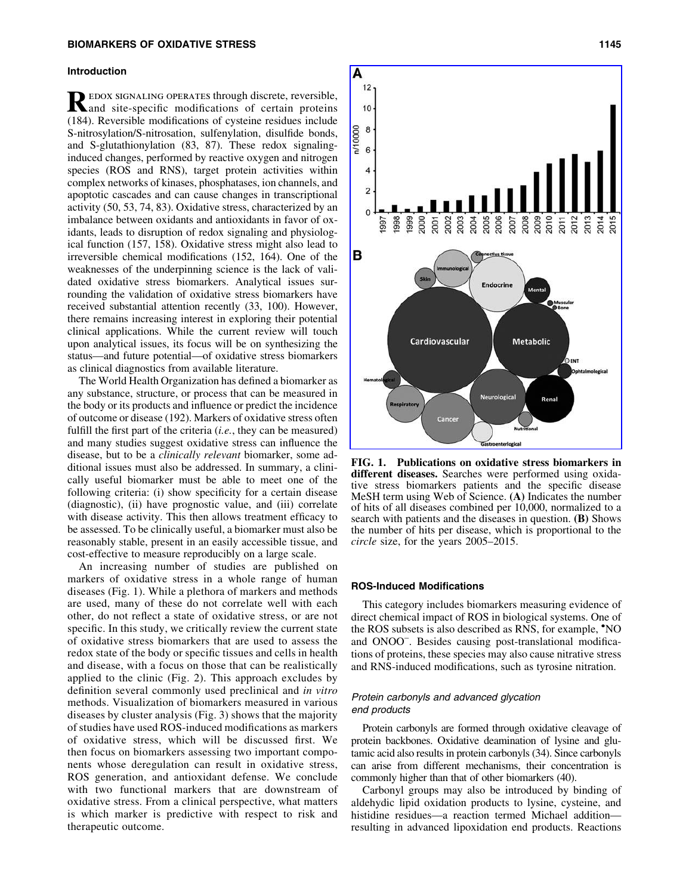#### Introduction

REDOX SIGNALING OPERATES through discrete, reversible,<br>and site-specific modifications of certain proteins (184). Reversible modifications of cysteine residues include S-nitrosylation/S-nitrosation, sulfenylation, disulfide bonds, and S-glutathionylation (83, 87). These redox signalinginduced changes, performed by reactive oxygen and nitrogen species (ROS and RNS), target protein activities within complex networks of kinases, phosphatases, ion channels, and apoptotic cascades and can cause changes in transcriptional activity (50, 53, 74, 83). Oxidative stress, characterized by an imbalance between oxidants and antioxidants in favor of oxidants, leads to disruption of redox signaling and physiological function (157, 158). Oxidative stress might also lead to irreversible chemical modifications (152, 164). One of the weaknesses of the underpinning science is the lack of validated oxidative stress biomarkers. Analytical issues surrounding the validation of oxidative stress biomarkers have received substantial attention recently (33, 100). However, there remains increasing interest in exploring their potential clinical applications. While the current review will touch upon analytical issues, its focus will be on synthesizing the status—and future potential—of oxidative stress biomarkers as clinical diagnostics from available literature.

The World Health Organization has defined a biomarker as any substance, structure, or process that can be measured in the body or its products and influence or predict the incidence of outcome or disease (192). Markers of oxidative stress often fulfill the first part of the criteria (*i.e.*, they can be measured) and many studies suggest oxidative stress can influence the disease, but to be a *clinically relevant* biomarker, some additional issues must also be addressed. In summary, a clinically useful biomarker must be able to meet one of the following criteria: (i) show specificity for a certain disease (diagnostic), (ii) have prognostic value, and (iii) correlate with disease activity. This then allows treatment efficacy to be assessed. To be clinically useful, a biomarker must also be reasonably stable, present in an easily accessible tissue, and cost-effective to measure reproducibly on a large scale.

An increasing number of studies are published on markers of oxidative stress in a whole range of human diseases (Fig. 1). While a plethora of markers and methods are used, many of these do not correlate well with each other, do not reflect a state of oxidative stress, or are not specific. In this study, we critically review the current state of oxidative stress biomarkers that are used to assess the redox state of the body or specific tissues and cells in health and disease, with a focus on those that can be realistically applied to the clinic (Fig. 2). This approach excludes by definition several commonly used preclinical and *in vitro* methods. Visualization of biomarkers measured in various diseases by cluster analysis (Fig. 3) shows that the majority of studies have used ROS-induced modifications as markers of oxidative stress, which will be discussed first. We then focus on biomarkers assessing two important components whose deregulation can result in oxidative stress, ROS generation, and antioxidant defense. We conclude with two functional markers that are downstream of oxidative stress. From a clinical perspective, what matters is which marker is predictive with respect to risk and therapeutic outcome.



FIG. 1. Publications on oxidative stress biomarkers in different diseases. Searches were performed using oxidative stress biomarkers patients and the specific disease MeSH term using Web of Science. (A) Indicates the number of hits of all diseases combined per 10,000, normalized to a search with patients and the diseases in question. (B) Shows the number of hits per disease, which is proportional to the *circle* size, for the years 2005–2015.

## ROS-Induced Modifications

This category includes biomarkers measuring evidence of direct chemical impact of ROS in biological systems. One of the ROS subsets is also described as RNS, for example, 'NO and ONOO<sup>-</sup>. Besides causing post-translational modifications of proteins, these species may also cause nitrative stress and RNS-induced modifications, such as tyrosine nitration.

## Protein carbonyls and advanced glycation end products

Protein carbonyls are formed through oxidative cleavage of protein backbones. Oxidative deamination of lysine and glutamic acid also results in protein carbonyls (34). Since carbonyls can arise from different mechanisms, their concentration is commonly higher than that of other biomarkers (40).

Carbonyl groups may also be introduced by binding of aldehydic lipid oxidation products to lysine, cysteine, and histidine residues—a reaction termed Michael addition resulting in advanced lipoxidation end products. Reactions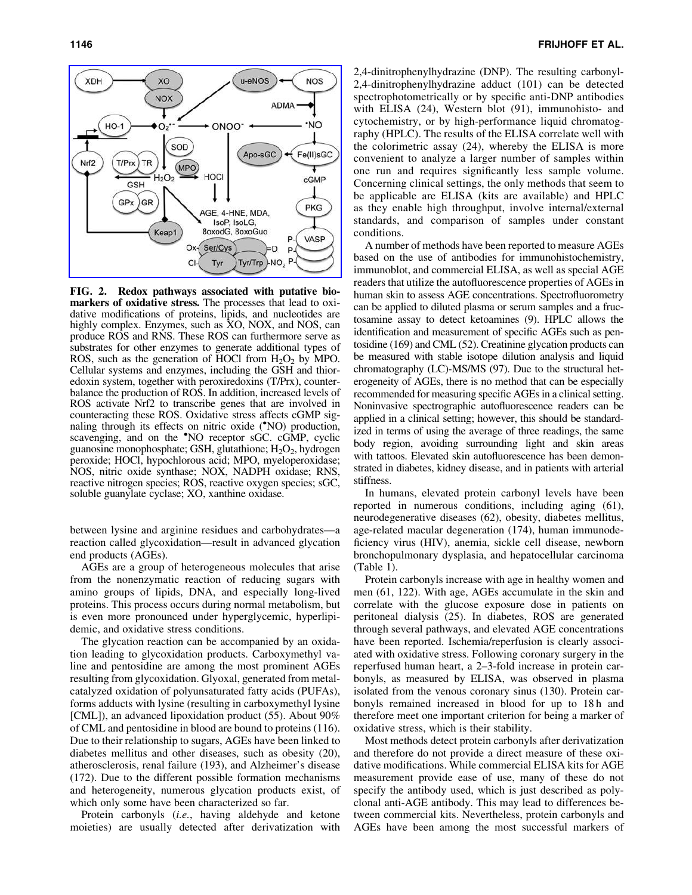

FIG. 2. Redox pathways associated with putative biomarkers of oxidative stress. The processes that lead to oxidative modifications of proteins, lipids, and nucleotides are highly complex. Enzymes, such as XO, NOX, and NOS, can produce ROS and RNS. These ROS can furthermore serve as substrates for other enzymes to generate additional types of ROS, such as the generation of HOCl from  $H_2O_2$  by MPO. Cellular systems and enzymes, including the GSH and thioredoxin system, together with peroxiredoxins (T/Prx), counterbalance the production of ROS. In addition, increased levels of ROS activate Nrf2 to transcribe genes that are involved in counteracting these ROS. Oxidative stress affects cGMP signaling through its effects on nitric oxide ('NO) production, scavenging, and on the **NO** receptor sGC. cGMP, cyclic guanosine monophosphate; GSH, glutathione;  $H_2O_2$ , hydrogen peroxide; HOCl, hypochlorous acid; MPO, myeloperoxidase; NOS, nitric oxide synthase; NOX, NADPH oxidase; RNS, reactive nitrogen species; ROS, reactive oxygen species; sGC, soluble guanylate cyclase; XO, xanthine oxidase.

between lysine and arginine residues and carbohydrates—a reaction called glycoxidation—result in advanced glycation end products (AGEs).

AGEs are a group of heterogeneous molecules that arise from the nonenzymatic reaction of reducing sugars with amino groups of lipids, DNA, and especially long-lived proteins. This process occurs during normal metabolism, but is even more pronounced under hyperglycemic, hyperlipidemic, and oxidative stress conditions.

The glycation reaction can be accompanied by an oxidation leading to glycoxidation products. Carboxymethyl valine and pentosidine are among the most prominent AGEs resulting from glycoxidation. Glyoxal, generated from metalcatalyzed oxidation of polyunsaturated fatty acids (PUFAs), forms adducts with lysine (resulting in carboxymethyl lysine [CML]), an advanced lipoxidation product (55). About 90% of CML and pentosidine in blood are bound to proteins (116). Due to their relationship to sugars, AGEs have been linked to diabetes mellitus and other diseases, such as obesity (20), atherosclerosis, renal failure (193), and Alzheimer's disease (172). Due to the different possible formation mechanisms and heterogeneity, numerous glycation products exist, of which only some have been characterized so far.

Protein carbonyls (*i.e.*, having aldehyde and ketone moieties) are usually detected after derivatization with 2,4-dinitrophenylhydrazine (DNP). The resulting carbonyl-2,4-dinitrophenylhydrazine adduct (101) can be detected spectrophotometrically or by specific anti-DNP antibodies with ELISA (24), Western blot (91), immunohisto- and cytochemistry, or by high-performance liquid chromatography (HPLC). The results of the ELISA correlate well with the colorimetric assay (24), whereby the ELISA is more convenient to analyze a larger number of samples within one run and requires significantly less sample volume. Concerning clinical settings, the only methods that seem to be applicable are ELISA (kits are available) and HPLC as they enable high throughput, involve internal/external standards, and comparison of samples under constant conditions.

A number of methods have been reported to measure AGEs based on the use of antibodies for immunohistochemistry, immunoblot, and commercial ELISA, as well as special AGE readers that utilize the autofluorescence properties of AGEs in human skin to assess AGE concentrations. Spectrofluorometry can be applied to diluted plasma or serum samples and a fructosamine assay to detect ketoamines (9). HPLC allows the identification and measurement of specific AGEs such as pentosidine (169) and CML (52). Creatinine glycation products can be measured with stable isotope dilution analysis and liquid chromatography (LC)-MS/MS (97). Due to the structural heterogeneity of AGEs, there is no method that can be especially recommended for measuring specific AGEs in a clinical setting. Noninvasive spectrographic autofluorescence readers can be applied in a clinical setting; however, this should be standardized in terms of using the average of three readings, the same body region, avoiding surrounding light and skin areas with tattoos. Elevated skin autofluorescence has been demonstrated in diabetes, kidney disease, and in patients with arterial stiffness.

In humans, elevated protein carbonyl levels have been reported in numerous conditions, including aging (61), neurodegenerative diseases (62), obesity, diabetes mellitus, age-related macular degeneration (174), human immunodeficiency virus (HIV), anemia, sickle cell disease, newborn bronchopulmonary dysplasia, and hepatocellular carcinoma (Table 1).

Protein carbonyls increase with age in healthy women and men (61, 122). With age, AGEs accumulate in the skin and correlate with the glucose exposure dose in patients on peritoneal dialysis (25). In diabetes, ROS are generated through several pathways, and elevated AGE concentrations have been reported. Ischemia/reperfusion is clearly associated with oxidative stress. Following coronary surgery in the reperfused human heart, a 2–3-fold increase in protein carbonyls, as measured by ELISA, was observed in plasma isolated from the venous coronary sinus (130). Protein carbonyls remained increased in blood for up to 18h and therefore meet one important criterion for being a marker of oxidative stress, which is their stability.

Most methods detect protein carbonyls after derivatization and therefore do not provide a direct measure of these oxidative modifications. While commercial ELISA kits for AGE measurement provide ease of use, many of these do not specify the antibody used, which is just described as polyclonal anti-AGE antibody. This may lead to differences between commercial kits. Nevertheless, protein carbonyls and AGEs have been among the most successful markers of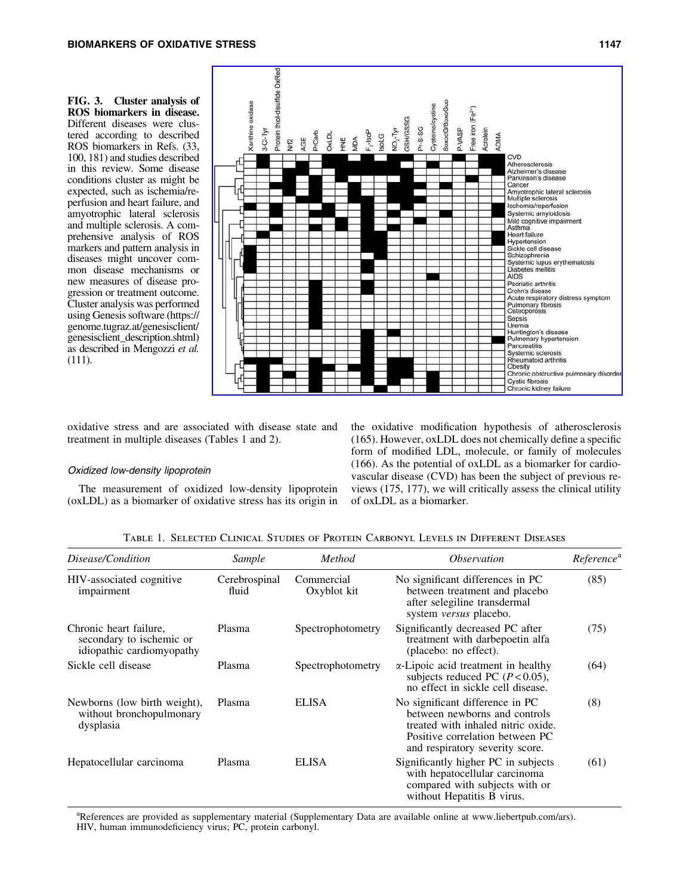FIG. 3. Cluster analysis of ROS biomarkers in disease. Different diseases were clustered according to described ROS biomarkers in Refs. (33, 100, 181) and studies described in this review. Some disease conditions cluster as might be expected, such as ischemia/reperfusion and heart failure, and amyotrophic lateral sclerosis and multiple sclerosis. A comprehensive analysis of ROS markers and pattern analysis in diseases might uncover common disease mechanisms or new measures of disease progression or treatment outcome. Cluster analysis was performed using Genesis software (https:// genome.tugraz.at/genesisclient/ genesisclient\_description.shtml) as described in Mengozzi *et al.* (111).



oxidative stress and are associated with disease state and treatment in multiple diseases (Tables 1 and 2).

#### Oxidized low-density lipoprotein

The measurement of oxidized low-density lipoprotein (oxLDL) as a biomarker of oxidative stress has its origin in the oxidative modification hypothesis of atherosclerosis (165). However, oxLDL does not chemically define a specific form of modified LDL, molecule, or family of molecules (166). As the potential of oxLDL as a biomarker for cardiovascular disease (CVD) has been the subject of previous reviews (175, 177), we will critically assess the clinical utility of oxLDL as a biomarker.

Table 1. Selected Clinical Studies of Protein Carbonyl Levels in Different Diseases

| Disease/Condition                                                               | Sample                 | Method                    | <i><b>Observation</b></i>                                                                                                                                                    | Reference <sup>a</sup> |
|---------------------------------------------------------------------------------|------------------------|---------------------------|------------------------------------------------------------------------------------------------------------------------------------------------------------------------------|------------------------|
| HIV-associated cognitive<br>impairment                                          | Cerebrospinal<br>fluid | Commercial<br>Oxyblot kit | No significant differences in PC<br>between treatment and placebo<br>after selegiline transdermal<br>system <i>versus</i> placebo.                                           | (85)                   |
| Chronic heart failure,<br>secondary to ischemic or<br>idiopathic cardiomyopathy | Plasma                 | Spectrophotometry         | Significantly decreased PC after<br>treatment with darbepoetin alfa<br>(placebo: no effect).                                                                                 | (75)                   |
| Sickle cell disease                                                             | Plasma                 | Spectrophotometry         | $\alpha$ -Lipoic acid treatment in healthy<br>subjects reduced PC $(P<0.05)$ ,<br>no effect in sickle cell disease.                                                          | (64)                   |
| Newborns (low birth weight),<br>without bronchopulmonary<br>dysplasia           | Plasma                 | <b>ELISA</b>              | No significant difference in PC<br>between newborns and controls<br>treated with inhaled nitric oxide.<br>Positive correlation between PC<br>and respiratory severity score. | (8)                    |
| Hepatocellular carcinoma                                                        | Plasma                 | <b>ELISA</b>              | Significantly higher PC in subjects<br>with hepatocellular carcinoma<br>compared with subjects with or<br>without Hepatitis B virus.                                         | (61)                   |

<sup>a</sup>References are provided as supplementary material (Supplementary Data are available online at www.liebertpub.com/ars). HIV, human immunodeficiency virus; PC, protein carbonyl.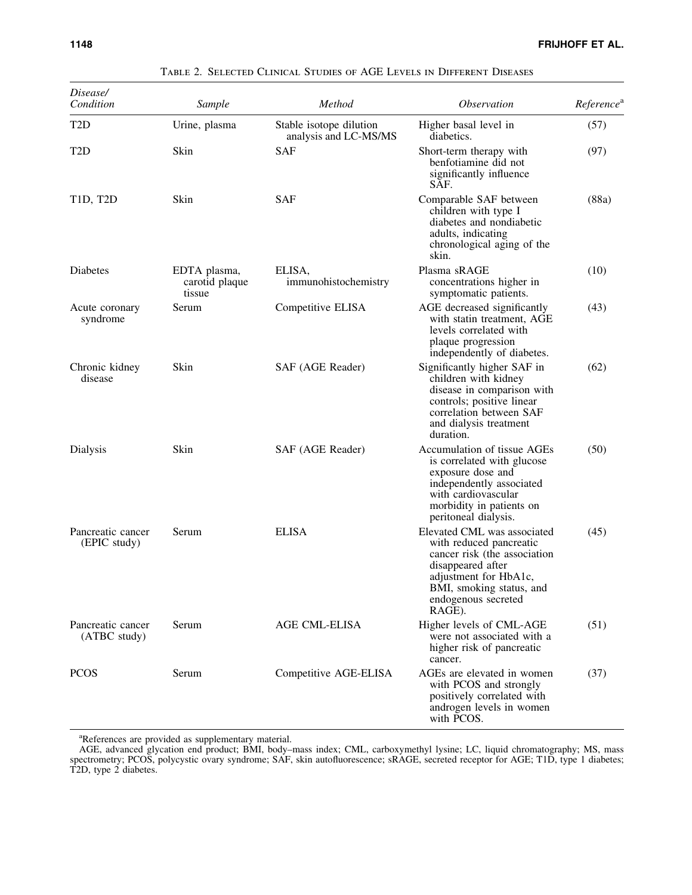| Disease/<br>Condition             | Sample                                   | Method                                           | <i><b>Observation</b></i>                                                                                                                                                                         | Reference <sup>a</sup> |
|-----------------------------------|------------------------------------------|--------------------------------------------------|---------------------------------------------------------------------------------------------------------------------------------------------------------------------------------------------------|------------------------|
| T <sub>2</sub> D                  | Urine, plasma                            | Stable isotope dilution<br>analysis and LC-MS/MS | Higher basal level in<br>diabetics.                                                                                                                                                               | (57)                   |
| T <sub>2</sub> D                  | Skin                                     | <b>SAF</b>                                       | Short-term therapy with<br>benfotiamine did not<br>significantly influence<br>SAF.                                                                                                                | (97)                   |
| <b>T1D, T2D</b>                   | Skin                                     | <b>SAF</b>                                       | Comparable SAF between<br>children with type I<br>diabetes and nondiabetic<br>adults, indicating<br>chronological aging of the<br>skin.                                                           | (88a)                  |
| Diabetes                          | EDTA plasma,<br>carotid plaque<br>tissue | ELISA.<br>immunohistochemistry                   | Plasma sRAGE<br>concentrations higher in<br>symptomatic patients.                                                                                                                                 | (10)                   |
| Acute coronary<br>syndrome        | Serum                                    | Competitive ELISA                                | AGE decreased significantly<br>with statin treatment, AGE<br>levels correlated with<br>plaque progression<br>independently of diabetes.                                                           | (43)                   |
| Chronic kidney<br>disease         | Skin                                     | SAF (AGE Reader)                                 | Significantly higher SAF in<br>children with kidney<br>disease in comparison with<br>controls; positive linear<br>correlation between SAF<br>and dialysis treatment<br>duration.                  | (62)                   |
| Dialysis                          | Skin                                     | SAF (AGE Reader)                                 | Accumulation of tissue AGEs<br>is correlated with glucose<br>exposure dose and<br>independently associated<br>with cardiovascular<br>morbidity in patients on<br>peritoneal dialysis.             | (50)                   |
| Pancreatic cancer<br>(EPIC study) | Serum                                    | <b>ELISA</b>                                     | Elevated CML was associated<br>with reduced pancreatic<br>cancer risk (the association<br>disappeared after<br>adjustment for HbA1c,<br>BMI, smoking status, and<br>endogenous secreted<br>RAGE). | (45)                   |
| Pancreatic cancer<br>(ATBC study) | Serum                                    | <b>AGE CML-ELISA</b>                             | Higher levels of CML-AGE<br>were not associated with a<br>higher risk of pancreatic<br>cancer.                                                                                                    | (51)                   |
| <b>PCOS</b>                       | Serum                                    | Competitive AGE-ELISA                            | AGEs are elevated in women<br>with PCOS and strongly<br>positively correlated with<br>androgen levels in women<br>with PCOS.                                                                      | (37)                   |

Table 2. Selected Clinical Studies of AGE Levels in Different Diseases

<sup>a</sup>References are provided as supplementary material.

AGE, advanced glycation end product; BMI, body–mass index; CML, carboxymethyl lysine; LC, liquid chromatography; MS, mass spectrometry; PCOS, polycystic ovary syndrome; SAF, skin autofluorescence; sRAGE, secreted receptor for AGE; T1D, type 1 diabetes; T2D, type 2 diabetes.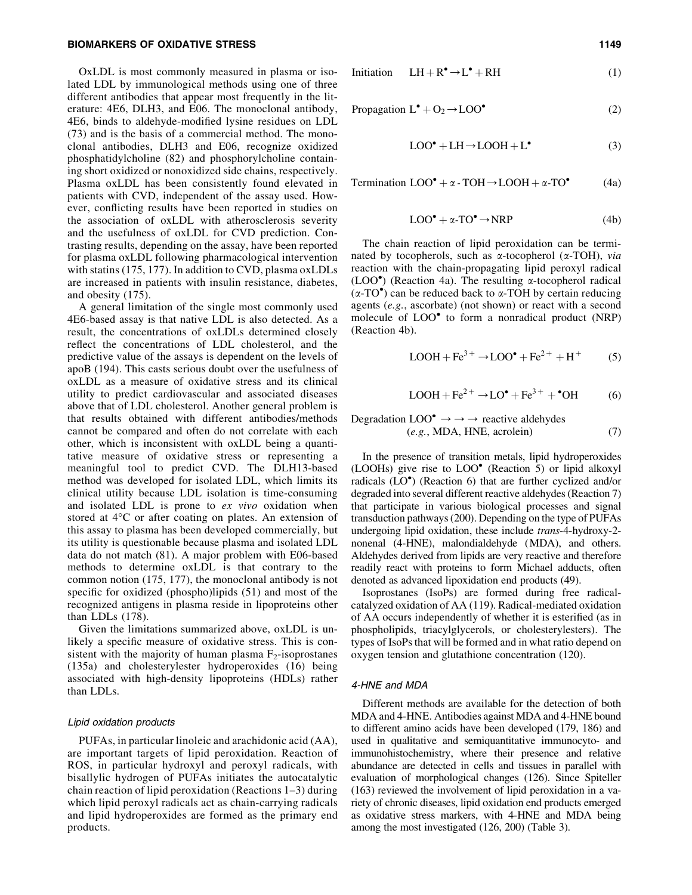#### BIOMARKERS OF OXIDATIVE STRESS 1149

OxLDL is most commonly measured in plasma or isolated LDL by immunological methods using one of three different antibodies that appear most frequently in the literature: 4E6, DLH3, and E06. The monoclonal antibody, 4E6, binds to aldehyde-modified lysine residues on LDL (73) and is the basis of a commercial method. The monoclonal antibodies, DLH3 and E06, recognize oxidized phosphatidylcholine (82) and phosphorylcholine containing short oxidized or nonoxidized side chains, respectively. Plasma oxLDL has been consistently found elevated in patients with CVD, independent of the assay used. However, conflicting results have been reported in studies on the association of oxLDL with atherosclerosis severity and the usefulness of oxLDL for CVD prediction. Contrasting results, depending on the assay, have been reported for plasma oxLDL following pharmacological intervention with statins (175, 177). In addition to CVD, plasma oxLDLs are increased in patients with insulin resistance, diabetes, and obesity (175).

A general limitation of the single most commonly used 4E6-based assay is that native LDL is also detected. As a result, the concentrations of oxLDLs determined closely reflect the concentrations of LDL cholesterol, and the predictive value of the assays is dependent on the levels of apoB (194). This casts serious doubt over the usefulness of oxLDL as a measure of oxidative stress and its clinical utility to predict cardiovascular and associated diseases above that of LDL cholesterol. Another general problem is that results obtained with different antibodies/methods cannot be compared and often do not correlate with each other, which is inconsistent with oxLDL being a quantitative measure of oxidative stress or representing a meaningful tool to predict CVD. The DLH13-based method was developed for isolated LDL, which limits its clinical utility because LDL isolation is time-consuming and isolated LDL is prone to *ex vivo* oxidation when stored at 4°C or after coating on plates. An extension of this assay to plasma has been developed commercially, but its utility is questionable because plasma and isolated LDL data do not match (81). A major problem with E06-based methods to determine oxLDL is that contrary to the common notion (175, 177), the monoclonal antibody is not specific for oxidized (phospho)lipids (51) and most of the recognized antigens in plasma reside in lipoproteins other than LDLs (178).

Given the limitations summarized above, oxLDL is unlikely a specific measure of oxidative stress. This is consistent with the majority of human plasma  $F_2$ -isoprostanes (135a) and cholesterylester hydroperoxides (16) being associated with high-density lipoproteins (HDLs) rather than LDLs.

#### Lipid oxidation products

PUFAs, in particular linoleic and arachidonic acid (AA), are important targets of lipid peroxidation. Reaction of ROS, in particular hydroxyl and peroxyl radicals, with bisallylic hydrogen of PUFAs initiates the autocatalytic chain reaction of lipid peroxidation (Reactions 1–3) during which lipid peroxyl radicals act as chain-carrying radicals and lipid hydroperoxides are formed as the primary end products.

$$
Initialization \quad LH + R^{\bullet} \to L^{\bullet} + RH \tag{1}
$$

$$
Propagation L^{\bullet} + O_2 \rightarrow LOO^{\bullet}
$$
 (2)

$$
LOO^{\bullet} + LH \rightarrow LOOH + L^{\bullet}
$$
 (3)

Termination  $LOO^{\bullet} + \alpha$  - TOH  $\rightarrow$  LOOH +  $\alpha$ -TO<sup>\*</sup> (4a)

$$
LOO^{\bullet} + \alpha \text{-} TO^{\bullet} \to \text{NRP}
$$
 (4b)

The chain reaction of lipid peroxidation can be terminated by tocopherols, such as a-tocopherol (a-TOH), *via* reaction with the chain-propagating lipid peroxyl radical  $(LOO<sup>o</sup>)$  (Reaction 4a). The resulting  $\alpha$ -tocopherol radical  $(\alpha$ -TO<sup>o</sup>) can be reduced back to  $\alpha$ -TOH by certain reducing agents (*e.g.*, ascorbate) (not shown) or react with a second molecule of LOO<sup>•</sup> to form a nonradical product (NRP) (Reaction 4b).

$$
LOOH + Fe3+ \rightarrow LOO• + Fe2+ + H+
$$
 (5)

$$
LOOH + Fe2+ \rightarrow LO• + Fe3+ + •OH
$$
 (6)

Degradation 
$$
LOO^{\bullet} \rightarrow \rightarrow \rightarrow
$$
 reactive aldehyde  
\n(*e.g.*, MDA, HNE, acrolein)

\n(7)

In the presence of transition metals, lipid hydroperoxides  $(LOOHs)$  give rise to  $LOO<sup>•</sup>$  (Reaction 5) or lipid alkoxyl radicals (LO<sup>\*</sup>) (Reaction 6) that are further cyclized and/or degraded into several different reactive aldehydes (Reaction 7) that participate in various biological processes and signal transduction pathways (200). Depending on the type of PUFAs undergoing lipid oxidation, these include *trans*-4-hydroxy-2 nonenal (4-HNE), malondialdehyde (MDA), and others. Aldehydes derived from lipids are very reactive and therefore readily react with proteins to form Michael adducts, often denoted as advanced lipoxidation end products (49).

Isoprostanes (IsoPs) are formed during free radicalcatalyzed oxidation of AA (119). Radical-mediated oxidation of AA occurs independently of whether it is esterified (as in phospholipids, triacylglycerols, or cholesterylesters). The types of IsoPs that will be formed and in what ratio depend on oxygen tension and glutathione concentration (120).

#### 4-HNE and MDA

Different methods are available for the detection of both MDA and 4-HNE. Antibodies against MDA and 4-HNE bound to different amino acids have been developed (179, 186) and used in qualitative and semiquantitative immunocyto- and immunohistochemistry, where their presence and relative abundance are detected in cells and tissues in parallel with evaluation of morphological changes (126). Since Spiteller (163) reviewed the involvement of lipid peroxidation in a variety of chronic diseases, lipid oxidation end products emerged as oxidative stress markers, with 4-HNE and MDA being among the most investigated (126, 200) (Table 3).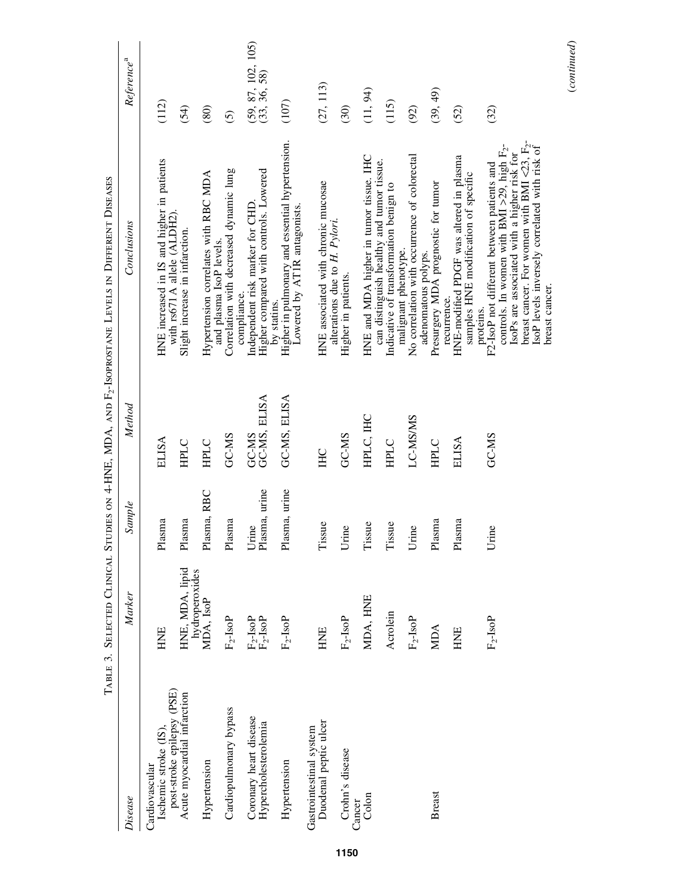|                                                           | TABLE 3. SELECTED CLINICAL                              |                        |                       | STUDIES ON 4-HNE, MDA, AND F <sub>2</sub> -ISOPROSTANE LEVELS IN DIFFERENT DISEASES                                                                     |                                        |
|-----------------------------------------------------------|---------------------------------------------------------|------------------------|-----------------------|---------------------------------------------------------------------------------------------------------------------------------------------------------|----------------------------------------|
| Disease                                                   | Marker                                                  | Sample                 | Method                | Conclusions                                                                                                                                             | Reference <sup>a</sup>                 |
| Ischemic stroke (IS).<br>Cardiovascular                   | HNE                                                     | Plasma                 | <b>ELISA</b>          | HNE increased in IS and higher in patients                                                                                                              | (112)                                  |
| post-stroke epilepsy (PSE)<br>Acute myocardial infarction | HNE, MDA, lipid                                         | Plasma                 | <b>HPLC</b>           | with rs671 A allele (ALDH2).<br>Slight increase in infarction.                                                                                          | (54)                                   |
| Hypertension                                              | hydroperoxides<br>MDA, IsoP                             | Plasma, RBC            | <b>HPLC</b>           | Hypertension correlates with RBC MDA                                                                                                                    | (80)                                   |
| Cardiopulmonary bypass                                    | $\rm F_2\mbox{-}IsoP$                                   | Plasma                 | GC-MS                 | Correlation with decreased dynamic lung<br>and plasma IsoP levels.                                                                                      | $\widehat{\odot}$                      |
| Coronary heart disease<br>Hypercholesterolemia            | $\frac{\text{F}_2\text{-Isop}}{\text{F}_2\text{-Isop}}$ | Plasma, urine<br>Urine | GC-MS, ELISA<br>GC-MS | Higher compared with controls. Lowered<br>Independent risk marker for CHD<br>compliance.                                                                | $(59, 87, 102, 105)$<br>$(33, 36, 58)$ |
| Hypertension                                              | $F_2$ -IsoP                                             | Plasma, urine          | GC-MS, ELISA          | Higher in pulmonary and essential hypertension.<br>Lowered by AT1R antagonists.<br>by statins.                                                          | (107)                                  |
| Duodenal peptic ulcer<br>Gastrointestinal system          | HNE                                                     | Tissue                 | <b>IHC</b>            | HNE associated with chronic mucosae                                                                                                                     | (27, 113)                              |
| Crohn's disease                                           | $\rm F_2\mbox{-}IsoP$                                   | Urine                  | GC-MS                 | alterations due to H. Pylori.<br>Higher in patients.                                                                                                    | (30)                                   |
| Colon<br>Cancer                                           | MDA, HNE                                                | Tissue                 | HPLC, IHC             | HNE and MDA higher in tumor tissue. IHC                                                                                                                 | (11, 94)                               |
|                                                           | Acrolein                                                | Tissue                 | <b>HPLC</b>           | can distinguish healthy and tumor tissue.<br>Indicative of transformation benign to                                                                     | (115)                                  |
|                                                           | $F_2$ -IsoP                                             | Urine                  | LC-MS/MS              | No correlation with occurrence of colorectal<br>malignant phenotype.                                                                                    | (92)                                   |
| <b>Breast</b>                                             | <b>MIDA</b>                                             | Plasma                 | <b>HPLC</b>           | Presurgery MDA prognostic for tumor<br>adenomatous polyps.                                                                                              | (39, 49)                               |
|                                                           | HNE                                                     | Plasma                 | <b>ELISA</b>          | HNE-modified PDGF was altered in plasma<br>samples HNE modification of specific<br>recurrence.                                                          | (52)                                   |
|                                                           | $F_2$ -IsoP                                             | Urine                  | GC-MS                 | controls. In women with BMI >29, high $F_2$ -<br>IsoPs are associated with a higher risk for<br>F2-IsoP not different between patients and<br>proteins. | (32)                                   |
|                                                           |                                                         |                        |                       | breast cancer. For women with BMI $\langle 23, F_2 \rangle$<br>IsoP levels inversely correlated with risk of<br>breast cancer.                          |                                        |

(*continued*)

 $\label{eq:constrained} (continued)$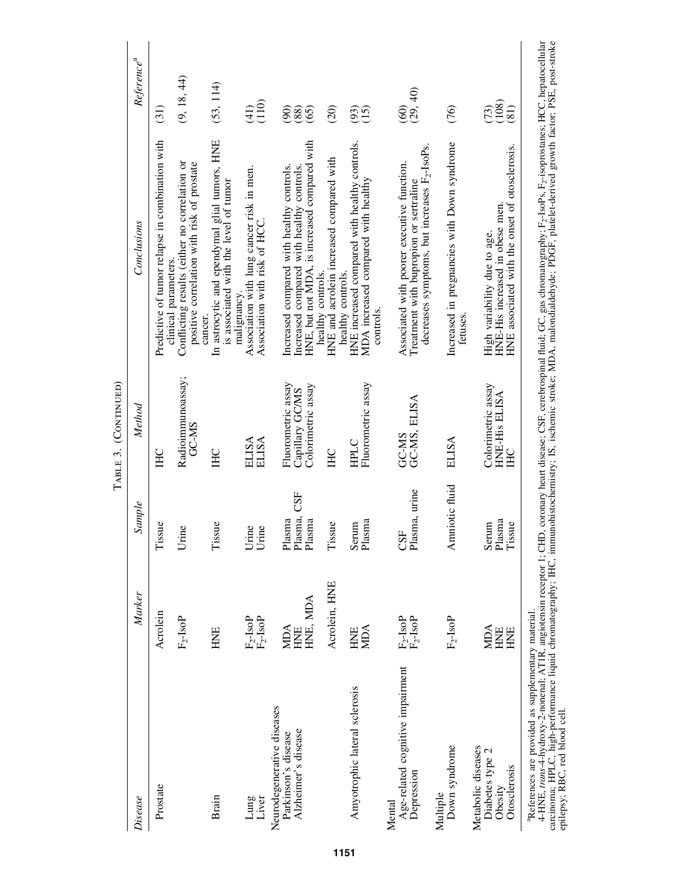|                                                                          |                                                                               |                                 | TABLE 3. (CONTINUED)                                        |                                                                                                                                                                                                                                 |                                                     |
|--------------------------------------------------------------------------|-------------------------------------------------------------------------------|---------------------------------|-------------------------------------------------------------|---------------------------------------------------------------------------------------------------------------------------------------------------------------------------------------------------------------------------------|-----------------------------------------------------|
| Disease                                                                  | Marker                                                                        | Sample                          | Method                                                      | Conclusions                                                                                                                                                                                                                     | Reference <sup>a</sup>                              |
| Prostate                                                                 | Acrolein                                                                      | Tissue                          | <b>IHC</b>                                                  | Predictive of tumor relapse in combination with<br>clinical parameters.                                                                                                                                                         | (31)                                                |
|                                                                          | $F_2$ -IsoP                                                                   | Urine                           | Radioimmunoassay;<br>GC-MS                                  | Conflicting results (either no correlation or<br>positive correlation with risk of prostate                                                                                                                                     | (9, 18, 44)                                         |
| Brain                                                                    | HNE                                                                           | Tissue                          | <b>IHC</b>                                                  | In astrocytic and ependymal glial tumors, HNE<br>is associated with the level of tumor<br>cancer.                                                                                                                               | (53, 114)                                           |
| Liver<br>Lung                                                            | $\begin{array}{l} \rm F_{2}\text{-}IsoP\\ \rm F_{2}\text{-}IsoP \end{array}$  | Urine<br>Urine                  | <b>ELISA</b><br><b>ELISA</b>                                | Association with lung cancer risk in men.<br>Association with risk of HCC.<br>malignancy.                                                                                                                                       | $\widehat{\Xi}^{\ominus}_{\Xi}$                     |
| Neurodegenerative diseases<br>Alzheimer's disease<br>Parkinson's disease | HNE, MDA<br><b>MDA</b><br>HNE                                                 | Plasma, CSF<br>Plasma<br>Plasma | Fluorometric assay<br>Colorimetric assay<br>Capillary GC/MS | HNE, but not MDA, is increased compared with<br>Increased compared with healthy controls.<br>Increased compared with healthy controls.                                                                                          | $\widehat{5}$<br>(65)<br>$\left(88\right)$          |
|                                                                          | Acrolein, HNE                                                                 | Tissue                          | <b>IHC</b>                                                  | HNE and acrolein increased compared with<br>healthy controls.<br>healthy controls.                                                                                                                                              | $\widehat{c}$                                       |
| Amyotrophic lateral sclerosis                                            | <b>MIDA</b><br>HNE                                                            | Plasma<br>Serum                 | Fluorometric assay<br>HPLC                                  | HNE increased compared with healthy controls.<br>MDA increased compared with healthy<br>controls.                                                                                                                               | 35<br>35                                            |
| Age-related cognitive impairment<br>Depression<br>Mental                 | $\begin{array}{l} \rm F_{2}\mbox{-}IsoP \\ \rm F_{2}\mbox{-}IsoP \end{array}$ | Plasma, urine<br><b>CSF</b>     | GC-MS, ELISA<br>GC-MS                                       | decreases symptoms, but increases F <sub>2</sub> -IsoPs.<br>Associated with poorer executive function.<br>Treatment with bupropion or sertraline                                                                                | (29, 40)<br>$\widehat{60}$                          |
| Down syndrome<br>Multiple                                                | $F_2$ -IsoP                                                                   | Amniotic fluid                  | <b>ELISA</b>                                                | Increased in pregnancies with Down syndrome<br>fetuses.                                                                                                                                                                         | (76)                                                |
| Metabolic diseases<br>Diabetes type 2<br>Otosclerosis<br>Obesity         | <b>MDA</b><br>HNE<br>HNE                                                      | Plasma<br>Serum<br>Tissue       | Colorimetric assay<br>HNE-His ELISA<br>E <sub>C</sub>       | HNE associated with the onset of otosclerosis.<br>HNE-His increased in obese men.<br>High variability due to age.                                                                                                               | $\begin{matrix} 73 \\ 08 \\ 0 \end{matrix}$<br>(81) |
| <sup>a</sup> References are provided as supplementary material.          |                                                                               |                                 |                                                             | 4-HNE, <i>trans</i> -4-hydroxy-2-nonenal; ATIR, angiotensin receptor 1; CHD, coronary heart disease: CSF, cerebrospinal fluid; GC, gas chromatography; F <sub>7</sub> -IsoPs, F <sub>2</sub> -isoprostanes; HCC, hepatocellular |                                                     |

кенениеs аге риvисе аз мирининану шакна.<br>4-HNE, trans-4-hydroxy-2-nonenal; AT1R, angiotensin receptor 1; CHD, coronary heart disease; CSF, cerebrospinal fluid; GC, gas chromatography; F2-IsoPs, F<sub>2</sub>-isoprostanes; HCC, hep 4-HNE, *trans*-4-hydroxy-2-nonenal; AT1R, angiotensin receptor 1; CHD, coronary heart disease; CSF, cerebrospinal fluid; GC, gas chromatography; F2-IsoPs, F2-isoprostanes; HCC, hepatocellular carcinoma; HPLC, high-performance liquid chromatography; IHC, immunohistochemistry; IS, ischemic stroke; MDA, malondialdehyde; PDGF, platelet-derived growth factor; PSE, post-stroke epilepsy; RBC, red blood cell.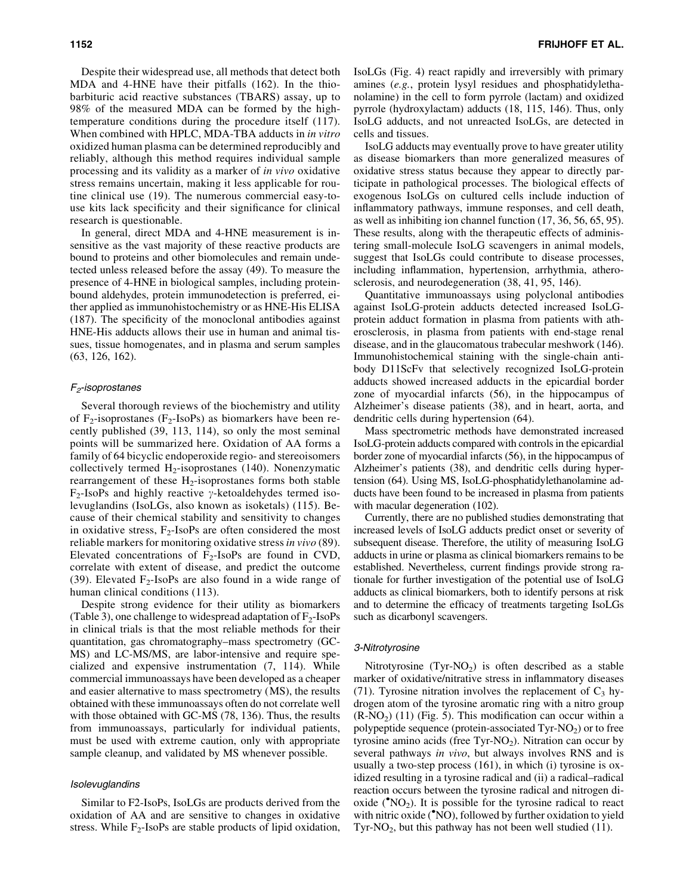Despite their widespread use, all methods that detect both MDA and 4-HNE have their pitfalls (162). In the thiobarbituric acid reactive substances (TBARS) assay, up to 98% of the measured MDA can be formed by the hightemperature conditions during the procedure itself (117). When combined with HPLC, MDA-TBA adducts in *in vitro* oxidized human plasma can be determined reproducibly and reliably, although this method requires individual sample processing and its validity as a marker of *in vivo* oxidative stress remains uncertain, making it less applicable for routine clinical use (19). The numerous commercial easy-touse kits lack specificity and their significance for clinical research is questionable.

In general, direct MDA and 4-HNE measurement is insensitive as the vast majority of these reactive products are bound to proteins and other biomolecules and remain undetected unless released before the assay (49). To measure the presence of 4-HNE in biological samples, including proteinbound aldehydes, protein immunodetection is preferred, either applied as immunohistochemistry or as HNE-His ELISA (187). The specificity of the monoclonal antibodies against HNE-His adducts allows their use in human and animal tissues, tissue homogenates, and in plasma and serum samples (63, 126, 162).

## $F<sub>2</sub>$ -isoprostanes

Several thorough reviews of the biochemistry and utility of  $F_2$ -isoprostanes ( $F_2$ -IsoPs) as biomarkers have been recently published (39, 113, 114), so only the most seminal points will be summarized here. Oxidation of AA forms a family of 64 bicyclic endoperoxide regio- and stereoisomers collectively termed  $H_2$ -isoprostanes (140). Nonenzymatic rearrangement of these  $H_2$ -isoprostanes forms both stable  $F_2$ -IsoPs and highly reactive  $\gamma$ -ketoaldehydes termed isolevuglandins (IsoLGs, also known as isoketals) (115). Because of their chemical stability and sensitivity to changes in oxidative stress,  $F_2$ -IsoPs are often considered the most reliable markers for monitoring oxidative stress *in vivo* (89). Elevated concentrations of  $F_2$ -IsoPs are found in CVD, correlate with extent of disease, and predict the outcome (39). Elevated  $F_2$ -IsoPs are also found in a wide range of human clinical conditions (113).

Despite strong evidence for their utility as biomarkers (Table 3), one challenge to widespread adaptation of  $F_2$ -IsoPs in clinical trials is that the most reliable methods for their quantitation, gas chromatography–mass spectrometry (GC-MS) and LC-MS/MS, are labor-intensive and require specialized and expensive instrumentation (7, 114). While commercial immunoassays have been developed as a cheaper and easier alternative to mass spectrometry (MS), the results obtained with these immunoassays often do not correlate well with those obtained with GC-MS (78, 136). Thus, the results from immunoassays, particularly for individual patients, must be used with extreme caution, only with appropriate sample cleanup, and validated by MS whenever possible.

### Isolevuglandins

Similar to F2-IsoPs, IsoLGs are products derived from the oxidation of AA and are sensitive to changes in oxidative stress. While  $F_2$ -IsoPs are stable products of lipid oxidation,

IsoLGs (Fig. 4) react rapidly and irreversibly with primary amines (*e.g.*, protein lysyl residues and phosphatidylethanolamine) in the cell to form pyrrole (lactam) and oxidized pyrrole (hydroxylactam) adducts (18, 115, 146). Thus, only IsoLG adducts, and not unreacted IsoLGs, are detected in cells and tissues.

IsoLG adducts may eventually prove to have greater utility as disease biomarkers than more generalized measures of oxidative stress status because they appear to directly participate in pathological processes. The biological effects of exogenous IsoLGs on cultured cells include induction of inflammatory pathways, immune responses, and cell death, as well as inhibiting ion channel function (17, 36, 56, 65, 95). These results, along with the therapeutic effects of administering small-molecule IsoLG scavengers in animal models, suggest that IsoLGs could contribute to disease processes, including inflammation, hypertension, arrhythmia, atherosclerosis, and neurodegeneration (38, 41, 95, 146).

Quantitative immunoassays using polyclonal antibodies against IsoLG-protein adducts detected increased IsoLGprotein adduct formation in plasma from patients with atherosclerosis, in plasma from patients with end-stage renal disease, and in the glaucomatous trabecular meshwork (146). Immunohistochemical staining with the single-chain antibody D11ScFv that selectively recognized IsoLG-protein adducts showed increased adducts in the epicardial border zone of myocardial infarcts (56), in the hippocampus of Alzheimer's disease patients (38), and in heart, aorta, and dendritic cells during hypertension (64).

Mass spectrometric methods have demonstrated increased IsoLG-protein adducts compared with controls in the epicardial border zone of myocardial infarcts (56), in the hippocampus of Alzheimer's patients (38), and dendritic cells during hypertension (64). Using MS, IsoLG-phosphatidylethanolamine adducts have been found to be increased in plasma from patients with macular degeneration  $(102)$ .

Currently, there are no published studies demonstrating that increased levels of IsoLG adducts predict onset or severity of subsequent disease. Therefore, the utility of measuring IsoLG adducts in urine or plasma as clinical biomarkers remains to be established. Nevertheless, current findings provide strong rationale for further investigation of the potential use of IsoLG adducts as clinical biomarkers, both to identify persons at risk and to determine the efficacy of treatments targeting IsoLGs such as dicarbonyl scavengers.

#### 3-Nitrotyrosine

Nitrotyrosine  $(Tyr-NO<sub>2</sub>)$  is often described as a stable marker of oxidative/nitrative stress in inflammatory diseases (71). Tyrosine nitration involves the replacement of  $C_3$  hydrogen atom of the tyrosine aromatic ring with a nitro group  $(R-NO<sub>2</sub>)$  (11) (Fig. 5). This modification can occur within a polypeptide sequence (protein-associated  $Tyr-NO_2$ ) or to free tyrosine amino acids (free Tyr- $NO<sub>2</sub>$ ). Nitration can occur by several pathways *in vivo*, but always involves RNS and is usually a two-step process (161), in which (i) tyrosine is oxidized resulting in a tyrosine radical and (ii) a radical–radical reaction occurs between the tyrosine radical and nitrogen dioxide ( $NO<sub>2</sub>$ ). It is possible for the tyrosine radical to react with nitric oxide ('NO), followed by further oxidation to yield Tyr-NO<sub>2</sub>, but this pathway has not been well studied  $(11)$ .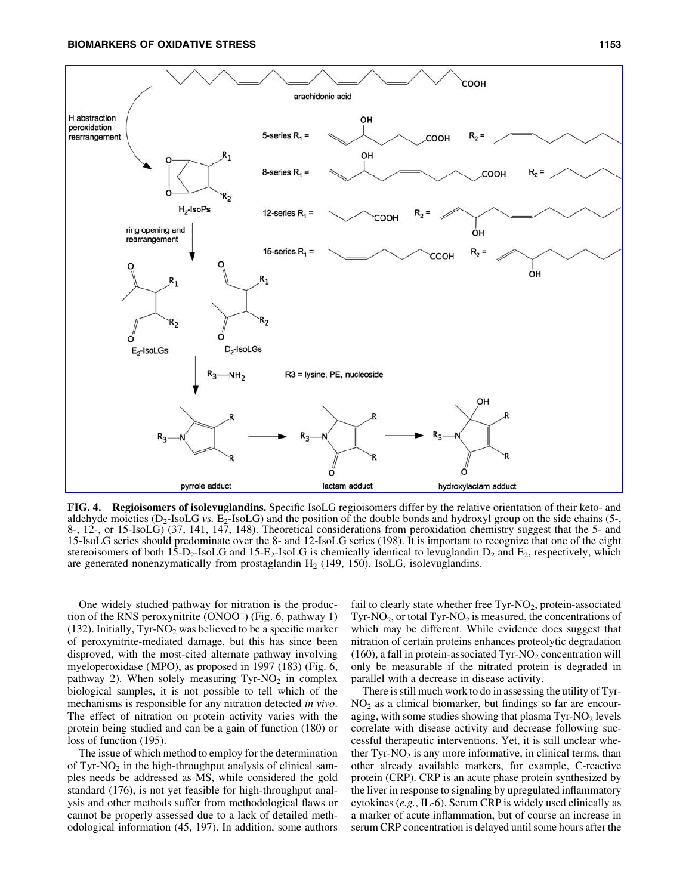

FIG. 4. Regioisomers of isolevuglandins. Specific IsoLG regioisomers differ by the relative orientation of their keto- and aldehyde moieties  $(D_2$ -IsoLG *vs.*  $E_2$ -IsoLG) and the position of the double bonds and hydroxyl group on the side chains (5-, 8-, 12-, or 15-IsoLG) (37, 141, 147, 148). Theoretical considerations from peroxidation chemistry suggest that the 5- and 15-IsoLG series should predominate over the 8- and 12-IsoLG series (198). It is important to recognize that one of the eight stereoisomers of both  $1\bar{5}$ -D<sub>2</sub>-IsoLG and 15-E<sub>2</sub>-IsoLG is chemically identical to levuglandin D<sub>2</sub> and E<sub>2</sub>, respectively, which are generated nonenzymatically from prostaglandin  $H<sub>2</sub>$  (149, 150). IsoLG, isolevuglandins.

One widely studied pathway for nitration is the production of the RNS peroxynitrite (ONOO<sup>-</sup>) (Fig. 6, pathway 1) (132). Initially, Tyr-NO<sub>2</sub> was believed to be a specific marker of peroxynitrite-mediated damage, but this has since been disproved, with the most-cited alternate pathway involving myeloperoxidase (MPO), as proposed in 1997 (183) (Fig. 6, pathway 2). When solely measuring  $Tyr-NO_2$  in complex biological samples, it is not possible to tell which of the mechanisms is responsible for any nitration detected *in vivo*. The effect of nitration on protein activity varies with the protein being studied and can be a gain of function (180) or loss of function (195).

The issue of which method to employ for the determination of Tyr-NO<sub>2</sub> in the high-throughput analysis of clinical samples needs be addressed as MS, while considered the gold standard (176), is not yet feasible for high-throughput analysis and other methods suffer from methodological flaws or cannot be properly assessed due to a lack of detailed methodological information (45, 197). In addition, some authors

fail to clearly state whether free  $\text{Tyr-NO}_2$ , protein-associated  $Tyr-NO<sub>2</sub>$ , or total Tyr-NO<sub>2</sub> is measured, the concentrations of which may be different. While evidence does suggest that nitration of certain proteins enhances proteolytic degradation  $(160)$ , a fall in protein-associated Tyr-NO<sub>2</sub> concentration will only be measurable if the nitrated protein is degraded in parallel with a decrease in disease activity.

There is still much work to do in assessing the utility of Tyr- $NO<sub>2</sub>$  as a clinical biomarker, but findings so far are encouraging, with some studies showing that plasma  $\text{Tyr-NO}_2$  levels correlate with disease activity and decrease following successful therapeutic interventions. Yet, it is still unclear whether  $Tyr-NO<sub>2</sub>$  is any more informative, in clinical terms, than other already available markers, for example, C-reactive protein (CRP). CRP is an acute phase protein synthesized by the liver in response to signaling by upregulated inflammatory cytokines (*e.g.*, IL-6). Serum CRP is widely used clinically as a marker of acute inflammation, but of course an increase in serum CRP concentration is delayed until some hours after the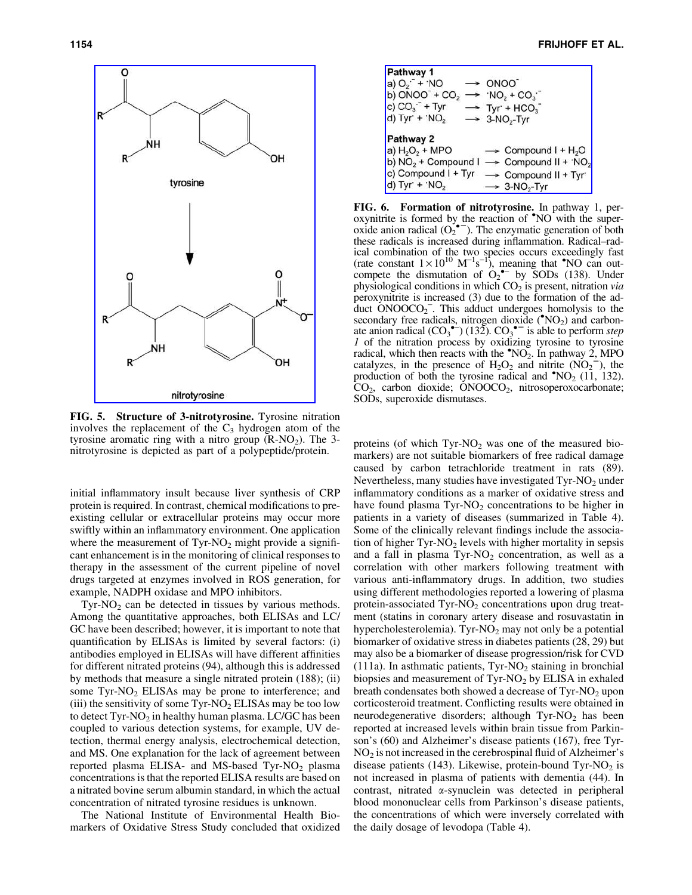

FIG. 5. Structure of 3-nitrotyrosine. Tyrosine nitration involves the replacement of the  $C_3$  hydrogen atom of the tyrosine aromatic ring with a nitro group  $(R-NO<sub>2</sub>)$ . The 3nitrotyrosine is depicted as part of a polypeptide/protein.

initial inflammatory insult because liver synthesis of CRP protein is required. In contrast, chemical modifications to preexisting cellular or extracellular proteins may occur more swiftly within an inflammatory environment. One application where the measurement of  $\text{Tyr-NO}_2$  might provide a significant enhancement is in the monitoring of clinical responses to therapy in the assessment of the current pipeline of novel drugs targeted at enzymes involved in ROS generation, for example, NADPH oxidase and MPO inhibitors.

 $\text{Tyr-NO}_2$  can be detected in tissues by various methods. Among the quantitative approaches, both ELISAs and LC/ GC have been described; however, it is important to note that quantification by ELISAs is limited by several factors: (i) antibodies employed in ELISAs will have different affinities for different nitrated proteins (94), although this is addressed by methods that measure a single nitrated protein (188); (ii) some  $Tyr-NO<sub>2</sub> ELISAs$  may be prone to interference; and (iii) the sensitivity of some  $\text{Tyr-NO}_2$  ELISAs may be too low to detect  $\text{Tyr-NO}_2$  in healthy human plasma. LC/GC has been coupled to various detection systems, for example, UV detection, thermal energy analysis, electrochemical detection, and MS. One explanation for the lack of agreement between reported plasma ELISA- and MS-based Tyr-NO<sub>2</sub> plasma concentrations is that the reported ELISA results are based on a nitrated bovine serum albumin standard, in which the actual concentration of nitrated tyrosine residues is unknown.

The National Institute of Environmental Health Biomarkers of Oxidative Stress Study concluded that oxidized



FIG. 6. Formation of nitrotyrosine. In pathway 1, peroxynitrite is formed by the reaction of **NO** with the super- $\overline{\text{o}}$  oxide anion radical  $(O_2^{\bullet -})$ . The enzymatic generation of both these radicals is increased during inflammation. Radical–radical combination of the two species occurs exceedingly fast (rate constant  $1 \times 10^{10}$  M<sup>-1</sup>s<sup>-1</sup>), meaning that **\***NO can outcompete the dismutation of  $O_2$ <sup>+-</sup> by SODs (138). Under physiological conditions in which CO<sub>2</sub> is present, nitration *via* peroxynitrite is increased (3) due to the formation of the adduct ONOOCO2 - . This adduct undergoes homolysis to the secondary free radicals, nitrogen dioxide  $(\sqrt[4]{102})$  and carbonate anion radical  $(CO_3^{\bullet-})$  (132).  $CO_3^{\bullet-}$  is able to perform *step 1* of the nitration process by oxidizing tyrosine to tyrosine radical, which then reacts with the  $\degree NO_2$ . In pathway 2, MPO catalyzes, in the presence of  $H_2O_2$  and nitrite  $(NO_2^-)$ , the production of both the tyrosine radical and  $NQ_2$  (11, 132). CO<sub>2</sub>, carbon dioxide; ONOOCO<sub>2</sub>, nitrosoperoxocarbonate; SODs, superoxide dismutases.

proteins (of which  $Tyr-NO<sub>2</sub>$  was one of the measured biomarkers) are not suitable biomarkers of free radical damage caused by carbon tetrachloride treatment in rats (89). Nevertheless, many studies have investigated  $\text{Tyr-NO}_2$  under inflammatory conditions as a marker of oxidative stress and have found plasma  $Tyr-NO<sub>2</sub>$  concentrations to be higher in patients in a variety of diseases (summarized in Table 4). Some of the clinically relevant findings include the association of higher  $\text{Tyr-NO}_2$  levels with higher mortality in sepsis and a fall in plasma  $Tyr-NO<sub>2</sub>$  concentration, as well as a correlation with other markers following treatment with various anti-inflammatory drugs. In addition, two studies using different methodologies reported a lowering of plasma protein-associated  $\text{Tyr-NO}_2$  concentrations upon drug treatment (statins in coronary artery disease and rosuvastatin in hypercholesterolemia). Tyr-NO<sub>2</sub> may not only be a potential biomarker of oxidative stress in diabetes patients (28, 29) but may also be a biomarker of disease progression/risk for CVD (111a). In asthmatic patients,  $Tyr-NO<sub>2</sub>$  staining in bronchial biopsies and measurement of  $\text{Tyr-NO}_2$  by ELISA in exhaled breath condensates both showed a decrease of  $\text{Tyr-NO}_2$  upon corticosteroid treatment. Conflicting results were obtained in neurodegenerative disorders; although  $Tyr-NO<sub>2</sub>$  has been reported at increased levels within brain tissue from Parkinson's (60) and Alzheimer's disease patients (167), free Tyr- $NO<sub>2</sub>$  is not increased in the cerebrospinal fluid of Alzheimer's disease patients (143). Likewise, protein-bound Tyr-NO<sub>2</sub> is not increased in plasma of patients with dementia (44). In contrast, nitrated a-synuclein was detected in peripheral blood mononuclear cells from Parkinson's disease patients, the concentrations of which were inversely correlated with the daily dosage of levodopa (Table 4).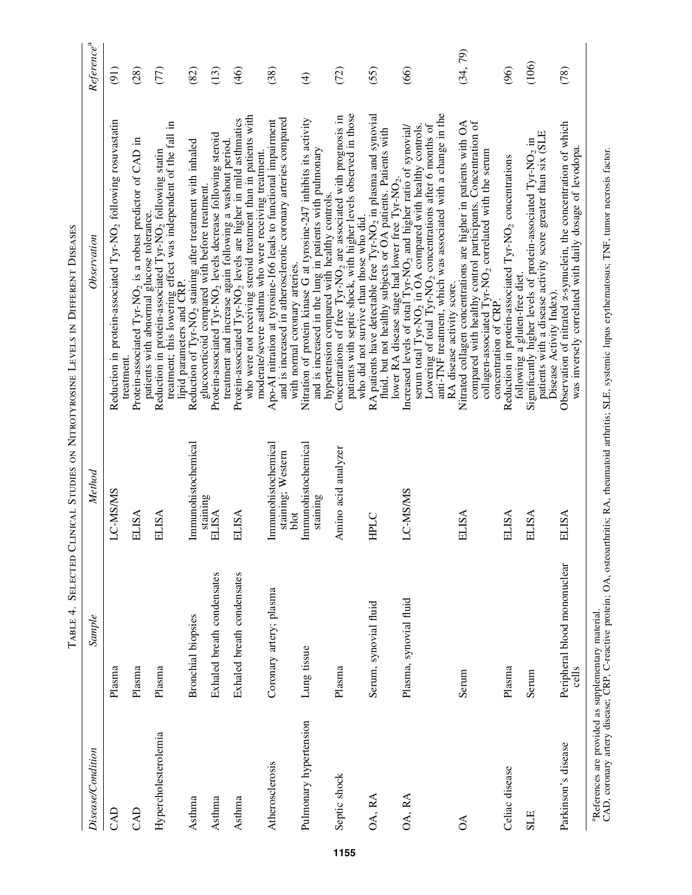|                                                                | TABLE 4.                              |                                                  | SELECTED CLINICAL STUDIES ON NITROTYROSINE LEVELS IN DIFFERENT DISEASES                                                                                                                                                                                                                                                                                        |                        |
|----------------------------------------------------------------|---------------------------------------|--------------------------------------------------|----------------------------------------------------------------------------------------------------------------------------------------------------------------------------------------------------------------------------------------------------------------------------------------------------------------------------------------------------------------|------------------------|
| Disease/Condition                                              | Sample                                | Method                                           | Observation                                                                                                                                                                                                                                                                                                                                                    | Reference <sup>a</sup> |
| CAD                                                            | Plasma                                | LC-MS/MS                                         | Reduction in protein-associated Tyr-NO <sub>2</sub> following rosuvastatin                                                                                                                                                                                                                                                                                     | (91)                   |
| CAD                                                            | Plasma                                | <b>ELISA</b>                                     | Protein-associated Tyr-NO <sub>2</sub> is a robust predictor of CAD in<br>treatment.                                                                                                                                                                                                                                                                           | (28)                   |
| Hypercholesterolemia                                           | Plasma                                | ELISA                                            | treatment; this lowering effect was independent of the fall in<br>lipid parameters and CRP.<br>Reduction in protein-associated Tyr-NO <sub>2</sub> following statin<br>patients with abnormal glucose tolerance.                                                                                                                                               | (77)                   |
| Asthma                                                         | <b>Bronchial</b> biopsies             | Immunohistochemical                              | Reduction of Tyr-NO <sub>2</sub> staining after treatment with inhaled                                                                                                                                                                                                                                                                                         | (82)                   |
| Asthma                                                         | Exhaled breath condensates            | staining<br><b>ELISA</b>                         | Protein-associated Tyr-NO <sub>2</sub> levels decrease following steroid<br>glucocorticoid compared with before treatment.                                                                                                                                                                                                                                     | (13)                   |
| Asthma                                                         | Exhaled breath condensates            | <b>ELISA</b>                                     | who were not receiving steroid treatment than in patients with<br>Protein-associated Tyr-NO <sub>2</sub> levels are higher in mild asthmatics<br>treatment and increase again following a washout period                                                                                                                                                       | (46)                   |
| Atherosclerosis                                                | Coronary artery; plasma               | Immunohistochemical<br>staining; Western<br>blot | and is increased in atherosclerotic coronary arteries compared<br>Apo-AI nitration at tyrosine-166 leads to functional impairment<br>moderate/severe asthma who were receiving treatment.                                                                                                                                                                      | (38)                   |
| Pulmonary hypertension                                         | Lung tissue                           | Immunohistochemical<br>staining                  | Nitration of protein kinase G at tyrosine-247 inhibits its activity<br>and is increased in the lung in patients with pulmonary<br>with normal coronary arteries.                                                                                                                                                                                               | $\widehat{f}$          |
| Septic shock                                                   | Plasma                                | Amino acid analyzer                              | patients with septic shock, with higher levels observed in those<br>Concentrations of free Tyr-NO <sub>2</sub> are associated with prognosis in<br>hypertension compared with healthy controls.<br>who did not survive than those who did.                                                                                                                     | (72)                   |
| OA, RA                                                         | Serum, synovial fluid                 | HPLC                                             | RA patients have detectable free Tyr-NO <sub>2</sub> in plasma and synovial<br>fluid, but not healthy subjects or OA patients. Patients with                                                                                                                                                                                                                   | (55)                   |
| OA, RA                                                         | Plasma, synovial fluid                | LC-MS/MS                                         | anti-TNF treatment, which was associated with a change in the<br>Lowering of total Tyr-NO <sub>2</sub> concentrations after 6 months of<br>serum total Tyr-NO <sub>2</sub> in OA compared with healthy controls.<br>Increased levels of total Tyr-NO <sub>2</sub> and higher ratio of synovial/<br>lower RA disease stage had lower free Tyr-NO <sub>2</sub> . | (66)                   |
| $\delta$                                                       | Serum                                 | <b>ELISA</b>                                     | Nitrated collagen concentrations are higher in patients with OA<br>compared with healthy control participants. Concentration of<br>collagen-associated Tyr-NO <sub>2</sub> correlated with the serum<br>RA disease activity score.                                                                                                                             | (34, 79)               |
| Celiac disease                                                 | Plasma                                | <b>ELISA</b>                                     | Reduction in protein-associated Tyr-NO <sub>2</sub> concentrations<br>concentration of CRP.                                                                                                                                                                                                                                                                    | (96)                   |
| <b>SLE</b>                                                     | Serum                                 | ELISA                                            | patients with a disease activity score greater than six (SLE<br>Significantly higher levels of protein-associated Tyr-NO <sub>2</sub> in<br>following a gluten-free diet.                                                                                                                                                                                      | (106)                  |
| Parkinson's disease                                            | Peripheral blood mononuclear<br>cells | ELISA                                            | Observation of nitrated <i>x</i> -synuclein, the concentration of which<br>was inversely correlated with daily dosage of levodopa.<br>Disease Activity Index).                                                                                                                                                                                                 | (78)                   |
| ap <sub>afarances</sub> are recuided as supplementary material |                                       |                                                  |                                                                                                                                                                                                                                                                                                                                                                |                        |

"References are provided as supplementary material.<br>CAD, coronary artery disease; CRP, C-reactive protein; OA, osteoarthritis; RA, rheumatoid arthritis; SLE, systemic lupus erythematosus; TNF, tumor necrosis factor. CAD, coronary artery disease; CRP, C-reactive protein; OA, osteoarthritis; RA, rheumatoid arthritis; SLE, systemic lupus erythematosus; TNF, tumor necrosis factor. aReferences are provided as supplementary material.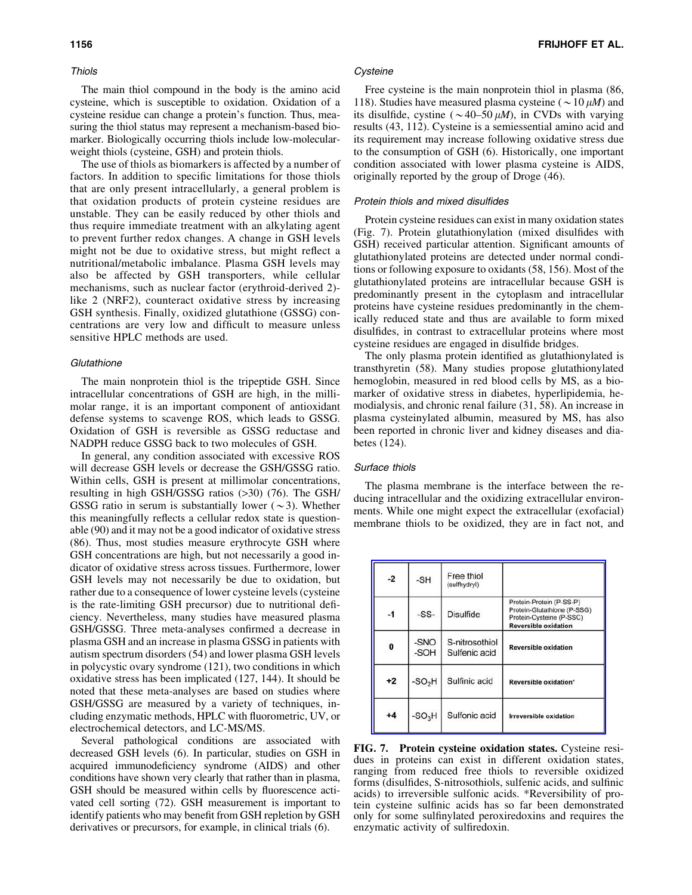#### Thiols

The main thiol compound in the body is the amino acid cysteine, which is susceptible to oxidation. Oxidation of a cysteine residue can change a protein's function. Thus, measuring the thiol status may represent a mechanism-based biomarker. Biologically occurring thiols include low-molecularweight thiols (cysteine, GSH) and protein thiols.

The use of thiols as biomarkers is affected by a number of factors. In addition to specific limitations for those thiols that are only present intracellularly, a general problem is that oxidation products of protein cysteine residues are unstable. They can be easily reduced by other thiols and thus require immediate treatment with an alkylating agent to prevent further redox changes. A change in GSH levels might not be due to oxidative stress, but might reflect a nutritional/metabolic imbalance. Plasma GSH levels may also be affected by GSH transporters, while cellular mechanisms, such as nuclear factor (erythroid-derived 2) like 2 (NRF2), counteract oxidative stress by increasing GSH synthesis. Finally, oxidized glutathione (GSSG) concentrations are very low and difficult to measure unless sensitive HPLC methods are used.

#### **Glutathione**

The main nonprotein thiol is the tripeptide GSH. Since intracellular concentrations of GSH are high, in the millimolar range, it is an important component of antioxidant defense systems to scavenge ROS, which leads to GSSG. Oxidation of GSH is reversible as GSSG reductase and NADPH reduce GSSG back to two molecules of GSH.

In general, any condition associated with excessive ROS will decrease GSH levels or decrease the GSH/GSSG ratio. Within cells, GSH is present at millimolar concentrations, resulting in high GSH/GSSG ratios (>30) (76). The GSH/ GSSG ratio in serum is substantially lower ( $\sim$ 3). Whether this meaningfully reflects a cellular redox state is questionable (90) and it may not be a good indicator of oxidative stress (86). Thus, most studies measure erythrocyte GSH where GSH concentrations are high, but not necessarily a good indicator of oxidative stress across tissues. Furthermore, lower GSH levels may not necessarily be due to oxidation, but rather due to a consequence of lower cysteine levels (cysteine is the rate-limiting GSH precursor) due to nutritional deficiency. Nevertheless, many studies have measured plasma GSH/GSSG. Three meta-analyses confirmed a decrease in plasma GSH and an increase in plasma GSSG in patients with autism spectrum disorders (54) and lower plasma GSH levels in polycystic ovary syndrome (121), two conditions in which oxidative stress has been implicated (127, 144). It should be noted that these meta-analyses are based on studies where GSH/GSSG are measured by a variety of techniques, including enzymatic methods, HPLC with fluorometric, UV, or electrochemical detectors, and LC-MS/MS.

Several pathological conditions are associated with decreased GSH levels (6). In particular, studies on GSH in acquired immunodeficiency syndrome (AIDS) and other conditions have shown very clearly that rather than in plasma, GSH should be measured within cells by fluorescence activated cell sorting (72). GSH measurement is important to identify patients who may benefit from GSH repletion by GSH derivatives or precursors, for example, in clinical trials (6).

## **Cysteine**

Free cysteine is the main nonprotein thiol in plasma (86, 118). Studies have measured plasma cysteine ( $\sim$  10  $\mu$ *M*) and its disulfide, cystine ( $\sim$  40–50  $\mu$ *M*), in CVDs with varying results (43, 112). Cysteine is a semiessential amino acid and its requirement may increase following oxidative stress due to the consumption of GSH (6). Historically, one important condition associated with lower plasma cysteine is AIDS, originally reported by the group of Droge (46).

#### Protein thiols and mixed disulfides

Protein cysteine residues can exist in many oxidation states (Fig. 7). Protein glutathionylation (mixed disulfides with GSH) received particular attention. Significant amounts of glutathionylated proteins are detected under normal conditions or following exposure to oxidants (58, 156). Most of the glutathionylated proteins are intracellular because GSH is predominantly present in the cytoplasm and intracellular proteins have cysteine residues predominantly in the chemically reduced state and thus are available to form mixed disulfides, in contrast to extracellular proteins where most cysteine residues are engaged in disulfide bridges.

The only plasma protein identified as glutathionylated is transthyretin (58). Many studies propose glutathionylated hemoglobin, measured in red blood cells by MS, as a biomarker of oxidative stress in diabetes, hyperlipidemia, hemodialysis, and chronic renal failure (31, 58). An increase in plasma cysteinylated albumin, measured by MS, has also been reported in chronic liver and kidney diseases and diabetes (124).

#### Surface thiols

The plasma membrane is the interface between the reducing intracellular and the oxidizing extracellular environments. While one might expect the extracellular (exofacial) membrane thiols to be oxidized, they are in fact not, and

| $-2$ | $-SH$        | Free thiol<br>(sulfhydryl)      |                                                                                                                    |
|------|--------------|---------------------------------|--------------------------------------------------------------------------------------------------------------------|
| $-1$ | $-SS-$       | <b>Disulfide</b>                | Protein-Protein (P-SS-P)<br>Protein-Glutathione (P-SSG)<br>Protein-Cysteine (P-SSC)<br><b>Reversible oxidation</b> |
| 0    | -SNO<br>-SOH | S-nitrosothiol<br>Sulfenic acid | <b>Reversible oxidation</b>                                                                                        |
| $+2$ | $-SO2H$      | Sulfinic acid                   | Reversible oxidation*                                                                                              |
| $+4$ | $-SO3H$      | Sulfonic acid                   | <b>Irreversible oxidation</b>                                                                                      |

FIG. 7. Protein cysteine oxidation states. Cysteine residues in proteins can exist in different oxidation states, ranging from reduced free thiols to reversible oxidized forms (disulfides, S-nitrosothiols, sulfenic acids, and sulfinic acids) to irreversible sulfonic acids. \*Reversibility of protein cysteine sulfinic acids has so far been demonstrated only for some sulfinylated peroxiredoxins and requires the enzymatic activity of sulfiredoxin.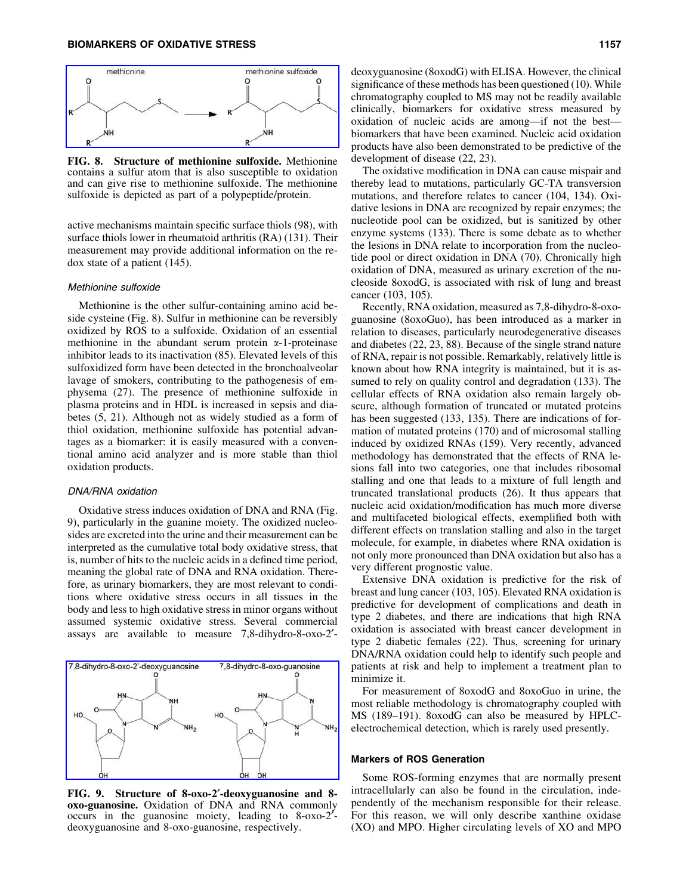

FIG. 8. Structure of methionine sulfoxide. Methionine contains a sulfur atom that is also susceptible to oxidation and can give rise to methionine sulfoxide. The methionine sulfoxide is depicted as part of a polypeptide/protein.

active mechanisms maintain specific surface thiols (98), with surface thiols lower in rheumatoid arthritis (RA) (131). Their measurement may provide additional information on the redox state of a patient (145).

## Methionine sulfoxide

Methionine is the other sulfur-containing amino acid beside cysteine (Fig. 8). Sulfur in methionine can be reversibly oxidized by ROS to a sulfoxide. Oxidation of an essential methionine in the abundant serum protein  $\alpha$ -1-proteinase inhibitor leads to its inactivation (85). Elevated levels of this sulfoxidized form have been detected in the bronchoalveolar lavage of smokers, contributing to the pathogenesis of emphysema (27). The presence of methionine sulfoxide in plasma proteins and in HDL is increased in sepsis and diabetes (5, 21). Although not as widely studied as a form of thiol oxidation, methionine sulfoxide has potential advantages as a biomarker: it is easily measured with a conventional amino acid analyzer and is more stable than thiol oxidation products.

#### DNA/RNA oxidation

Oxidative stress induces oxidation of DNA and RNA (Fig. 9), particularly in the guanine moiety. The oxidized nucleosides are excreted into the urine and their measurement can be interpreted as the cumulative total body oxidative stress, that is, number of hits to the nucleic acids in a defined time period, meaning the global rate of DNA and RNA oxidation. Therefore, as urinary biomarkers, they are most relevant to conditions where oxidative stress occurs in all tissues in the body and less to high oxidative stress in minor organs without assumed systemic oxidative stress. Several commercial assays are available to measure 7,8-dihydro-8-oxo-2¢-



FIG. 9. Structure of 8-oxo-2'-deoxyguanosine and 8oxo-guanosine. Oxidation of DNA and RNA commonly occurs in the guanosine moiety, leading to  $8-\alpha x^2$ deoxyguanosine and 8-oxo-guanosine, respectively.

deoxyguanosine (8oxodG) with ELISA. However, the clinical significance of these methods has been questioned (10). While chromatography coupled to MS may not be readily available clinically, biomarkers for oxidative stress measured by oxidation of nucleic acids are among—if not the best biomarkers that have been examined. Nucleic acid oxidation products have also been demonstrated to be predictive of the development of disease (22, 23).

The oxidative modification in DNA can cause mispair and thereby lead to mutations, particularly GC-TA transversion mutations, and therefore relates to cancer (104, 134). Oxidative lesions in DNA are recognized by repair enzymes; the nucleotide pool can be oxidized, but is sanitized by other enzyme systems (133). There is some debate as to whether the lesions in DNA relate to incorporation from the nucleotide pool or direct oxidation in DNA (70). Chronically high oxidation of DNA, measured as urinary excretion of the nucleoside 8oxodG, is associated with risk of lung and breast cancer (103, 105).

Recently, RNA oxidation, measured as 7,8-dihydro-8-oxoguanosine (8oxoGuo), has been introduced as a marker in relation to diseases, particularly neurodegenerative diseases and diabetes (22, 23, 88). Because of the single strand nature of RNA, repair is not possible. Remarkably, relatively little is known about how RNA integrity is maintained, but it is assumed to rely on quality control and degradation (133). The cellular effects of RNA oxidation also remain largely obscure, although formation of truncated or mutated proteins has been suggested (133, 135). There are indications of formation of mutated proteins (170) and of microsomal stalling induced by oxidized RNAs (159). Very recently, advanced methodology has demonstrated that the effects of RNA lesions fall into two categories, one that includes ribosomal stalling and one that leads to a mixture of full length and truncated translational products (26). It thus appears that nucleic acid oxidation/modification has much more diverse and multifaceted biological effects, exemplified both with different effects on translation stalling and also in the target molecule, for example, in diabetes where RNA oxidation is not only more pronounced than DNA oxidation but also has a very different prognostic value.

Extensive DNA oxidation is predictive for the risk of breast and lung cancer (103, 105). Elevated RNA oxidation is predictive for development of complications and death in type 2 diabetes, and there are indications that high RNA oxidation is associated with breast cancer development in type 2 diabetic females (22). Thus, screening for urinary DNA/RNA oxidation could help to identify such people and patients at risk and help to implement a treatment plan to minimize it.

For measurement of 8oxodG and 8oxoGuo in urine, the most reliable methodology is chromatography coupled with MS (189–191). 8oxodG can also be measured by HPLCelectrochemical detection, which is rarely used presently.

## Markers of ROS Generation

Some ROS-forming enzymes that are normally present intracellularly can also be found in the circulation, independently of the mechanism responsible for their release. For this reason, we will only describe xanthine oxidase (XO) and MPO. Higher circulating levels of XO and MPO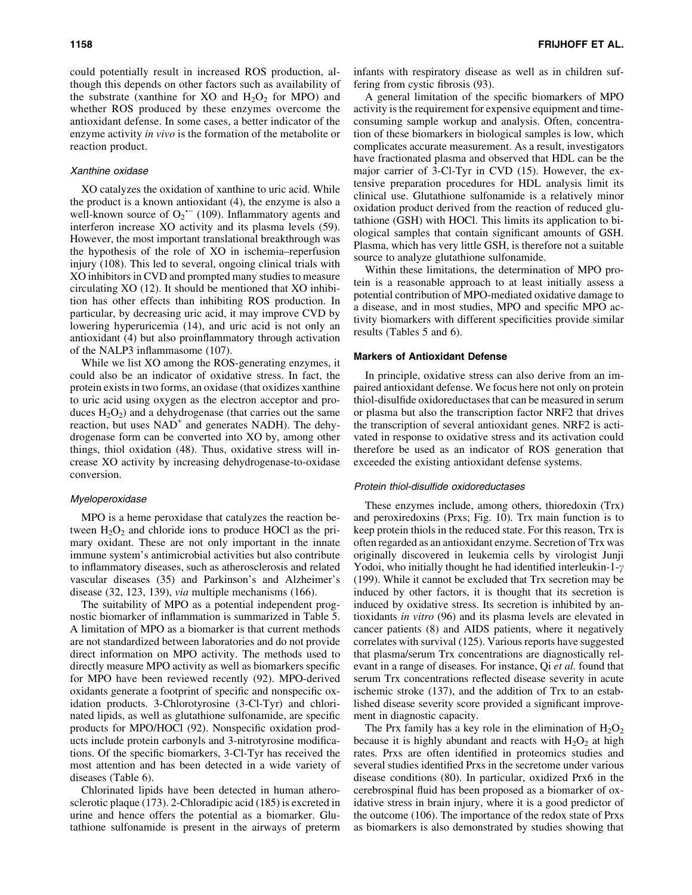could potentially result in increased ROS production, although this depends on other factors such as availability of the substrate (xanthine for XO and  $H_2O_2$  for MPO) and whether ROS produced by these enzymes overcome the antioxidant defense. In some cases, a better indicator of the enzyme activity *in vivo* is the formation of the metabolite or reaction product.

#### Xanthine oxidase

XO catalyzes the oxidation of xanthine to uric acid. While the product is a known antioxidant (4), the enzyme is also a well-known source of  $O_2$ <sup>--</sup> (109). Inflammatory agents and interferon increase XO activity and its plasma levels (59). However, the most important translational breakthrough was the hypothesis of the role of XO in ischemia–reperfusion injury (108). This led to several, ongoing clinical trials with XO inhibitors in CVD and prompted many studies to measure circulating XO (12). It should be mentioned that XO inhibition has other effects than inhibiting ROS production. In particular, by decreasing uric acid, it may improve CVD by lowering hyperuricemia (14), and uric acid is not only an antioxidant (4) but also proinflammatory through activation of the NALP3 inflammasome (107).

While we list XO among the ROS-generating enzymes, it could also be an indicator of oxidative stress. In fact, the protein exists in two forms, an oxidase (that oxidizes xanthine to uric acid using oxygen as the electron acceptor and produces  $H_2O_2$ ) and a dehydrogenase (that carries out the same reaction, but uses  $NAD^+$  and generates NADH). The dehydrogenase form can be converted into XO by, among other things, thiol oxidation (48). Thus, oxidative stress will increase XO activity by increasing dehydrogenase-to-oxidase conversion.

#### Myeloperoxidase

MPO is a heme peroxidase that catalyzes the reaction between  $H_2O_2$  and chloride ions to produce HOCl as the primary oxidant. These are not only important in the innate immune system's antimicrobial activities but also contribute to inflammatory diseases, such as atherosclerosis and related vascular diseases (35) and Parkinson's and Alzheimer's disease (32, 123, 139), *via* multiple mechanisms (166).

The suitability of MPO as a potential independent prognostic biomarker of inflammation is summarized in Table 5. A limitation of MPO as a biomarker is that current methods are not standardized between laboratories and do not provide direct information on MPO activity. The methods used to directly measure MPO activity as well as biomarkers specific for MPO have been reviewed recently (92). MPO-derived oxidants generate a footprint of specific and nonspecific oxidation products. 3-Chlorotyrosine (3-Cl-Tyr) and chlorinated lipids, as well as glutathione sulfonamide, are specific products for MPO/HOCl (92). Nonspecific oxidation products include protein carbonyls and 3-nitrotyrosine modifications. Of the specific biomarkers, 3-Cl-Tyr has received the most attention and has been detected in a wide variety of diseases (Table 6).

Chlorinated lipids have been detected in human atherosclerotic plaque (173). 2-Chloradipic acid (185) is excreted in urine and hence offers the potential as a biomarker. Glutathione sulfonamide is present in the airways of preterm infants with respiratory disease as well as in children suffering from cystic fibrosis (93).

A general limitation of the specific biomarkers of MPO activity is the requirement for expensive equipment and timeconsuming sample workup and analysis. Often, concentration of these biomarkers in biological samples is low, which complicates accurate measurement. As a result, investigators have fractionated plasma and observed that HDL can be the major carrier of 3-Cl-Tyr in CVD (15). However, the extensive preparation procedures for HDL analysis limit its clinical use. Glutathione sulfonamide is a relatively minor oxidation product derived from the reaction of reduced glutathione (GSH) with HOCl. This limits its application to biological samples that contain significant amounts of GSH. Plasma, which has very little GSH, is therefore not a suitable source to analyze glutathione sulfonamide.

Within these limitations, the determination of MPO protein is a reasonable approach to at least initially assess a potential contribution of MPO-mediated oxidative damage to a disease, and in most studies, MPO and specific MPO activity biomarkers with different specificities provide similar results (Tables 5 and 6).

#### Markers of Antioxidant Defense

In principle, oxidative stress can also derive from an impaired antioxidant defense. We focus here not only on protein thiol-disulfide oxidoreductases that can be measured in serum or plasma but also the transcription factor NRF2 that drives the transcription of several antioxidant genes. NRF2 is activated in response to oxidative stress and its activation could therefore be used as an indicator of ROS generation that exceeded the existing antioxidant defense systems.

#### Protein thiol-disulfide oxidoreductases

These enzymes include, among others, thioredoxin (Trx) and peroxiredoxins (Prxs; Fig. 10). Trx main function is to keep protein thiols in the reduced state. For this reason, Trx is often regarded as an antioxidant enzyme. Secretion of Trx was originally discovered in leukemia cells by virologist Junji Yodoi, who initially thought he had identified interleukin-1- $\gamma$ (199). While it cannot be excluded that Trx secretion may be induced by other factors, it is thought that its secretion is induced by oxidative stress. Its secretion is inhibited by antioxidants *in vitro* (96) and its plasma levels are elevated in cancer patients (8) and AIDS patients, where it negatively correlates with survival (125). Various reports have suggested that plasma/serum Trx concentrations are diagnostically relevant in a range of diseases. For instance, Qi *et al.* found that serum Trx concentrations reflected disease severity in acute ischemic stroke (137), and the addition of Trx to an established disease severity score provided a significant improvement in diagnostic capacity.

The Prx family has a key role in the elimination of  $H_2O_2$ because it is highly abundant and reacts with  $H_2O_2$  at high rates. Prxs are often identified in proteomics studies and several studies identified Prxs in the secretome under various disease conditions (80). In particular, oxidized Prx6 in the cerebrospinal fluid has been proposed as a biomarker of oxidative stress in brain injury, where it is a good predictor of the outcome (106). The importance of the redox state of Prxs as biomarkers is also demonstrated by studies showing that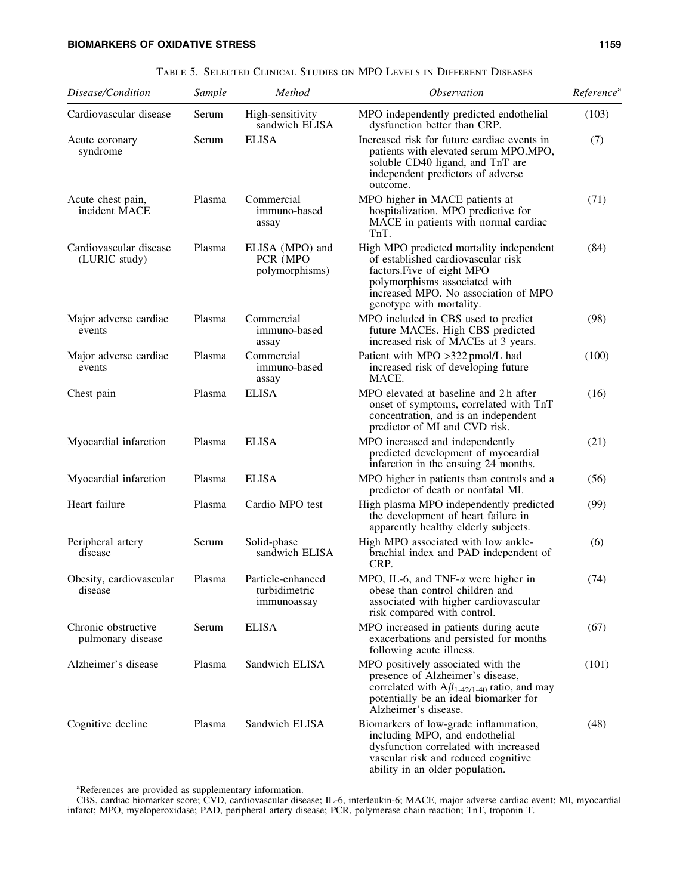| Disease/Condition                        | Sample | Method                                            | <i><b>Observation</b></i>                                                                                                                                                                                         | Reference <sup>a</sup> |
|------------------------------------------|--------|---------------------------------------------------|-------------------------------------------------------------------------------------------------------------------------------------------------------------------------------------------------------------------|------------------------|
| Cardiovascular disease                   | Serum  | High-sensitivity<br>sandwich ELISA                | MPO independently predicted endothelial<br>dysfunction better than CRP.                                                                                                                                           | (103)                  |
| Acute coronary<br>syndrome               | Serum  | <b>ELISA</b>                                      | Increased risk for future cardiac events in<br>patients with elevated serum MPO.MPO,<br>soluble CD40 ligand, and TnT are<br>independent predictors of adverse<br>outcome.                                         | (7)                    |
| Acute chest pain,<br>incident MACE       | Plasma | Commercial<br>immuno-based<br>assay               | MPO higher in MACE patients at<br>hospitalization. MPO predictive for<br>MACE in patients with normal cardiac<br>TnT.                                                                                             | (71)                   |
| Cardiovascular disease<br>(LURIC study)  | Plasma | ELISA (MPO) and<br>PCR (MPO<br>polymorphisms)     | High MPO predicted mortality independent<br>of established cardiovascular risk<br>factors. Five of eight MPO<br>polymorphisms associated with<br>increased MPO. No association of MPO<br>genotype with mortality. | (84)                   |
| Major adverse cardiac<br>events          | Plasma | Commercial<br>immuno-based<br>assay               | MPO included in CBS used to predict<br>future MACEs. High CBS predicted<br>increased risk of MACEs at 3 years.                                                                                                    | (98)                   |
| Major adverse cardiac<br>events          | Plasma | Commercial<br>immuno-based<br>assay               | Patient with MPO >322 pmol/L had<br>increased risk of developing future<br>MACE.                                                                                                                                  | (100)                  |
| Chest pain                               | Plasma | <b>ELISA</b>                                      | MPO elevated at baseline and 2h after<br>onset of symptoms, correlated with TnT<br>concentration, and is an independent<br>predictor of MI and CVD risk.                                                          | (16)                   |
| Myocardial infarction                    | Plasma | <b>ELISA</b>                                      | MPO increased and independently<br>predicted development of myocardial<br>infarction in the ensuing 24 months.                                                                                                    | (21)                   |
| Myocardial infarction                    | Plasma | <b>ELISA</b>                                      | MPO higher in patients than controls and a<br>predictor of death or nonfatal MI.                                                                                                                                  | (56)                   |
| Heart failure                            | Plasma | Cardio MPO test                                   | High plasma MPO independently predicted<br>the development of heart failure in<br>apparently healthy elderly subjects.                                                                                            | (99)                   |
| Peripheral artery<br>disease             | Serum  | Solid-phase<br>sandwich ELISA                     | High MPO associated with low ankle-<br>brachial index and PAD independent of<br>CRP.                                                                                                                              | (6)                    |
| Obesity, cardiovascular<br>disease       | Plasma | Particle-enhanced<br>turbidimetric<br>immunoassay | MPO, IL-6, and TNF- $\alpha$ were higher in<br>obese than control children and<br>associated with higher cardiovascular<br>risk compared with control.                                                            | (74)                   |
| Chronic obstructive<br>pulmonary disease | Serum  | <b>ELISA</b>                                      | MPO increased in patients during acute<br>exacerbations and persisted for months<br>following acute illness.                                                                                                      | (67)                   |
| Alzheimer's disease                      | Plasma | Sandwich ELISA                                    | MPO positively associated with the<br>presence of Alzheimer's disease,<br>correlated with $A\beta_{1-42/1-40}$ ratio, and may<br>potentially be an ideal biomarker for<br>Alzheimer's disease.                    | (101)                  |
| Cognitive decline                        | Plasma | Sandwich ELISA                                    | Biomarkers of low-grade inflammation,<br>including MPO, and endothelial<br>dysfunction correlated with increased<br>vascular risk and reduced cognitive<br>ability in an older population.                        | (48)                   |

Table 5. Selected Clinical Studies on MPO Levels in Different Diseases

<sup>a</sup>References are provided as supplementary information.

CBS, cardiac biomarker score; CVD, cardiovascular disease; IL-6, interleukin-6; MACE, major adverse cardiac event; MI, myocardial infarct; MPO, myeloperoxidase; PAD, peripheral artery disease; PCR, polymerase chain reaction; TnT, troponin T.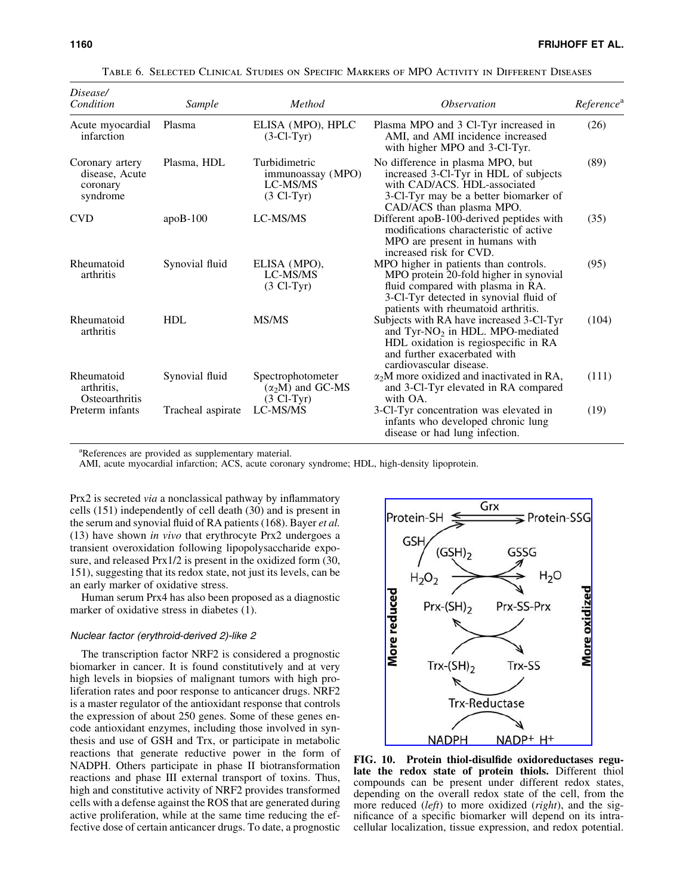| Disease/<br>Condition                                     | Sample            | Method                                                                 | <i><b>Observation</b></i>                                                                                                                                                                             | Reference <sup>a</sup> |
|-----------------------------------------------------------|-------------------|------------------------------------------------------------------------|-------------------------------------------------------------------------------------------------------------------------------------------------------------------------------------------------------|------------------------|
| Acute myocardial<br>infarction                            | Plasma            | ELISA (MPO), HPLC<br>$(3-Cl-Tvr)$                                      | Plasma MPO and 3 Cl-Tyr increased in<br>AMI, and AMI incidence increased<br>with higher MPO and 3-Cl-Tyr.                                                                                             | (26)                   |
| Coronary artery<br>disease, Acute<br>coronary<br>syndrome | Plasma, HDL       | Turbidimetric<br>immunoassay (MPO)<br>LC-MS/MS<br>$(3 \text{ Cl-Tyr})$ | No difference in plasma MPO, but<br>increased 3-Cl-Tyr in HDL of subjects<br>with CAD/ACS. HDL-associated<br>3-Cl-Tyr may be a better biomarker of<br>CAD/ACS than plasma MPO.                        | (89)                   |
| <b>CVD</b>                                                | $apoB-100$        | LC-MS/MS                                                               | Different apoB-100-derived peptides with<br>modifications characteristic of active<br>MPO are present in humans with<br>increased risk for CVD.                                                       | (35)                   |
| Rheumatoid<br>arthritis                                   | Synovial fluid    | ELISA (MPO),<br>LC-MS/MS<br>$(3 \text{ Cl-Tyr})$                       | MPO higher in patients than controls.<br>MPO protein 20-fold higher in synovial<br>fluid compared with plasma in RA.<br>3-Cl-Tyr detected in synovial fluid of<br>patients with rheumatoid arthritis. | (95)                   |
| Rheumatoid<br>arthritis                                   | <b>HDL</b>        | MS/MS                                                                  | Subjects with RA have increased 3-Cl-Tyr<br>and Tyr-NO <sub>2</sub> in HDL. MPO-mediated<br>HDL oxidation is regiospecific in RA<br>and further exacerbated with<br>cardiovascular disease.           | (104)                  |
| Rheumatoid<br>arthritis,<br>Osteoarthritis                | Synovial fluid    | Spectrophotometer<br>$(\alpha_2 M)$ and GC-MS<br>$(3 \text{ Cl-Tvr})$  | $\alpha_2$ M more oxidized and inactivated in RA,<br>and 3-Cl-Tyr elevated in RA compared<br>with OA.                                                                                                 | (111)                  |
| Preterm infants                                           | Tracheal aspirate | LC-MS/MS                                                               | 3-Cl-Tyr concentration was elevated in<br>infants who developed chronic lung<br>disease or had lung infection.                                                                                        | (19)                   |

Table 6. Selected Clinical Studies on Specific Markers of MPO Activity in Different Diseases

<sup>a</sup>References are provided as supplementary material.

AMI, acute myocardial infarction; ACS, acute coronary syndrome; HDL, high-density lipoprotein.

Prx2 is secreted *via* a nonclassical pathway by inflammatory cells (151) independently of cell death (30) and is present in the serum and synovial fluid of RA patients (168). Bayer *et al.* (13) have shown *in vivo* that erythrocyte Prx2 undergoes a transient overoxidation following lipopolysaccharide exposure, and released Prx1/2 is present in the oxidized form (30, 151), suggesting that its redox state, not just its levels, can be an early marker of oxidative stress.

Human serum Prx4 has also been proposed as a diagnostic marker of oxidative stress in diabetes (1).

## Nuclear factor (erythroid-derived 2)-like 2

The transcription factor NRF2 is considered a prognostic biomarker in cancer. It is found constitutively and at very high levels in biopsies of malignant tumors with high proliferation rates and poor response to anticancer drugs. NRF2 is a master regulator of the antioxidant response that controls the expression of about 250 genes. Some of these genes encode antioxidant enzymes, including those involved in synthesis and use of GSH and Trx, or participate in metabolic reactions that generate reductive power in the form of NADPH. Others participate in phase II biotransformation reactions and phase III external transport of toxins. Thus, high and constitutive activity of NRF2 provides transformed cells with a defense against the ROS that are generated during active proliferation, while at the same time reducing the effective dose of certain anticancer drugs. To date, a prognostic



FIG. 10. Protein thiol-disulfide oxidoreductases regulate the redox state of protein thiols. Different thiol compounds can be present under different redox states, depending on the overall redox state of the cell, from the more reduced (*left*) to more oxidized (*right*), and the significance of a specific biomarker will depend on its intracellular localization, tissue expression, and redox potential.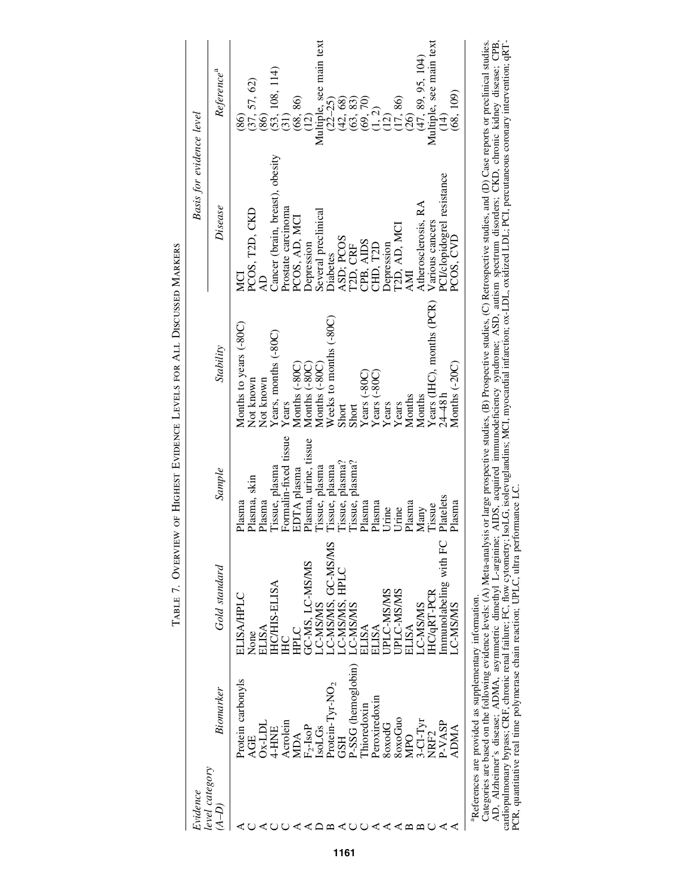| Evidence                             |                                                                   |                        |                       |                                                                                           | Basis for evidence level                                                                                                                                                                            |                                        |
|--------------------------------------|-------------------------------------------------------------------|------------------------|-----------------------|-------------------------------------------------------------------------------------------|-----------------------------------------------------------------------------------------------------------------------------------------------------------------------------------------------------|----------------------------------------|
| level category<br>$(\overline{A-D})$ | Biomarker                                                         | Gold standard          | Sample                | Stability                                                                                 | Disease                                                                                                                                                                                             | Reference <sup>a</sup>                 |
|                                      | Protein carbonyls                                                 | ELISA/HPLC             | Plasma                | Months to years (-80C)                                                                    | MCI                                                                                                                                                                                                 | (86)                                   |
|                                      | AGE                                                               | None                   | Plasma, skin          | Not known                                                                                 | PCOS, T2D, CKD                                                                                                                                                                                      |                                        |
|                                      | $Dx-LDL$                                                          | ELISA                  | Plasma                | Not known                                                                                 |                                                                                                                                                                                                     | $(37, 57, 62)$<br>$(86)$               |
|                                      | 4-HNE                                                             | HC/HIS-ELISA           | Tissue, plasma        | Years, months (-80C)                                                                      | Cancer (brain, breast), obesity                                                                                                                                                                     | $(53, 108, 114)$<br>$(31)$             |
|                                      | Acrolein                                                          | $\Xi$                  | Formalin-fixed tissue | Years                                                                                     | Prostate carcinoma                                                                                                                                                                                  |                                        |
|                                      | <b>MDA</b>                                                        | <b>CTGH</b>            | EDTA plasma           | Months (-80C)                                                                             | PCOS, AD, MCI                                                                                                                                                                                       | (68, 86)                               |
|                                      |                                                                   | GC-MS, LC-MS/MS        | Plasma, urine, tissue |                                                                                           | Depression                                                                                                                                                                                          | $\widetilde{\Xi}$                      |
|                                      | $F_2$ -IsoP<br>IsoLGs                                             | C-MS/MS                | Tissue, plasma        | Months (-80C)<br>Months (-80C)                                                            | Several preclinical                                                                                                                                                                                 | Multiple, see main text                |
|                                      | Protein-Tyr-NO <sub>2</sub>                                       | -C-MS/MS, GC-MS/MS     | Tissue, plasma        | Weeks to months (-80C)                                                                    | Diabetes                                                                                                                                                                                            | $(22 - 25)$                            |
|                                      | <b>GSH</b>                                                        | C-MS/MS, HPLC          | Tissue, plasma?       | Short                                                                                     | ASD; PCOS                                                                                                                                                                                           |                                        |
|                                      | <b>P-SSG</b> (hemoglobin)                                         | LC-MSMS                | Tissue, plasma?       | Short                                                                                     | T2D, CRF                                                                                                                                                                                            | $(42, 68)$<br>$(63, 83)$<br>$(69, 70)$ |
|                                      | hioredoxin                                                        | ELISA                  | Plasma                |                                                                                           |                                                                                                                                                                                                     |                                        |
|                                      | Peroxiredoxin                                                     | ELISA                  | Plasma                | $\begin{array}{c} \text{Years}~(-80 \text{C}) \\ \text{Years}~(-80 \text{C}) \end{array}$ | $\begin{array}{c}\text{CB, AIDS} \\ \text{CHD, T2D}\end{array}$                                                                                                                                     | (1, 2)                                 |
|                                      | <b>SoxodG</b>                                                     | JPLC-MS/MS             | Urine                 | Years                                                                                     | Depression                                                                                                                                                                                          | $\widetilde{\Xi}$                      |
|                                      | 80x0Gu0                                                           | JPLC-MS/MS             | Urine                 | Years                                                                                     | T2D, AD, MCI<br>AMI                                                                                                                                                                                 | $(17, 86)$<br>$(26)$                   |
|                                      | <b>MPO</b>                                                        | <b>ELISA</b>           | Plasma                | Months                                                                                    |                                                                                                                                                                                                     |                                        |
|                                      | $3$ -Cl-Tyr                                                       | C-MSMS                 | Many                  | Months                                                                                    | Atherosclerosis, RA                                                                                                                                                                                 | (47, 89, 95, 104)                      |
|                                      | NRF <sub>2</sub>                                                  | <b>HC/qRT-PCR</b>      | Tissue                | Years (IHC), months (PCR)                                                                 | Various cancers                                                                                                                                                                                     | Multiple, see main text                |
|                                      | P-VASP                                                            | Immunolabeling with FC | Platelets             | $24 - 48h$                                                                                | PCI/clopidogrel resistance                                                                                                                                                                          | $\left(14\right)$                      |
|                                      | ADMA                                                              | <b>C-MSMS</b>          | Plasma                | Months (-20C)                                                                             | PCOS, CVD                                                                                                                                                                                           | (68, 109)                              |
|                                      | <sup>a</sup> References are provided as supplementary information |                        |                       |                                                                                           | Categories are based on the following evidence levels: (A) Meta-analysis or large mospective studies. (B) Prospective studies (C) Retrospective studies and (D) Case reports or preclinical studies |                                        |

TABLE 7. OVERVIEW OF HIGHEST EVIDENCE LEVELS FOR ALL DISCUSSED MARKERS Table 7. Overview of Highest Evidence Levels for All Discussed Markers

Categores are oased on the Dulwing evidence levels: (A) Meta-analysis or large prospective studes, (d) Prospective studies, (C) Retrospectives studies, and (D) Case reports of precultical studies.<br>AD, Alzheimer's disease: Categories are based on the following evidence levels: (A) Meta-analysis or large prospective studies, (B) Prospective studies, (C) Retrospective studies, and (D) Case reports or preclinical studies. AD, Alzheimer's disease; ADMA, asymmetric dimethyl L-arginine; AIDS, acquired immunodeficiency syndrome; ASD, autism spectrum disorders; CKD, chronic kidney disease; CPB, cardiopulmonary bypass; CRF, chronic renal failure; FC, flow cytometry; IsoLG, isolevuglandins; MCI, myocardial infarction; ox-LDL, oxidized LDL; PCI, percutaneous coronary intervention; qRT-PCR, quantitative real time polymerase chain reaction; UPLC, ultra performance LC.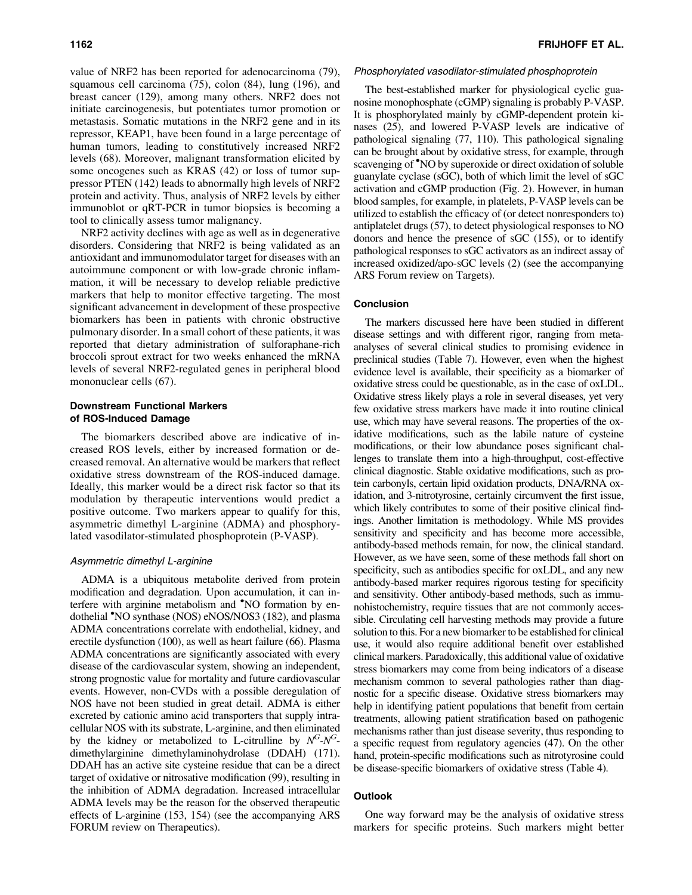value of NRF2 has been reported for adenocarcinoma (79), squamous cell carcinoma (75), colon (84), lung (196), and breast cancer (129), among many others. NRF2 does not initiate carcinogenesis, but potentiates tumor promotion or metastasis. Somatic mutations in the NRF2 gene and in its repressor, KEAP1, have been found in a large percentage of human tumors, leading to constitutively increased NRF2 levels (68). Moreover, malignant transformation elicited by some oncogenes such as KRAS (42) or loss of tumor suppressor PTEN (142) leads to abnormally high levels of NRF2 protein and activity. Thus, analysis of NRF2 levels by either immunoblot or qRT-PCR in tumor biopsies is becoming a tool to clinically assess tumor malignancy.

NRF2 activity declines with age as well as in degenerative disorders. Considering that NRF2 is being validated as an antioxidant and immunomodulator target for diseases with an autoimmune component or with low-grade chronic inflammation, it will be necessary to develop reliable predictive markers that help to monitor effective targeting. The most significant advancement in development of these prospective biomarkers has been in patients with chronic obstructive pulmonary disorder. In a small cohort of these patients, it was reported that dietary administration of sulforaphane-rich broccoli sprout extract for two weeks enhanced the mRNA levels of several NRF2-regulated genes in peripheral blood mononuclear cells (67).

## Downstream Functional Markers of ROS-Induced Damage

The biomarkers described above are indicative of increased ROS levels, either by increased formation or decreased removal. An alternative would be markers that reflect oxidative stress downstream of the ROS-induced damage. Ideally, this marker would be a direct risk factor so that its modulation by therapeutic interventions would predict a positive outcome. Two markers appear to qualify for this, asymmetric dimethyl L-arginine (ADMA) and phosphorylated vasodilator-stimulated phosphoprotein (P-VASP).

## Asymmetric dimethyl L-arginine

ADMA is a ubiquitous metabolite derived from protein modification and degradation. Upon accumulation, it can interfere with arginine metabolism and 'NO formation by endothelial 'NO synthase (NOS) eNOS/NOS3 (182), and plasma ADMA concentrations correlate with endothelial, kidney, and erectile dysfunction (100), as well as heart failure (66). Plasma ADMA concentrations are significantly associated with every disease of the cardiovascular system, showing an independent, strong prognostic value for mortality and future cardiovascular events. However, non-CVDs with a possible deregulation of NOS have not been studied in great detail. ADMA is either excreted by cationic amino acid transporters that supply intracellular NOS with its substrate, L-arginine, and then eliminated by the kidney or metabolized to L-citrulline by  $N^G \cdot N^G$ dimethylarginine dimethylaminohydrolase (DDAH) (171). DDAH has an active site cysteine residue that can be a direct target of oxidative or nitrosative modification (99), resulting in the inhibition of ADMA degradation. Increased intracellular ADMA levels may be the reason for the observed therapeutic effects of L-arginine (153, 154) (see the accompanying ARS FORUM review on Therapeutics).

#### Phosphorylated vasodilator-stimulated phosphoprotein

The best-established marker for physiological cyclic guanosine monophosphate (cGMP) signaling is probably P-VASP. It is phosphorylated mainly by cGMP-dependent protein kinases (25), and lowered P-VASP levels are indicative of pathological signaling (77, 110). This pathological signaling can be brought about by oxidative stress, for example, through scavenging of 'NO by superoxide or direct oxidation of soluble guanylate cyclase (sGC), both of which limit the level of sGC activation and cGMP production (Fig. 2). However, in human blood samples, for example, in platelets, P-VASP levels can be utilized to establish the efficacy of (or detect nonresponders to) antiplatelet drugs (57), to detect physiological responses to NO donors and hence the presence of sGC (155), or to identify pathological responses to sGC activators as an indirect assay of increased oxidized/apo-sGC levels (2) (see the accompanying ARS Forum review on Targets).

## Conclusion

The markers discussed here have been studied in different disease settings and with different rigor, ranging from metaanalyses of several clinical studies to promising evidence in preclinical studies (Table 7). However, even when the highest evidence level is available, their specificity as a biomarker of oxidative stress could be questionable, as in the case of oxLDL. Oxidative stress likely plays a role in several diseases, yet very few oxidative stress markers have made it into routine clinical use, which may have several reasons. The properties of the oxidative modifications, such as the labile nature of cysteine modifications, or their low abundance poses significant challenges to translate them into a high-throughput, cost-effective clinical diagnostic. Stable oxidative modifications, such as protein carbonyls, certain lipid oxidation products, DNA/RNA oxidation, and 3-nitrotyrosine, certainly circumvent the first issue, which likely contributes to some of their positive clinical findings. Another limitation is methodology. While MS provides sensitivity and specificity and has become more accessible, antibody-based methods remain, for now, the clinical standard. However, as we have seen, some of these methods fall short on specificity, such as antibodies specific for oxLDL, and any new antibody-based marker requires rigorous testing for specificity and sensitivity. Other antibody-based methods, such as immunohistochemistry, require tissues that are not commonly accessible. Circulating cell harvesting methods may provide a future solution to this. For a new biomarker to be established for clinical use, it would also require additional benefit over established clinical markers. Paradoxically, this additional value of oxidative stress biomarkers may come from being indicators of a disease mechanism common to several pathologies rather than diagnostic for a specific disease. Oxidative stress biomarkers may help in identifying patient populations that benefit from certain treatments, allowing patient stratification based on pathogenic mechanisms rather than just disease severity, thus responding to a specific request from regulatory agencies (47). On the other hand, protein-specific modifications such as nitrotyrosine could be disease-specific biomarkers of oxidative stress (Table 4).

## **Outlook**

One way forward may be the analysis of oxidative stress markers for specific proteins. Such markers might better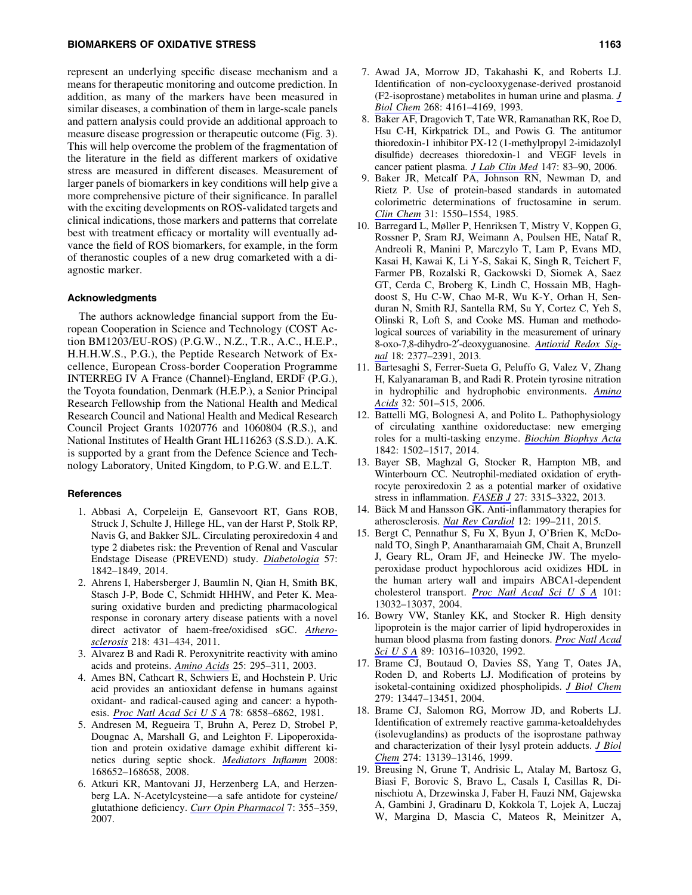#### BIOMARKERS OF OXIDATIVE STRESS 1163

represent an underlying specific disease mechanism and a means for therapeutic monitoring and outcome prediction. In addition, as many of the markers have been measured in similar diseases, a combination of them in large-scale panels and pattern analysis could provide an additional approach to measure disease progression or therapeutic outcome (Fig. 3). This will help overcome the problem of the fragmentation of the literature in the field as different markers of oxidative stress are measured in different diseases. Measurement of larger panels of biomarkers in key conditions will help give a more comprehensive picture of their significance. In parallel with the exciting developments on ROS-validated targets and clinical indications, those markers and patterns that correlate best with treatment efficacy or mortality will eventually advance the field of ROS biomarkers, for example, in the form of theranostic couples of a new drug comarketed with a diagnostic marker.

## Acknowledgments

The authors acknowledge financial support from the European Cooperation in Science and Technology (COST Action BM1203/EU-ROS) (P.G.W., N.Z., T.R., A.C., H.E.P., H.H.H.W.S., P.G.), the Peptide Research Network of Excellence, European Cross-border Cooperation Programme INTERREG IV A France (Channel)-England, ERDF (P.G.), the Toyota foundation, Denmark (H.E.P.), a Senior Principal Research Fellowship from the National Health and Medical Research Council and National Health and Medical Research Council Project Grants 1020776 and 1060804 (R.S.), and National Institutes of Health Grant HL116263 (S.S.D.). A.K. is supported by a grant from the Defence Science and Technology Laboratory, United Kingdom, to P.G.W. and E.L.T.

#### References

- 1. Abbasi A, Corpeleijn E, Gansevoort RT, Gans ROB, Struck J, Schulte J, Hillege HL, van der Harst P, Stolk RP, Navis G, and Bakker SJL. Circulating peroxiredoxin 4 and type 2 diabetes risk: the Prevention of Renal and Vascular Endstage Disease (PREVEND) study. *[Diabetologia](http://online.liebertpub.com/action/showLinks?pmid=24893865&crossref=10.1007%2Fs00125-014-3278-9)* 57: 1842–1849, 2014.
- 2. Ahrens I, Habersberger J, Baumlin N, Qian H, Smith BK, Stasch J-P, Bode C, Schmidt HHHW, and Peter K. Measuring oxidative burden and predicting pharmacological response in coronary artery disease patients with a novel direct activator of haem-free/oxidised sGC. *[Athero](http://online.liebertpub.com/action/showLinks?pmid=21794866&crossref=10.1016%2Fj.atherosclerosis.2011.06.042)[sclerosis](http://online.liebertpub.com/action/showLinks?pmid=21794866&crossref=10.1016%2Fj.atherosclerosis.2011.06.042)* 218: 431–434, 2011.
- 3. Alvarez B and Radi R. Peroxynitrite reactivity with amino acids and proteins. *[Amino Acids](http://online.liebertpub.com/action/showLinks?pmid=14661092&crossref=10.1007%2Fs00726-003-0018-8)* 25: 295–311, 2003.
- 4. Ames BN, Cathcart R, Schwiers E, and Hochstein P. Uric acid provides an antioxidant defense in humans against oxidant- and radical-caused aging and cancer: a hypothesis. *[Proc Natl Acad Sci U S A](http://online.liebertpub.com/action/showLinks?pmid=6947260&crossref=10.1073%2Fpnas.78.11.6858)* 78: 6858–6862, 1981.
- 5. Andresen M, Regueira T, Bruhn A, Perez D, Strobel P, Dougnac A, Marshall G, and Leighton F. Lipoperoxidation and protein oxidative damage exhibit different kinetics during septic shock. *[Mediators Inflamm](http://online.liebertpub.com/action/showLinks?pmid=18566692&crossref=10.1155%2F2008%2F168652)* 2008: 168652–168658, 2008.
- 6. Atkuri KR, Mantovani JJ, Herzenberg LA, and Herzenberg LA. N-Acetylcysteine—a safe antidote for cysteine/ glutathione deficiency. *[Curr Opin Pharmacol](http://online.liebertpub.com/action/showLinks?pmid=17602868&crossref=10.1016%2Fj.coph.2007.04.005)* 7: 355–359, 2007.
- 7. Awad JA, Morrow JD, Takahashi K, and Roberts LJ. Identification of non-cyclooxygenase-derived prostanoid (F2-isoprostane) metabolites in human urine and plasma. *[J](http://online.liebertpub.com/action/showLinks?pmid=8440704) [Biol Chem](http://online.liebertpub.com/action/showLinks?pmid=8440704)* 268: 4161–4169, 1993.
- 8. Baker AF, Dragovich T, Tate WR, Ramanathan RK, Roe D, Hsu C-H, Kirkpatrick DL, and Powis G. The antitumor thioredoxin-1 inhibitor PX-12 (1-methylpropyl 2-imidazolyl disulfide) decreases thioredoxin-1 and VEGF levels in cancer patient plasma. *[J Lab Clin Med](http://online.liebertpub.com/action/showLinks?pmid=16459166&crossref=10.1016%2Fj.lab.2005.09.001)* 147: 83–90, 2006.
- 9. Baker JR, Metcalf PA, Johnson RN, Newman D, and Rietz P. Use of protein-based standards in automated colorimetric determinations of fructosamine in serum. *[Clin Chem](http://online.liebertpub.com/action/showLinks?pmid=4028402)* 31: 1550–1554, 1985.
- 10. Barregard L, Møller P, Henriksen T, Mistry V, Koppen G, Rossner P, Sram RJ, Weimann A, Poulsen HE, Nataf R, Andreoli R, Manini P, Marczylo T, Lam P, Evans MD, Kasai H, Kawai K, Li Y-S, Sakai K, Singh R, Teichert F, Farmer PB, Rozalski R, Gackowski D, Siomek A, Saez GT, Cerda C, Broberg K, Lindh C, Hossain MB, Haghdoost S, Hu C-W, Chao M-R, Wu K-Y, Orhan H, Senduran N, Smith RJ, Santella RM, Su Y, Cortez C, Yeh S, Olinski R, Loft S, and Cooke MS. Human and methodological sources of variability in the measurement of urinary 8-oxo-7,8-dihydro-2¢-deoxyguanosine. *[Antioxid Redox Sig](http://online.liebertpub.com/action/showLinks?system=10.1089%2Fars.2012.4714&pmid=23198723)[nal](http://online.liebertpub.com/action/showLinks?system=10.1089%2Fars.2012.4714&pmid=23198723)* 18: 2377–2391, 2013.
- 11. Bartesaghi S, Ferrer-Sueta G, Peluffo G, Valez V, Zhang H, Kalyanaraman B, and Radi R. Protein tyrosine nitration in hydrophilic and hydrophobic environments. *[Amino](http://online.liebertpub.com/action/showLinks?pmid=17077966&crossref=10.1007%2Fs00726-006-0425-8) [Acids](http://online.liebertpub.com/action/showLinks?pmid=17077966&crossref=10.1007%2Fs00726-006-0425-8)* 32: 501–515, 2006.
- 12. Battelli MG, Bolognesi A, and Polito L. Pathophysiology of circulating xanthine oxidoreductase: new emerging roles for a multi-tasking enzyme. *[Biochim Biophys Acta](http://online.liebertpub.com/action/showLinks?pmid=24882753&crossref=10.1016%2Fj.bbadis.2014.05.022)* 1842: 1502–1517, 2014.
- 13. Bayer SB, Maghzal G, Stocker R, Hampton MB, and Winterbourn CC. Neutrophil-mediated oxidation of erythrocyte peroxiredoxin 2 as a potential marker of oxidative stress in inflammation. *[FASEB J](http://online.liebertpub.com/action/showLinks?pmid=23603832&crossref=10.1096%2Ffj.13-227298)* 27: 3315–3322, 2013.
- 14. Bäck M and Hansson GK. Anti-inflammatory therapies for atherosclerosis. *[Nat Rev Cardiol](http://online.liebertpub.com/action/showLinks?pmid=25666404&crossref=10.1038%2Fnrcardio.2015.5)* 12: 199–211, 2015.
- 15. Bergt C, Pennathur S, Fu X, Byun J, O'Brien K, McDonald TO, Singh P, Anantharamaiah GM, Chait A, Brunzell J, Geary RL, Oram JF, and Heinecke JW. The myeloperoxidase product hypochlorous acid oxidizes HDL in the human artery wall and impairs ABCA1-dependent cholesterol transport. *[Proc Natl Acad Sci U S A](http://online.liebertpub.com/action/showLinks?pmid=15326314&crossref=10.1073%2Fpnas.0405292101)* 101: 13032–13037, 2004.
- 16. Bowry VW, Stanley KK, and Stocker R. High density lipoprotein is the major carrier of lipid hydroperoxides in human blood plasma from fasting donors. *[Proc Natl Acad](http://online.liebertpub.com/action/showLinks?pmid=1332045&crossref=10.1073%2Fpnas.89.21.10316) [Sci U S A](http://online.liebertpub.com/action/showLinks?pmid=1332045&crossref=10.1073%2Fpnas.89.21.10316)* 89: 10316–10320, 1992.
- 17. Brame CJ, Boutaud O, Davies SS, Yang T, Oates JA, Roden D, and Roberts LJ. Modification of proteins by isoketal-containing oxidized phospholipids. *[J Biol Chem](http://online.liebertpub.com/action/showLinks?pmid=14715668&crossref=10.1074%2Fjbc.M313349200)* 279: 13447–13451, 2004.
- 18. Brame CJ, Salomon RG, Morrow JD, and Roberts LJ. Identification of extremely reactive gamma-ketoaldehydes (isolevuglandins) as products of the isoprostane pathway and characterization of their lysyl protein adducts. *[J Biol](http://online.liebertpub.com/action/showLinks?pmid=10224068&crossref=10.1074%2Fjbc.274.19.13139) [Chem](http://online.liebertpub.com/action/showLinks?pmid=10224068&crossref=10.1074%2Fjbc.274.19.13139)* 274: 13139–13146, 1999.
- 19. Breusing N, Grune T, Andrisic L, Atalay M, Bartosz G, Biasi F, Borovic S, Bravo L, Casals I, Casillas R, Dinischiotu A, Drzewinska J, Faber H, Fauzi NM, Gajewska A, Gambini J, Gradinaru D, Kokkola T, Lojek A, Luczaj W, Margina D, Mascia C, Mateos R, Meinitzer A,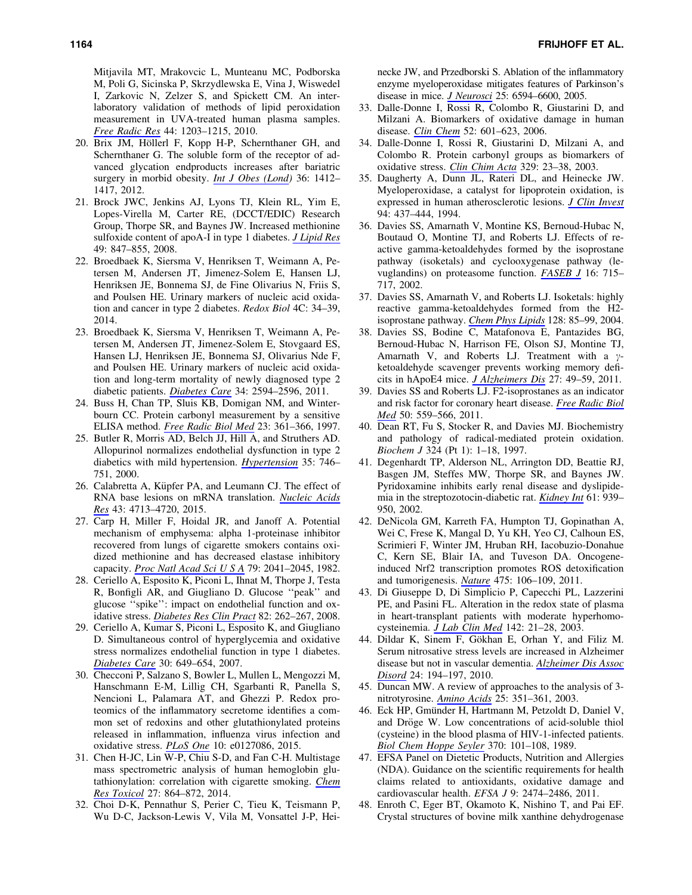Mitjavila MT, Mrakovcic L, Munteanu MC, Podborska M, Poli G, Sicinska P, Skrzydlewska E, Vina J, Wiswedel I, Zarkovic N, Zelzer S, and Spickett CM. An interlaboratory validation of methods of lipid peroxidation measurement in UVA-treated human plasma samples. *[Free Radic Res](http://online.liebertpub.com/action/showLinks?pmid=20836662&crossref=10.3109%2F10715762.2010.499907)* 44: 1203–1215, 2010.

- 20. Brix JM, Höllerl F, Kopp H-P, Schernthaner GH, and Schernthaner G. The soluble form of the receptor of advanced glycation endproducts increases after bariatric surgery in morbid obesity. *[Int J Obes \(Lond\)](http://online.liebertpub.com/action/showLinks?pmid=22828946&crossref=10.1038%2Fijo.2012.107)* 36: 1412– 1417, 2012.
- 21. Brock JWC, Jenkins AJ, Lyons TJ, Klein RL, Yim E, Lopes-Virella M, Carter RE, (DCCT/EDIC) Research Group, Thorpe SR, and Baynes JW. Increased methionine sulfoxide content of apoA-I in type 1 diabetes. *[J Lipid Res](http://online.liebertpub.com/action/showLinks?pmid=18202432&crossref=10.1194%2Fjlr.M800015-JLR200)* 49: 847–855, 2008.
- 22. Broedbaek K, Siersma V, Henriksen T, Weimann A, Petersen M, Andersen JT, Jimenez-Solem E, Hansen LJ, Henriksen JE, Bonnema SJ, de Fine Olivarius N, Friis S, and Poulsen HE. Urinary markers of nucleic acid oxidation and cancer in type 2 diabetes. *Redox Biol* 4C: 34–39, 2014.
- 23. Broedbaek K, Siersma V, Henriksen T, Weimann A, Petersen M, Andersen JT, Jimenez-Solem E, Stovgaard ES, Hansen LJ, Henriksen JE, Bonnema SJ, Olivarius Nde F, and Poulsen HE. Urinary markers of nucleic acid oxidation and long-term mortality of newly diagnosed type 2 diabetic patients. *[Diabetes Care](http://online.liebertpub.com/action/showLinks?pmid=21994431&crossref=10.2337%2Fdc11-1620)* 34: 2594–2596, 2011.
- 24. Buss H, Chan TP, Sluis KB, Domigan NM, and Winterbourn CC. Protein carbonyl measurement by a sensitive ELISA method. *[Free Radic Biol Med](http://online.liebertpub.com/action/showLinks?pmid=9214571&crossref=10.1016%2FS0891-5849%2897%2900104-4)* 23: 361–366, 1997.
- 25. Butler R, Morris AD, Belch JJ, Hill A, and Struthers AD. Allopurinol normalizes endothelial dysfunction in type 2 diabetics with mild hypertension. *[Hypertension](http://online.liebertpub.com/action/showLinks?pmid=10720589&crossref=10.1161%2F01.HYP.35.3.746)* 35: 746– 751, 2000.
- 26. Calabretta A, Küpfer PA, and Leumann CJ. The effect of RNA base lesions on mRNA translation. *[Nucleic Acids](http://online.liebertpub.com/action/showLinks?pmid=25897124&crossref=10.1093%2Fnar%2Fgkv377) [Res](http://online.liebertpub.com/action/showLinks?pmid=25897124&crossref=10.1093%2Fnar%2Fgkv377)* 43: 4713–4720, 2015.
- 27. Carp H, Miller F, Hoidal JR, and Janoff A. Potential mechanism of emphysema: alpha 1-proteinase inhibitor recovered from lungs of cigarette smokers contains oxidized methionine and has decreased elastase inhibitory capacity. *[Proc Natl Acad Sci U S A](http://online.liebertpub.com/action/showLinks?pmid=6979049&crossref=10.1073%2Fpnas.79.6.2041)* 79: 2041–2045, 1982.
- 28. Ceriello A, Esposito K, Piconi L, Ihnat M, Thorpe J, Testa R, Bonfigli AR, and Giugliano D. Glucose ''peak'' and glucose ''spike'': impact on endothelial function and oxidative stress. *[Diabetes Res Clin Pract](http://online.liebertpub.com/action/showLinks?pmid=18950890&crossref=10.1016%2Fj.diabres.2008.07.015)* 82: 262–267, 2008.
- 29. Ceriello A, Kumar S, Piconi L, Esposito K, and Giugliano D. Simultaneous control of hyperglycemia and oxidative stress normalizes endothelial function in type 1 diabetes. *[Diabetes Care](http://online.liebertpub.com/action/showLinks?pmid=17327335&crossref=10.2337%2Fdc06-2048)* 30: 649–654, 2007.
- 30. Checconi P, Salzano S, Bowler L, Mullen L, Mengozzi M, Hanschmann E-M, Lillig CH, Sgarbanti R, Panella S, Nencioni L, Palamara AT, and Ghezzi P. Redox proteomics of the inflammatory secretome identifies a common set of redoxins and other glutathionylated proteins released in inflammation, influenza virus infection and oxidative stress. *[PLoS One](http://online.liebertpub.com/action/showLinks?crossref=10.1371%2Fjournal.pone.0127086)* 10: e0127086, 2015.
- 31. Chen H-JC, Lin W-P, Chiu S-D, and Fan C-H. Multistage mass spectrometric analysis of human hemoglobin glutathionylation: correlation with cigarette smoking. *[Chem](http://online.liebertpub.com/action/showLinks?pmid=24641270&crossref=10.1021%2Ftx5000359) [Res Toxicol](http://online.liebertpub.com/action/showLinks?pmid=24641270&crossref=10.1021%2Ftx5000359)* 27: 864–872, 2014.
- 32. Choi D-K, Pennathur S, Perier C, Tieu K, Teismann P, Wu D-C, Jackson-Lewis V, Vila M, Vonsattel J-P, Hei-

necke JW, and Przedborski S. Ablation of the inflammatory enzyme myeloperoxidase mitigates features of Parkinson's disease in mice. *[J Neurosci](http://online.liebertpub.com/action/showLinks?pmid=16014720&crossref=10.1523%2FJNEUROSCI.0970-05.2005)* 25: 6594–6600, 2005.

- 33. Dalle-Donne I, Rossi R, Colombo R, Giustarini D, and Milzani A. Biomarkers of oxidative damage in human disease. *[Clin Chem](http://online.liebertpub.com/action/showLinks?pmid=16484333&crossref=10.1373%2Fclinchem.2005.061408)* 52: 601–623, 2006.
- 34. Dalle-Donne I, Rossi R, Giustarini D, Milzani A, and Colombo R. Protein carbonyl groups as biomarkers of oxidative stress. *[Clin Chim Acta](http://online.liebertpub.com/action/showLinks?pmid=12589963&crossref=10.1016%2FS0009-8981%2803%2900003-2)* 329: 23–38, 2003.
- 35. Daugherty A, Dunn JL, Rateri DL, and Heinecke JW. Myeloperoxidase, a catalyst for lipoprotein oxidation, is expressed in human atherosclerotic lesions. *[J Clin Invest](http://online.liebertpub.com/action/showLinks?pmid=8040285&crossref=10.1172%2FJCI117342)* 94: 437–444, 1994.
- 36. Davies SS, Amarnath V, Montine KS, Bernoud-Hubac N, Boutaud O, Montine TJ, and Roberts LJ. Effects of reactive gamma-ketoaldehydes formed by the isoprostane pathway (isoketals) and cyclooxygenase pathway (levuglandins) on proteasome function. *[FASEB J](http://online.liebertpub.com/action/showLinks?pmid=11978738)* 16: 715– 717, 2002.
- 37. Davies SS, Amarnath V, and Roberts LJ. Isoketals: highly reactive gamma-ketoaldehydes formed from the H2 isoprostane pathway. *[Chem Phys Lipids](http://online.liebertpub.com/action/showLinks?pmid=15037155&crossref=10.1016%2Fj.chemphyslip.2003.10.007)* 128: 85–99, 2004.
- 38. Davies SS, Bodine C, Matafonova E, Pantazides BG, Bernoud-Hubac N, Harrison FE, Olson SJ, Montine TJ, Amarnath V, and Roberts LJ. Treatment with a  $\gamma$ ketoaldehyde scavenger prevents working memory deficits in hApoE4 mice. *[J Alzheimers Dis](http://online.liebertpub.com/action/showLinks?pmid=21709376)* 27: 49–59, 2011.
- 39. Davies SS and Roberts LJ. F2-isoprostanes as an indicator and risk factor for coronary heart disease. *[Free Radic Biol](http://online.liebertpub.com/action/showLinks?pmid=21126576&crossref=10.1016%2Fj.freeradbiomed.2010.11.023) [Med](http://online.liebertpub.com/action/showLinks?pmid=21126576&crossref=10.1016%2Fj.freeradbiomed.2010.11.023)* 50: 559–566, 2011.
- 40. Dean RT, Fu S, Stocker R, and Davies MJ. Biochemistry and pathology of radical-mediated protein oxidation. *Biochem J* 324 (Pt 1): 1–18, 1997.
- 41. Degenhardt TP, Alderson NL, Arrington DD, Beattie RJ, Basgen JM, Steffes MW, Thorpe SR, and Baynes JW. Pyridoxamine inhibits early renal disease and dyslipidemia in the streptozotocin-diabetic rat. *[Kidney Int](http://online.liebertpub.com/action/showLinks?pmid=11849448&crossref=10.1046%2Fj.1523-1755.2002.00207.x)* 61: 939– 950, 2002.
- 42. DeNicola GM, Karreth FA, Humpton TJ, Gopinathan A, Wei C, Frese K, Mangal D, Yu KH, Yeo CJ, Calhoun ES, Scrimieri F, Winter JM, Hruban RH, Iacobuzio-Donahue C, Kern SE, Blair IA, and Tuveson DA. Oncogeneinduced Nrf2 transcription promotes ROS detoxification and tumorigenesis. *[Nature](http://online.liebertpub.com/action/showLinks?pmid=21734707&crossref=10.1038%2Fnature10189)* 475: 106–109, 2011.
- 43. Di Giuseppe D, Di Simplicio P, Capecchi PL, Lazzerini PE, and Pasini FL. Alteration in the redox state of plasma in heart-transplant patients with moderate hyperhomocysteinemia. *[J Lab Clin Med](http://online.liebertpub.com/action/showLinks?pmid=12878982&crossref=10.1016%2FS0022-2143%2803%2900057-X)* 142: 21–28, 2003.
- 44. Dildar K, Sinem F, Gökhan E, Orhan Y, and Filiz M. Serum nitrosative stress levels are increased in Alzheimer disease but not in vascular dementia. *[Alzheimer Dis Assoc](http://online.liebertpub.com/action/showLinks?pmid=20505437&crossref=10.1097%2FWAD.0b013e3181c53d0d) [Disord](http://online.liebertpub.com/action/showLinks?pmid=20505437&crossref=10.1097%2FWAD.0b013e3181c53d0d)* 24: 194–197, 2010.
- 45. Duncan MW. A review of approaches to the analysis of 3 nitrotyrosine. *[Amino Acids](http://online.liebertpub.com/action/showLinks?pmid=14661096&crossref=10.1007%2Fs00726-003-0022-z)* 25: 351–361, 2003.
- 46. Eck HP, Gmünder H, Hartmann M, Petzoldt D, Daniel V, and Dröge W. Low concentrations of acid-soluble thiol (cysteine) in the blood plasma of HIV-1-infected patients. *[Biol Chem Hoppe Seyler](http://online.liebertpub.com/action/showLinks?pmid=2784973&crossref=10.1515%2Fbchm3.1989.370.1.101)* 370: 101–108, 1989.
- 47. EFSA Panel on Dietetic Products, Nutrition and Allergies (NDA). Guidance on the scientific requirements for health claims related to antioxidants, oxidative damage and cardiovascular health. *EFSA J* 9: 2474–2486, 2011.
- 48. Enroth C, Eger BT, Okamoto K, Nishino T, and Pai EF. Crystal structures of bovine milk xanthine dehydrogenase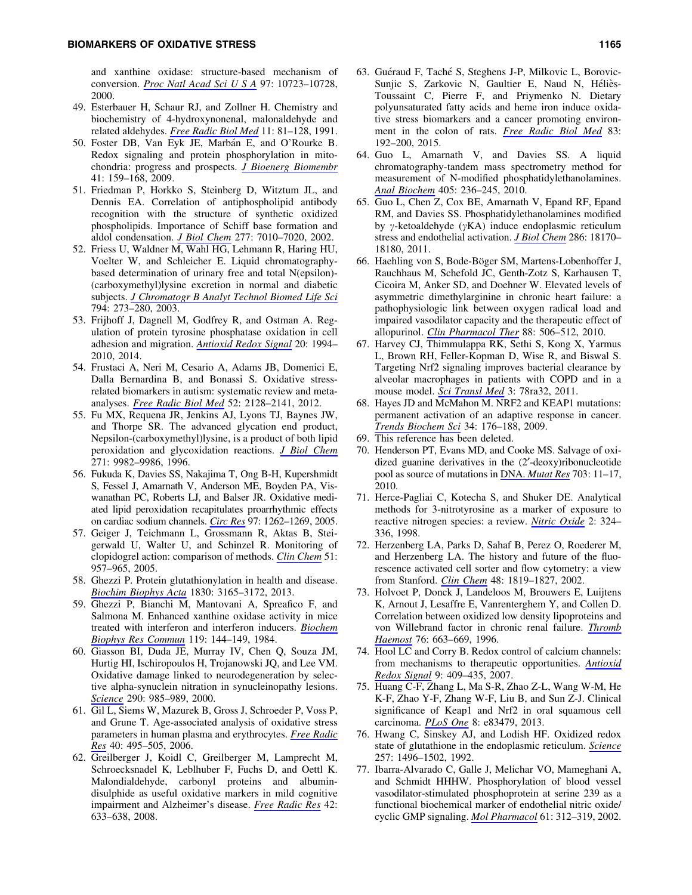and xanthine oxidase: structure-based mechanism of conversion. *[Proc Natl Acad Sci U S A](http://online.liebertpub.com/action/showLinks?pmid=11005854&crossref=10.1073%2Fpnas.97.20.10723)* 97: 10723–10728, 2000.

- 49. Esterbauer H, Schaur RJ, and Zollner H. Chemistry and biochemistry of 4-hydroxynonenal, malonaldehyde and related aldehydes. *[Free Radic Biol Med](http://online.liebertpub.com/action/showLinks?pmid=1937131&crossref=10.1016%2F0891-5849%2891%2990192-6)* 11: 81–128, 1991.
- 50. Foster DB, Van Eyk JE, Marbán E, and O'Rourke B. Redox signaling and protein phosphorylation in mitochondria: progress and prospects. *[J Bioenerg Biomembr](http://online.liebertpub.com/action/showLinks?pmid=19440831&crossref=10.1007%2Fs10863-009-9217-7)* 41: 159–168, 2009.
- 51. Friedman P, Horkko S, Steinberg D, Witztum JL, and Dennis EA. Correlation of antiphospholipid antibody recognition with the structure of synthetic oxidized phospholipids. Importance of Schiff base formation and aldol condensation. *[J Biol Chem](http://online.liebertpub.com/action/showLinks?pmid=11744722&crossref=10.1074%2Fjbc.M108860200)* 277: 7010–7020, 2002.
- 52. Friess U, Waldner M, Wahl HG, Lehmann R, Haring HU, Voelter W, and Schleicher E. Liquid chromatographybased determination of urinary free and total N(epsilon)- (carboxymethyl)lysine excretion in normal and diabetic subjects. *[J Chromatogr B Analyt Technol Biomed Life Sci](http://online.liebertpub.com/action/showLinks?pmid=12954378&crossref=10.1016%2FS1570-0232%2803%2900472-0)* 794: 273–280, 2003.
- 53. Frijhoff J, Dagnell M, Godfrey R, and Ostman A. Regulation of protein tyrosine phosphatase oxidation in cell adhesion and migration. *[Antioxid Redox Signal](http://online.liebertpub.com/action/showLinks?system=10.1089%2Fars.2013.5643&pmid=24111825)* 20: 1994– 2010, 2014.
- 54. Frustaci A, Neri M, Cesario A, Adams JB, Domenici E, Dalla Bernardina B, and Bonassi S. Oxidative stressrelated biomarkers in autism: systematic review and metaanalyses. *[Free Radic Biol Med](http://online.liebertpub.com/action/showLinks?pmid=22542447&crossref=10.1016%2Fj.freeradbiomed.2012.03.011)* 52: 2128–2141, 2012.
- 55. Fu MX, Requena JR, Jenkins AJ, Lyons TJ, Baynes JW, and Thorpe SR. The advanced glycation end product, Nepsilon-(carboxymethyl)lysine, is a product of both lipid peroxidation and glycoxidation reactions. *[J Biol Chem](http://online.liebertpub.com/action/showLinks?pmid=8626637&crossref=10.1074%2Fjbc.271.33.19641)* 271: 9982–9986, 1996.
- 56. Fukuda K, Davies SS, Nakajima T, Ong B-H, Kupershmidt S, Fessel J, Amarnath V, Anderson ME, Boyden PA, Viswanathan PC, Roberts LJ, and Balser JR. Oxidative mediated lipid peroxidation recapitulates proarrhythmic effects on cardiac sodium channels. *[Circ Res](http://online.liebertpub.com/action/showLinks?pmid=16284182&crossref=10.1161%2F01.RES.0000195844.31466.e9)* 97: 1262–1269, 2005.
- 57. Geiger J, Teichmann L, Grossmann R, Aktas B, Steigerwald U, Walter U, and Schinzel R. Monitoring of clopidogrel action: comparison of methods. *[Clin Chem](http://online.liebertpub.com/action/showLinks?pmid=15817818&crossref=10.1373%2Fclinchem.2004.047050)* 51: 957–965, 2005.
- 58. Ghezzi P. Protein glutathionylation in health and disease. *[Biochim Biophys Acta](http://online.liebertpub.com/action/showLinks?pmid=23416063&crossref=10.1016%2Fj.bbagen.2013.02.009)* 1830: 3165–3172, 2013.
- 59. Ghezzi P, Bianchi M, Mantovani A, Spreafico F, and Salmona M. Enhanced xanthine oxidase activity in mice treated with interferon and interferon inducers. *[Biochem](http://online.liebertpub.com/action/showLinks?pmid=6584105&crossref=10.1016%2F0006-291X%2884%2991630-9) [Biophys Res Commun](http://online.liebertpub.com/action/showLinks?pmid=6584105&crossref=10.1016%2F0006-291X%2884%2991630-9)* 119: 144–149, 1984.
- 60. Giasson BI, Duda JE, Murray IV, Chen Q, Souza JM, Hurtig HI, Ischiropoulos H, Trojanowski JQ, and Lee VM. Oxidative damage linked to neurodegeneration by selective alpha-synuclein nitration in synucleinopathy lesions. *[Science](http://online.liebertpub.com/action/showLinks?pmid=11062131&crossref=10.1126%2Fscience.290.5493.985)* 290: 985–989, 2000.
- 61. Gil L, Siems W, Mazurek B, Gross J, Schroeder P, Voss P, and Grune T. Age-associated analysis of oxidative stress parameters in human plasma and erythrocytes. *[Free Radic](http://online.liebertpub.com/action/showLinks?pmid=16551576&crossref=10.1080%2F10715760600592962) [Res](http://online.liebertpub.com/action/showLinks?pmid=16551576&crossref=10.1080%2F10715760600592962)* 40: 495–505, 2006.
- 62. Greilberger J, Koidl C, Greilberger M, Lamprecht M, Schroecksnadel K, Leblhuber F, Fuchs D, and Oettl K. Malondialdehyde, carbonyl proteins and albumindisulphide as useful oxidative markers in mild cognitive impairment and Alzheimer's disease. *[Free Radic Res](http://online.liebertpub.com/action/showLinks?pmid=18654878&crossref=10.1080%2F10715760802255764)* 42: 633–638, 2008.
- 63. Guéraud F, Taché S, Steghens J-P, Milkovic L, Borovic-Sunjic S, Zarkovic N, Gaultier E, Naud N, Héliès-Toussaint C, Pierre F, and Priymenko N. Dietary polyunsaturated fatty acids and heme iron induce oxidative stress biomarkers and a cancer promoting environment in the colon of rats. *[Free Radic Biol Med](http://online.liebertpub.com/action/showLinks?pmid=25744414&crossref=10.1016%2Fj.freeradbiomed.2015.02.023)* 83: 192–200, 2015.
- 64. Guo L, Amarnath V, and Davies SS. A liquid chromatography-tandem mass spectrometry method for measurement of N-modified phosphatidylethanolamines. *[Anal Biochem](http://online.liebertpub.com/action/showLinks?pmid=20599652&crossref=10.1016%2Fj.ab.2010.06.027)* 405: 236–245, 2010.
- 65. Guo L, Chen Z, Cox BE, Amarnath V, Epand RF, Epand RM, and Davies SS. Phosphatidylethanolamines modified by  $\gamma$ -ketoaldehyde ( $\gamma$ KA) induce endoplasmic reticulum stress and endothelial activation. *[J Biol Chem](http://online.liebertpub.com/action/showLinks?pmid=21454544&crossref=10.1074%2Fjbc.M110.213470)* 286: 18170– 18180, 2011.
- 66. Haehling von S, Bode-Böger SM, Martens-Lobenhoffer J, Rauchhaus M, Schefold JC, Genth-Zotz S, Karhausen T, Cicoira M, Anker SD, and Doehner W. Elevated levels of asymmetric dimethylarginine in chronic heart failure: a pathophysiologic link between oxygen radical load and impaired vasodilator capacity and the therapeutic effect of allopurinol. *[Clin Pharmacol Ther](http://online.liebertpub.com/action/showLinks?pmid=20827268&crossref=10.1038%2Fclpt.2010.116)* 88: 506–512, 2010.
- 67. Harvey CJ, Thimmulappa RK, Sethi S, Kong X, Yarmus L, Brown RH, Feller-Kopman D, Wise R, and Biswal S. Targeting Nrf2 signaling improves bacterial clearance by alveolar macrophages in patients with COPD and in a mouse model. *[Sci Transl Med](http://online.liebertpub.com/action/showLinks?crossref=10.1126%2Fscitranslmed.3002042)* 3: 78ra32, 2011.
- 68. Hayes JD and McMahon M. NRF2 and KEAP1 mutations: permanent activation of an adaptive response in cancer. *[Trends Biochem Sci](http://online.liebertpub.com/action/showLinks?pmid=19321346&crossref=10.1016%2Fj.tibs.2008.12.008)* 34: 176–188, 2009.
- 69. This reference has been deleted.
- 70. Henderson PT, Evans MD, and Cooke MS. Salvage of oxidized guanine derivatives in the  $(2'-deoxy)$ ribonucleotide pool as source of mutations in DNA. *[Mutat Res](http://online.liebertpub.com/action/showLinks?pmid=20833264&crossref=10.1016%2Fj.mrgentox.2010.08.021)* 703: 11–17, 2010.
- 71. Herce-Pagliai C, Kotecha S, and Shuker DE. Analytical methods for 3-nitrotyrosine as a marker of exposure to reactive nitrogen species: a review. *[Nitric Oxide](http://online.liebertpub.com/action/showLinks?pmid=10100488&crossref=10.1006%2Fniox.1998.0192)* 2: 324– 336, 1998.
- 72. Herzenberg LA, Parks D, Sahaf B, Perez O, Roederer M, and Herzenberg LA. The history and future of the fluorescence activated cell sorter and flow cytometry: a view from Stanford. *[Clin Chem](http://online.liebertpub.com/action/showLinks?pmid=12324512)* 48: 1819–1827, 2002.
- 73. Holvoet P, Donck J, Landeloos M, Brouwers E, Luijtens K, Arnout J, Lesaffre E, Vanrenterghem Y, and Collen D. Correlation between oxidized low density lipoproteins and von Willebrand factor in chronic renal failure. *[Thromb](http://online.liebertpub.com/action/showLinks?pmid=8950769) [Haemost](http://online.liebertpub.com/action/showLinks?pmid=8950769)* 76: 663–669, 1996.
- 74. Hool LC and Corry B. Redox control of calcium channels: from mechanisms to therapeutic opportunities. *[Antioxid](http://online.liebertpub.com/action/showLinks?system=10.1089%2Fars.2006.1446&pmid=17280484) [Redox Signal](http://online.liebertpub.com/action/showLinks?system=10.1089%2Fars.2006.1446&pmid=17280484)* 9: 409–435, 2007.
- 75. Huang C-F, Zhang L, Ma S-R, Zhao Z-L, Wang W-M, He K-F, Zhao Y-F, Zhang W-F, Liu B, and Sun Z-J. Clinical significance of Keap1 and Nrf2 in oral squamous cell carcinoma. *[PLoS One](http://online.liebertpub.com/action/showLinks?pmid=24386210&crossref=10.1371%2Fjournal.pone.0083479)* 8: e83479, 2013.
- 76. Hwang C, Sinskey AJ, and Lodish HF. Oxidized redox state of glutathione in the endoplasmic reticulum. *[Science](http://online.liebertpub.com/action/showLinks?pmid=1523409&crossref=10.1126%2Fscience.1523409)* 257: 1496–1502, 1992.
- 77. Ibarra-Alvarado C, Galle J, Melichar VO, Mameghani A, and Schmidt HHHW. Phosphorylation of blood vessel vasodilator-stimulated phosphoprotein at serine 239 as a functional biochemical marker of endothelial nitric oxide/ cyclic GMP signaling. *[Mol Pharmacol](http://online.liebertpub.com/action/showLinks?pmid=11809855&crossref=10.1124%2Fmol.61.2.312)* 61: 312–319, 2002.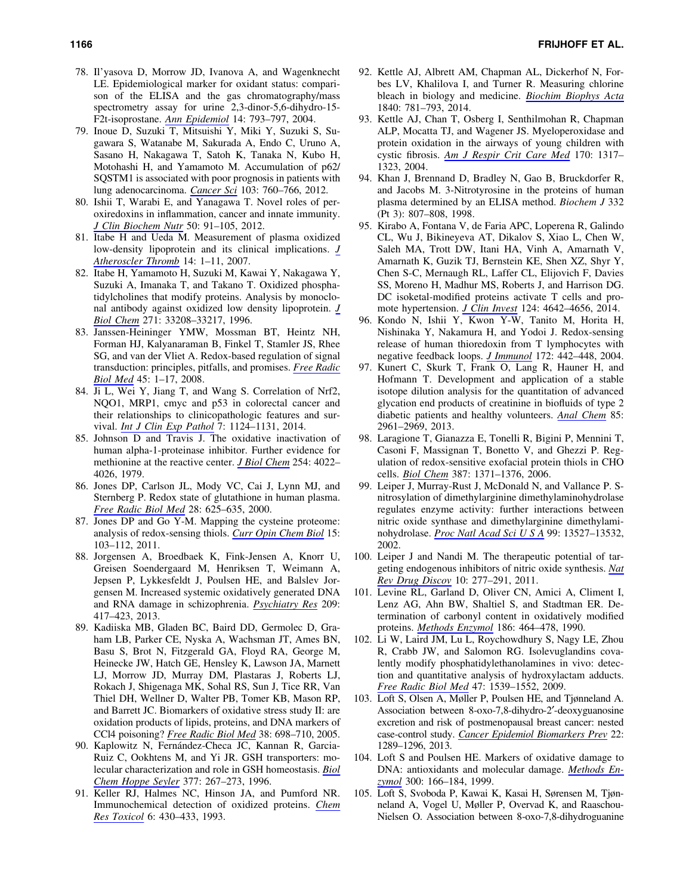- 78. Il'yasova D, Morrow JD, Ivanova A, and Wagenknecht LE. Epidemiological marker for oxidant status: comparison of the ELISA and the gas chromatography/mass spectrometry assay for urine 2,3-dinor-5,6-dihydro-15- F2t-isoprostane. *[Ann Epidemiol](http://online.liebertpub.com/action/showLinks?pmid=15519902&crossref=10.1016%2Fj.annepidem.2004.03.003)* 14: 793–797, 2004.
- 79. Inoue D, Suzuki T, Mitsuishi Y, Miki Y, Suzuki S, Sugawara S, Watanabe M, Sakurada A, Endo C, Uruno A, Sasano H, Nakagawa T, Satoh K, Tanaka N, Kubo H, Motohashi H, and Yamamoto M. Accumulation of p62/ SQSTM1 is associated with poor prognosis in patients with lung adenocarcinoma. *[Cancer Sci](http://online.liebertpub.com/action/showLinks?pmid=22320446&crossref=10.1111%2Fj.1349-7006.2012.02216.x)* 103: 760–766, 2012.
- 80. Ishii T, Warabi E, and Yanagawa T. Novel roles of peroxiredoxins in inflammation, cancer and innate immunity. *[J Clin Biochem Nutr](http://online.liebertpub.com/action/showLinks?pmid=22448089&crossref=10.3164%2Fjcbn.11-109)* 50: 91–105, 2012.
- 81. Itabe H and Ueda M. Measurement of plasma oxidized low-density lipoprotein and its clinical implications. *[J](http://online.liebertpub.com/action/showLinks?pmid=17332686&crossref=10.5551%2Fjat.14.1) [Atheroscler Thromb](http://online.liebertpub.com/action/showLinks?pmid=17332686&crossref=10.5551%2Fjat.14.1)* 14: 1–11, 2007.
- 82. Itabe H, Yamamoto H, Suzuki M, Kawai Y, Nakagawa Y, Suzuki A, Imanaka T, and Takano T. Oxidized phosphatidylcholines that modify proteins. Analysis by monoclonal antibody against oxidized low density lipoprotein. *[J](http://online.liebertpub.com/action/showLinks?pmid=8969177&crossref=10.1074%2Fjbc.271.52.33208) [Biol Chem](http://online.liebertpub.com/action/showLinks?pmid=8969177&crossref=10.1074%2Fjbc.271.52.33208)* 271: 33208–33217, 1996.
- 83. Janssen-Heininger YMW, Mossman BT, Heintz NH, Forman HJ, Kalyanaraman B, Finkel T, Stamler JS, Rhee SG, and van der Vliet A. Redox-based regulation of signal transduction: principles, pitfalls, and promises. *[Free Radic](http://online.liebertpub.com/action/showLinks?pmid=18423411&crossref=10.1016%2Fj.freeradbiomed.2008.03.011) [Biol Med](http://online.liebertpub.com/action/showLinks?pmid=18423411&crossref=10.1016%2Fj.freeradbiomed.2008.03.011)* 45: 1–17, 2008.
- 84. Ji L, Wei Y, Jiang T, and Wang S. Correlation of Nrf2, NQO1, MRP1, cmyc and p53 in colorectal cancer and their relationships to clinicopathologic features and survival. *[Int J Clin Exp Pathol](http://online.liebertpub.com/action/showLinks?pmid=24695690)* 7: 1124–1131, 2014.
- 85. Johnson D and Travis J. The oxidative inactivation of human alpha-1-proteinase inhibitor. Further evidence for methionine at the reactive center. *[J Biol Chem](http://online.liebertpub.com/action/showLinks?pmid=312289)* 254: 4022– 4026, 1979.
- 86. Jones DP, Carlson JL, Mody VC, Cai J, Lynn MJ, and Sternberg P. Redox state of glutathione in human plasma. *[Free Radic Biol Med](http://online.liebertpub.com/action/showLinks?pmid=10719244&crossref=10.1016%2FS0891-5849%2899%2900275-0)* 28: 625–635, 2000.
- 87. Jones DP and Go Y-M. Mapping the cysteine proteome: analysis of redox-sensing thiols. *[Curr Opin Chem Biol](http://online.liebertpub.com/action/showLinks?pmid=21216657&crossref=10.1016%2Fj.cbpa.2010.12.014)* 15: 103–112, 2011.
- 88. Jorgensen A, Broedbaek K, Fink-Jensen A, Knorr U, Greisen Soendergaard M, Henriksen T, Weimann A, Jepsen P, Lykkesfeldt J, Poulsen HE, and Balslev Jorgensen M. Increased systemic oxidatively generated DNA and RNA damage in schizophrenia. *[Psychiatry Res](http://online.liebertpub.com/action/showLinks?pmid=23465294&crossref=10.1016%2Fj.psychres.2013.01.033)* 209: 417–423, 2013.
- 89. Kadiiska MB, Gladen BC, Baird DD, Germolec D, Graham LB, Parker CE, Nyska A, Wachsman JT, Ames BN, Basu S, Brot N, Fitzgerald GA, Floyd RA, George M, Heinecke JW, Hatch GE, Hensley K, Lawson JA, Marnett LJ, Morrow JD, Murray DM, Plastaras J, Roberts LJ, Rokach J, Shigenaga MK, Sohal RS, Sun J, Tice RR, Van Thiel DH, Wellner D, Walter PB, Tomer KB, Mason RP, and Barrett JC. Biomarkers of oxidative stress study II: are oxidation products of lipids, proteins, and DNA markers of CCl4 poisoning? *[Free Radic Biol Med](http://online.liebertpub.com/action/showLinks?pmid=15721980&crossref=10.1016%2Fj.freeradbiomed.2004.09.017)* 38: 698–710, 2005.
- 90. Kaplowitz N, Fernández-Checa JC, Kannan R, Garcia-Ruiz C, Ookhtens M, and Yi JR. GSH transporters: molecular characterization and role in GSH homeostasis. *[Biol](http://online.liebertpub.com/action/showLinks?pmid=8828817) [Chem Hoppe Seyler](http://online.liebertpub.com/action/showLinks?pmid=8828817)* 377: 267–273, 1996.
- 91. Keller RJ, Halmes NC, Hinson JA, and Pumford NR. Immunochemical detection of oxidized proteins. *[Chem](http://online.liebertpub.com/action/showLinks?pmid=8374038&crossref=10.1021%2Ftx00034a007) [Res Toxicol](http://online.liebertpub.com/action/showLinks?pmid=8374038&crossref=10.1021%2Ftx00034a007)* 6: 430–433, 1993.
- 92. Kettle AJ, Albrett AM, Chapman AL, Dickerhof N, Forbes LV, Khalilova I, and Turner R. Measuring chlorine bleach in biology and medicine. *[Biochim Biophys Acta](http://online.liebertpub.com/action/showLinks?pmid=23872351&crossref=10.1016%2Fj.bbagen.2013.07.004)* 1840: 781–793, 2014.
- 93. Kettle AJ, Chan T, Osberg I, Senthilmohan R, Chapman ALP, Mocatta TJ, and Wagener JS. Myeloperoxidase and protein oxidation in the airways of young children with cystic fibrosis. *[Am J Respir Crit Care Med](http://online.liebertpub.com/action/showLinks?pmid=15466253&crossref=10.1164%2Frccm.200311-1516OC)* 170: 1317– 1323, 2004.
- 94. Khan J, Brennand D, Bradley N, Gao B, Bruckdorfer R, and Jacobs M. 3-Nitrotyrosine in the proteins of human plasma determined by an ELISA method. *Biochem J* 332 (Pt 3): 807–808, 1998.
- 95. Kirabo A, Fontana V, de Faria APC, Loperena R, Galindo CL, Wu J, Bikineyeva AT, Dikalov S, Xiao L, Chen W, Saleh MA, Trott DW, Itani HA, Vinh A, Amarnath V, Amarnath K, Guzik TJ, Bernstein KE, Shen XZ, Shyr Y, Chen S-C, Mernaugh RL, Laffer CL, Elijovich F, Davies SS, Moreno H, Madhur MS, Roberts J, and Harrison DG. DC isoketal-modified proteins activate T cells and promote hypertension. *[J Clin Invest](http://online.liebertpub.com/action/showLinks?pmid=25244096&crossref=10.1172%2FJCI74084)* 124: 4642–4656, 2014.
- 96. Kondo N, Ishii Y, Kwon Y-W, Tanito M, Horita H, Nishinaka Y, Nakamura H, and Yodoi J. Redox-sensing release of human thioredoxin from T lymphocytes with negative feedback loops. *[J Immunol](http://online.liebertpub.com/action/showLinks?pmid=14688353&crossref=10.4049%2Fjimmunol.172.1.442)* 172: 442–448, 2004.
- 97. Kunert C, Skurk T, Frank O, Lang R, Hauner H, and Hofmann T. Development and application of a stable isotope dilution analysis for the quantitation of advanced glycation end products of creatinine in biofluids of type 2 diabetic patients and healthy volunteers. *[Anal Chem](http://online.liebertpub.com/action/showLinks?pmid=23379726&crossref=10.1021%2Fac303684v)* 85: 2961–2969, 2013.
- 98. Laragione T, Gianazza E, Tonelli R, Bigini P, Mennini T, Casoni F, Massignan T, Bonetto V, and Ghezzi P. Regulation of redox-sensitive exofacial protein thiols in CHO cells. *[Biol Chem](http://online.liebertpub.com/action/showLinks?pmid=17081109&crossref=10.1515%2FBC.2006.172)* 387: 1371–1376, 2006.
- 99. Leiper J, Murray-Rust J, McDonald N, and Vallance P. Snitrosylation of dimethylarginine dimethylaminohydrolase regulates enzyme activity: further interactions between nitric oxide synthase and dimethylarginine dimethylaminohydrolase. *[Proc Natl Acad Sci U S A](http://online.liebertpub.com/action/showLinks?pmid=12370443&crossref=10.1073%2Fpnas.212269799)* 99: 13527–13532, 2002.
- 100. Leiper J and Nandi M. The therapeutic potential of targeting endogenous inhibitors of nitric oxide synthesis. *[Nat](http://online.liebertpub.com/action/showLinks?pmid=21455237&crossref=10.1038%2Fnrd3358) [Rev Drug Discov](http://online.liebertpub.com/action/showLinks?pmid=21455237&crossref=10.1038%2Fnrd3358)* 10: 277–291, 2011.
- 101. Levine RL, Garland D, Oliver CN, Amici A, Climent I, Lenz AG, Ahn BW, Shaltiel S, and Stadtman ER. Determination of carbonyl content in oxidatively modified proteins. *[Methods Enzymol](http://online.liebertpub.com/action/showLinks?pmid=1978225&crossref=10.1016%2F0076-6879%2890%2986141-H)* 186: 464–478, 1990.
- 102. Li W, Laird JM, Lu L, Roychowdhury S, Nagy LE, Zhou R, Crabb JW, and Salomon RG. Isolevuglandins covalently modify phosphatidylethanolamines in vivo: detection and quantitative analysis of hydroxylactam adducts. *[Free Radic Biol Med](http://online.liebertpub.com/action/showLinks?pmid=19751823&crossref=10.1016%2Fj.freeradbiomed.2009.09.003)* 47: 1539–1552, 2009.
- 103. Loft S, Olsen A, Møller P, Poulsen HE, and Tjønneland A. Association between 8-oxo-7,8-dihydro-2'-deoxyguanosine excretion and risk of postmenopausal breast cancer: nested case-control study. *[Cancer Epidemiol Biomarkers Prev](http://online.liebertpub.com/action/showLinks?pmid=23658396&crossref=10.1158%2F1055-9965.EPI-13-0229)* 22: 1289–1296, 2013.
- 104. Loft S and Poulsen HE. Markers of oxidative damage to DNA: antioxidants and molecular damage. *[Methods En](http://online.liebertpub.com/action/showLinks?pmid=9919520&crossref=10.1016%2FS0076-6879%2899%2900124-X)[zymol](http://online.liebertpub.com/action/showLinks?pmid=9919520&crossref=10.1016%2FS0076-6879%2899%2900124-X)* 300: 166–184, 1999.
- 105. Loft S, Svoboda P, Kawai K, Kasai H, Sørensen M, Tjønneland A, Vogel U, Møller P, Overvad K, and Raaschou-Nielsen O. Association between 8-oxo-7,8-dihydroguanine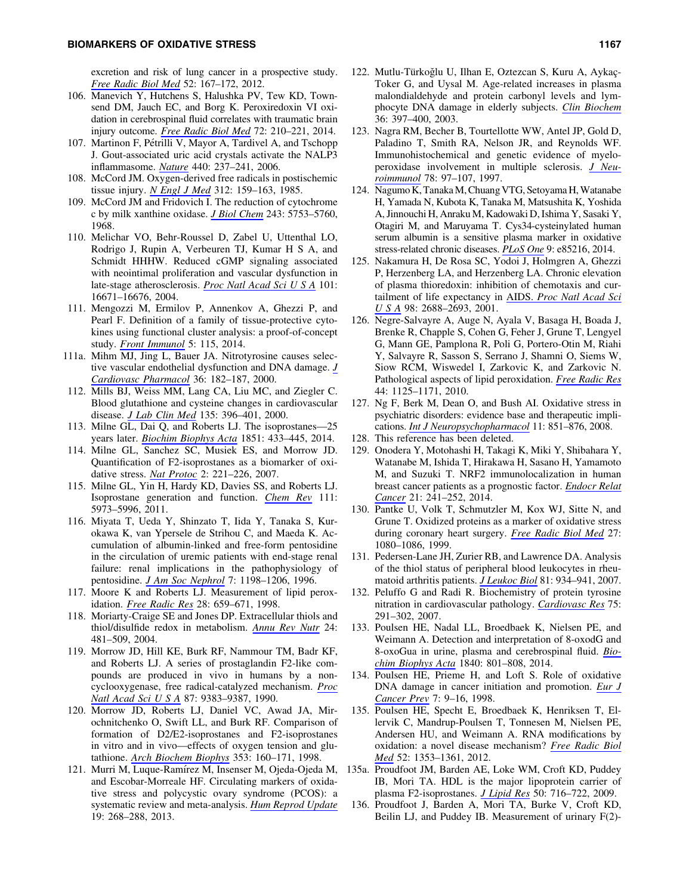excretion and risk of lung cancer in a prospective study. *[Free Radic Biol Med](http://online.liebertpub.com/action/showLinks?pmid=22044660&crossref=10.1016%2Fj.freeradbiomed.2011.10.439)* 52: 167–172, 2012.

- 106. Manevich Y, Hutchens S, Halushka PV, Tew KD, Townsend DM, Jauch EC, and Borg K. Peroxiredoxin VI oxidation in cerebrospinal fluid correlates with traumatic brain injury outcome. *[Free Radic Biol Med](http://online.liebertpub.com/action/showLinks?pmid=24726861&crossref=10.1016%2Fj.freeradbiomed.2014.04.002)* 72: 210–221, 2014.
- 107. Martinon F, Pétrilli V, Mayor A, Tardivel A, and Tschopp J. Gout-associated uric acid crystals activate the NALP3 inflammasome. *[Nature](http://online.liebertpub.com/action/showLinks?pmid=16407889&crossref=10.1038%2Fnature04516)* 440: 237–241, 2006.
- 108. McCord JM. Oxygen-derived free radicals in postischemic tissue injury. *[N Engl J Med](http://online.liebertpub.com/action/showLinks?pmid=2981404&crossref=10.1056%2FNEJM198501173120305)* 312: 159–163, 1985.
- 109. McCord JM and Fridovich I. The reduction of cytochrome c by milk xanthine oxidase. *[J Biol Chem](http://online.liebertpub.com/action/showLinks?pmid=4972775)* 243: 5753–5760, 1968.
- 110. Melichar VO, Behr-Roussel D, Zabel U, Uttenthal LO, Rodrigo J, Rupin A, Verbeuren TJ, Kumar H S A, and Schmidt HHHW. Reduced cGMP signaling associated with neointimal proliferation and vascular dysfunction in late-stage atherosclerosis. *[Proc Natl Acad Sci U S A](http://online.liebertpub.com/action/showLinks?pmid=15546990&crossref=10.1073%2Fpnas.0405509110)* 101: 16671–16676, 2004.
- 111. Mengozzi M, Ermilov P, Annenkov A, Ghezzi P, and Pearl F. Definition of a family of tissue-protective cytokines using functional cluster analysis: a proof-of-concept study. *[Front Immunol](http://online.liebertpub.com/action/showLinks?pmid=24672526&crossref=10.3389%2Ffimmu.2014.00115)* 5: 115, 2014.
- 111a. Mihm MJ, Jing L, Bauer JA. Nitrotyrosine causes selective vascular endothelial dysfunction and DNA damage. *[J](http://online.liebertpub.com/action/showLinks?pmid=10942159&crossref=10.1097%2F00005344-200008000-00007) [Cardiovasc Pharmacol](http://online.liebertpub.com/action/showLinks?pmid=10942159&crossref=10.1097%2F00005344-200008000-00007)* 36: 182–187, 2000.
- 112. Mills BJ, Weiss MM, Lang CA, Liu MC, and Ziegler C. Blood glutathione and cysteine changes in cardiovascular disease. *[J Lab Clin Med](http://online.liebertpub.com/action/showLinks?pmid=10811054&crossref=10.1067%2Fmlc.2000.105976)* 135: 396–401, 2000.
- 113. Milne GL, Dai Q, and Roberts LJ. The isoprostanes—25 years later. *[Biochim Biophys Acta](http://online.liebertpub.com/action/showLinks?pmid=25449649&crossref=10.1016%2Fj.bbalip.2014.10.007)* 1851: 433–445, 2014.
- 114. Milne GL, Sanchez SC, Musiek ES, and Morrow JD. Quantification of F2-isoprostanes as a biomarker of oxidative stress. *[Nat Protoc](http://online.liebertpub.com/action/showLinks?pmid=17401357&crossref=10.1038%2Fnprot.2006.375)* 2: 221–226, 2007.
- 115. Milne GL, Yin H, Hardy KD, Davies SS, and Roberts LJ. Isoprostane generation and function. *[Chem Rev](http://online.liebertpub.com/action/showLinks?pmid=21848345&crossref=10.1021%2Fcr200160h)* 111: 5973–5996, 2011.
- 116. Miyata T, Ueda Y, Shinzato T, Iida Y, Tanaka S, Kurokawa K, van Ypersele de Strihou C, and Maeda K. Accumulation of albumin-linked and free-form pentosidine in the circulation of uremic patients with end-stage renal failure: renal implications in the pathophysiology of pentosidine. *[J Am Soc Nephrol](http://online.liebertpub.com/action/showLinks?pmid=8866413)* 7: 1198–1206, 1996.
- 117. Moore K and Roberts LJ. Measurement of lipid peroxidation. *[Free Radic Res](http://online.liebertpub.com/action/showLinks?pmid=9736317&crossref=10.3109%2F10715769809065821)* 28: 659–671, 1998.
- 118. Moriarty-Craige SE and Jones DP. Extracellular thiols and thiol/disulfide redox in metabolism. *[Annu Rev Nutr](http://online.liebertpub.com/action/showLinks?pmid=15189129&crossref=10.1146%2Fannurev.nutr.24.012003.132208)* 24: 481–509, 2004.
- 119. Morrow JD, Hill KE, Burk RF, Nammour TM, Badr KF, and Roberts LJ. A series of prostaglandin F2-like compounds are produced in vivo in humans by a noncyclooxygenase, free radical-catalyzed mechanism. *[Proc](http://online.liebertpub.com/action/showLinks?pmid=2123555&crossref=10.1073%2Fpnas.87.23.9383) [Natl Acad Sci U S A](http://online.liebertpub.com/action/showLinks?pmid=2123555&crossref=10.1073%2Fpnas.87.23.9383)* 87: 9383–9387, 1990.
- 120. Morrow JD, Roberts LJ, Daniel VC, Awad JA, Mirochnitchenko O, Swift LL, and Burk RF. Comparison of formation of D2/E2-isoprostanes and F2-isoprostanes in vitro and in vivo—effects of oxygen tension and glutathione. *[Arch Biochem Biophys](http://online.liebertpub.com/action/showLinks?pmid=9578611&crossref=10.1006%2Fabbi.1998.0645)* 353: 160–171, 1998.
- 121. Murri M, Luque-Ramı´rez M, Insenser M, Ojeda-Ojeda M, and Escobar-Morreale HF. Circulating markers of oxidative stress and polycystic ovary syndrome (PCOS): a systematic review and meta-analysis. *[Hum Reprod Update](http://online.liebertpub.com/action/showLinks?pmid=23303572&crossref=10.1093%2Fhumupd%2Fdms059)* 19: 268–288, 2013.
- 122. Mutlu-Türkoğlu U, Ilhan E, Oztezcan S, Kuru A, Aykaç-Toker G, and Uysal M. Age-related increases in plasma malondialdehyde and protein carbonyl levels and lymphocyte DNA damage in elderly subjects. *[Clin Biochem](http://online.liebertpub.com/action/showLinks?pmid=12849873&crossref=10.1016%2FS0009-9120%2803%2900035-3)* 36: 397–400, 2003.
- 123. Nagra RM, Becher B, Tourtellotte WW, Antel JP, Gold D, Paladino T, Smith RA, Nelson JR, and Reynolds WF. Immunohistochemical and genetic evidence of myeloperoxidase involvement in multiple sclerosis. *[J Neu](http://online.liebertpub.com/action/showLinks?pmid=9307233&crossref=10.1016%2FS0165-5728%2897%2900089-1)[roimmunol](http://online.liebertpub.com/action/showLinks?pmid=9307233&crossref=10.1016%2FS0165-5728%2897%2900089-1)* 78: 97–107, 1997.
- 124. Nagumo K, TanakaM, Chuang VTG, Setoyama H,Watanabe H, Yamada N, Kubota K, Tanaka M, Matsushita K, Yoshida A, Jinnouchi H, Anraku M, Kadowaki D, Ishima Y, Sasaki Y, Otagiri M, and Maruyama T. Cys34-cysteinylated human serum albumin is a sensitive plasma marker in oxidative stress-related chronic diseases. *[PLoS One](http://online.liebertpub.com/action/showLinks?pmid=24416365&crossref=10.1371%2Fjournal.pone.0085216)* 9: e85216, 2014.
- 125. Nakamura H, De Rosa SC, Yodoi J, Holmgren A, Ghezzi P, Herzenberg LA, and Herzenberg LA. Chronic elevation of plasma thioredoxin: inhibition of chemotaxis and curtailment of life expectancy in AIDS. *[Proc Natl Acad Sci](http://online.liebertpub.com/action/showLinks?pmid=11226300&crossref=10.1073%2Fpnas.041624998) [USA](http://online.liebertpub.com/action/showLinks?pmid=11226300&crossref=10.1073%2Fpnas.041624998)* 98: 2688–2693, 2001.
- 126. Negre-Salvayre A, Auge N, Ayala V, Basaga H, Boada J, Brenke R, Chapple S, Cohen G, Feher J, Grune T, Lengyel G, Mann GE, Pamplona R, Poli G, Portero-Otin M, Riahi Y, Salvayre R, Sasson S, Serrano J, Shamni O, Siems W, Siow RCM, Wiswedel I, Zarkovic K, and Zarkovic N. Pathological aspects of lipid peroxidation. *[Free Radic Res](http://online.liebertpub.com/action/showLinks?pmid=20836660&crossref=10.3109%2F10715762.2010.498478)* 44: 1125–1171, 2010.
- 127. Ng F, Berk M, Dean O, and Bush AI. Oxidative stress in psychiatric disorders: evidence base and therapeutic implications. *[Int J Neuropsychopharmacol](http://online.liebertpub.com/action/showLinks?pmid=18205981&crossref=10.1017%2FS1461145707008401)* 11: 851–876, 2008.
- 128. This reference has been deleted.
- 129. Onodera Y, Motohashi H, Takagi K, Miki Y, Shibahara Y, Watanabe M, Ishida T, Hirakawa H, Sasano H, Yamamoto M, and Suzuki T. NRF2 immunolocalization in human breast cancer patients as a prognostic factor. *[Endocr Relat](http://online.liebertpub.com/action/showLinks?pmid=24302665&crossref=10.1530%2FERC-13-0234) [Cancer](http://online.liebertpub.com/action/showLinks?pmid=24302665&crossref=10.1530%2FERC-13-0234)* 21: 241–252, 2014.
- 130. Pantke U, Volk T, Schmutzler M, Kox WJ, Sitte N, and Grune T. Oxidized proteins as a marker of oxidative stress during coronary heart surgery. *[Free Radic Biol Med](http://online.liebertpub.com/action/showLinks?pmid=10569640&crossref=10.1016%2FS0891-5849%2899%2900144-6)* 27: 1080–1086, 1999.
- 131. Pedersen-Lane JH, Zurier RB, and Lawrence DA. Analysis of the thiol status of peripheral blood leukocytes in rheumatoid arthritis patients. *[J Leukoc Biol](http://online.liebertpub.com/action/showLinks?pmid=17210617&crossref=10.1189%2Fjlb.0806533)* 81: 934–941, 2007.
- 132. Peluffo G and Radi R. Biochemistry of protein tyrosine nitration in cardiovascular pathology. *[Cardiovasc Res](http://online.liebertpub.com/action/showLinks?pmid=17544386&crossref=10.1016%2Fj.cardiores.2007.04.024)* 75: 291–302, 2007.
- 133. Poulsen HE, Nadal LL, Broedbaek K, Nielsen PE, and Weimann A. Detection and interpretation of 8-oxodG and 8-oxoGua in urine, plasma and cerebrospinal fluid. *[Bio](http://online.liebertpub.com/action/showLinks?pmid=23791936&crossref=10.1016%2Fj.bbagen.2013.06.009)[chim Biophys Acta](http://online.liebertpub.com/action/showLinks?pmid=23791936&crossref=10.1016%2Fj.bbagen.2013.06.009)* 1840: 801–808, 2014.
- 134. Poulsen HE, Prieme H, and Loft S. Role of oxidative DNA damage in cancer initiation and promotion. *[Eur J](http://online.liebertpub.com/action/showLinks?pmid=9511847) [Cancer Prev](http://online.liebertpub.com/action/showLinks?pmid=9511847)* 7: 9–16, 1998.
- 135. Poulsen HE, Specht E, Broedbaek K, Henriksen T, Ellervik C, Mandrup-Poulsen T, Tonnesen M, Nielsen PE, Andersen HU, and Weimann A. RNA modifications by oxidation: a novel disease mechanism? *[Free Radic Biol](http://online.liebertpub.com/action/showLinks?pmid=22306201&crossref=10.1016%2Fj.freeradbiomed.2012.01.009) [Med](http://online.liebertpub.com/action/showLinks?pmid=22306201&crossref=10.1016%2Fj.freeradbiomed.2012.01.009)* 52: 1353–1361, 2012.
- 135a. Proudfoot JM, Barden AE, Loke WM, Croft KD, Puddey IB, Mori TA. HDL is the major lipoprotein carrier of plasma F2-isoprostanes. *[J Lipid Res](http://online.liebertpub.com/action/showLinks?pmid=19050315&crossref=10.1194%2Fjlr.M800607-JLR200)* 50: 716–722, 2009.
- 136. Proudfoot J, Barden A, Mori TA, Burke V, Croft KD, Beilin LJ, and Puddey IB. Measurement of urinary F(2)-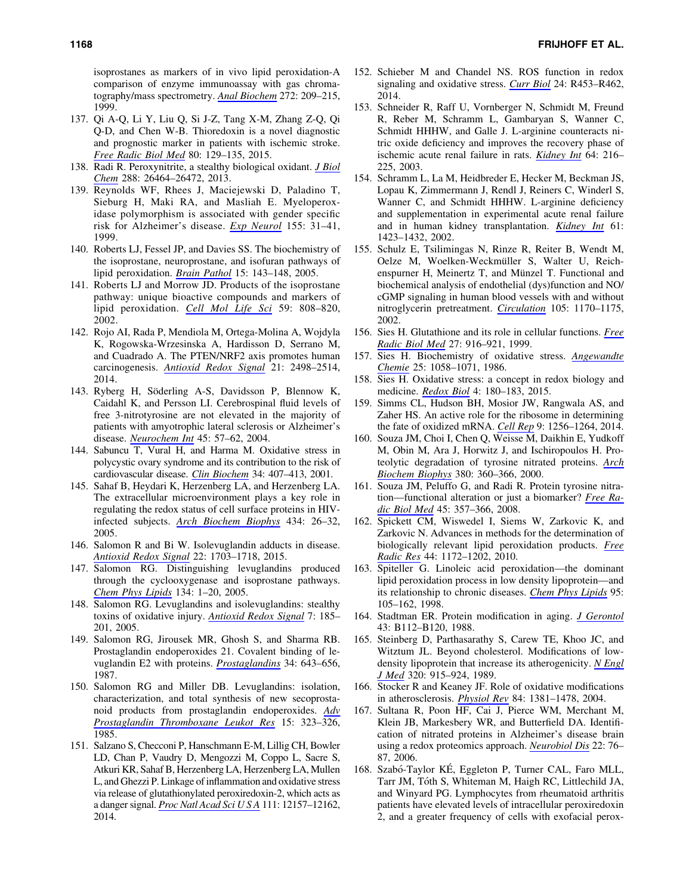isoprostanes as markers of in vivo lipid peroxidation-A comparison of enzyme immunoassay with gas chromatography/mass spectrometry. *[Anal Biochem](http://online.liebertpub.com/action/showLinks?pmid=10415090&crossref=10.1006%2Fabio.1999.4187)* 272: 209–215, 1999.

- 137. Qi A-Q, Li Y, Liu Q, Si J-Z, Tang X-M, Zhang Z-Q, Qi Q-D, and Chen W-B. Thioredoxin is a novel diagnostic and prognostic marker in patients with ischemic stroke. *[Free Radic Biol Med](http://online.liebertpub.com/action/showLinks?pmid=25555670&crossref=10.1016%2Fj.freeradbiomed.2014.12.021)* 80: 129–135, 2015.
- 138. Radi R. Peroxynitrite, a stealthy biological oxidant. *[J Biol](http://online.liebertpub.com/action/showLinks?pmid=23861390&crossref=10.1074%2Fjbc.R113.472936) [Chem](http://online.liebertpub.com/action/showLinks?pmid=23861390&crossref=10.1074%2Fjbc.R113.472936)* 288: 26464–26472, 2013.
- 139. Reynolds WF, Rhees J, Maciejewski D, Paladino T, Sieburg H, Maki RA, and Masliah E. Myeloperoxidase polymorphism is associated with gender specific risk for Alzheimer's disease. *[Exp Neurol](http://online.liebertpub.com/action/showLinks?pmid=9918702&crossref=10.1006%2Fexnr.1998.6977)* 155: 31–41, 1999.
- 140. Roberts LJ, Fessel JP, and Davies SS. The biochemistry of the isoprostane, neuroprostane, and isofuran pathways of lipid peroxidation. *[Brain Pathol](http://online.liebertpub.com/action/showLinks?pmid=15912887&crossref=10.1111%2Fj.1750-3639.2005.tb00511.x)* 15: 143–148, 2005.
- 141. Roberts LJ and Morrow JD. Products of the isoprostane pathway: unique bioactive compounds and markers of lipid peroxidation. *[Cell Mol Life Sci](http://online.liebertpub.com/action/showLinks?pmid=12088281&crossref=10.1007%2Fs00018-002-8469-8)* 59: 808–820, 2002.
- 142. Rojo AI, Rada P, Mendiola M, Ortega-Molina A, Wojdyla K, Rogowska-Wrzesinska A, Hardisson D, Serrano M, and Cuadrado A. The PTEN/NRF2 axis promotes human carcinogenesis. *[Antioxid Redox Signal](http://online.liebertpub.com/action/showLinks?system=10.1089%2Fars.2014.5843&pmid=24892215)* 21: 2498–2514, 2014.
- 143. Ryberg H, Söderling A-S, Davidsson P, Blennow K, Caidahl K, and Persson LI. Cerebrospinal fluid levels of free 3-nitrotyrosine are not elevated in the majority of patients with amyotrophic lateral sclerosis or Alzheimer's disease. *[Neurochem Int](http://online.liebertpub.com/action/showLinks?pmid=15082222&crossref=10.1016%2Fj.neuint.2003.12.012)* 45: 57–62, 2004.
- 144. Sabuncu T, Vural H, and Harma M. Oxidative stress in polycystic ovary syndrome and its contribution to the risk of cardiovascular disease. *[Clin Biochem](http://online.liebertpub.com/action/showLinks?pmid=11522279&crossref=10.1016%2FS0009-9120%2801%2900245-4)* 34: 407–413, 2001.
- 145. Sahaf B, Heydari K, Herzenberg LA, and Herzenberg LA. The extracellular microenvironment plays a key role in regulating the redox status of cell surface proteins in HIVinfected subjects. *[Arch Biochem Biophys](http://online.liebertpub.com/action/showLinks?pmid=15629105&crossref=10.1016%2Fj.abb.2004.11.015)* 434: 26–32, 2005.
- 146. Salomon R and Bi W. Isolevuglandin adducts in disease. *[Antioxid Redox Signal](http://online.liebertpub.com/action/showLinks?system=10.1089%2Fars.2014.6154&pmid=25557218)* 22: 1703–1718, 2015.
- 147. Salomon RG. Distinguishing levuglandins produced through the cyclooxygenase and isoprostane pathways. *[Chem Phys Lipids](http://online.liebertpub.com/action/showLinks?pmid=15752459&crossref=10.1016%2Fj.chemphyslip.2004.12.003)* 134: 1–20, 2005.
- 148. Salomon RG. Levuglandins and isolevuglandins: stealthy toxins of oxidative injury. *[Antioxid Redox Signal](http://online.liebertpub.com/action/showLinks?system=10.1089%2Fars.2005.7.185&pmid=15650407)* 7: 185– 201, 2005.
- 149. Salomon RG, Jirousek MR, Ghosh S, and Sharma RB. Prostaglandin endoperoxides 21. Covalent binding of levuglandin E2 with proteins. *[Prostaglandins](http://online.liebertpub.com/action/showLinks?pmid=3481092&crossref=10.1016%2F0090-6980%2887%2990289-9)* 34: 643–656, 1987.
- 150. Salomon RG and Miller DB. Levuglandins: isolation, characterization, and total synthesis of new secoprostanoid products from prostaglandin endoperoxides. *[Adv](http://online.liebertpub.com/action/showLinks?pmid=2936114) [Prostaglandin Thromboxane Leukot Res](http://online.liebertpub.com/action/showLinks?pmid=2936114)* 15: 323–326, 1985.
- 151. Salzano S, Checconi P, Hanschmann E-M, Lillig CH, Bowler LD, Chan P, Vaudry D, Mengozzi M, Coppo L, Sacre S, Atkuri KR, Sahaf B, Herzenberg LA, Herzenberg LA, Mullen L, and Ghezzi P. Linkage of inflammation and oxidative stress via release of glutathionylated peroxiredoxin-2, which acts as a danger signal. *[Proc Natl Acad Sci U S A](http://online.liebertpub.com/action/showLinks?pmid=25097261&crossref=10.1073%2Fpnas.1401712111)* 111: 12157–12162, 2014.
- 152. Schieber M and Chandel NS. ROS function in redox signaling and oxidative stress. *[Curr Biol](http://online.liebertpub.com/action/showLinks?pmid=24845678&crossref=10.1016%2Fj.cub.2014.03.034)* 24: R453–R462, 2014.
- 153. Schneider R, Raff U, Vornberger N, Schmidt M, Freund R, Reber M, Schramm L, Gambaryan S, Wanner C, Schmidt HHHW, and Galle J. L-arginine counteracts nitric oxide deficiency and improves the recovery phase of ischemic acute renal failure in rats. *[Kidney Int](http://online.liebertpub.com/action/showLinks?pmid=12787412&crossref=10.1046%2Fj.1523-1755.2003.00063.x)* 64: 216– 225, 2003.
- 154. Schramm L, La M, Heidbreder E, Hecker M, Beckman JS, Lopau K, Zimmermann J, Rendl J, Reiners C, Winderl S, Wanner C, and Schmidt HHHW. L-arginine deficiency and supplementation in experimental acute renal failure and in human kidney transplantation. *[Kidney Int](http://online.liebertpub.com/action/showLinks?pmid=11918749&crossref=10.1046%2Fj.1523-1755.2002.00268.x)* 61: 1423–1432, 2002.
- 155. Schulz E, Tsilimingas N, Rinze R, Reiter B, Wendt M, Oelze M, Woelken-Weckmüller S, Walter U, Reichenspurner H, Meinertz T, and Münzel T. Functional and biochemical analysis of endothelial (dys)function and NO/ cGMP signaling in human blood vessels with and without nitroglycerin pretreatment. *[Circulation](http://online.liebertpub.com/action/showLinks?pmid=11889009&crossref=10.1161%2Fhc1002.105186)* 105: 1170–1175, 2002.
- 156. Sies H. Glutathione and its role in cellular functions. *[Free](http://online.liebertpub.com/action/showLinks?pmid=10569624&crossref=10.1016%2FS0891-5849%2899%2900177-X) [Radic Biol Med](http://online.liebertpub.com/action/showLinks?pmid=10569624&crossref=10.1016%2FS0891-5849%2899%2900177-X)* 27: 916–921, 1999.
- 157. Sies H. Biochemistry of oxidative stress. *[Angewandte](http://online.liebertpub.com/action/showLinks?crossref=10.1002%2Fanie.198610581) [Chemie](http://online.liebertpub.com/action/showLinks?crossref=10.1002%2Fanie.198610581)* 25: 1058–1071, 1986.
- 158. Sies H. Oxidative stress: a concept in redox biology and medicine. *[Redox Biol](http://online.liebertpub.com/action/showLinks?pmid=25588755&crossref=10.1016%2Fj.redox.2015.01.002)* 4: 180–183, 2015.
- 159. Simms CL, Hudson BH, Mosior JW, Rangwala AS, and Zaher HS. An active role for the ribosome in determining the fate of oxidized mRNA. *[Cell Rep](http://online.liebertpub.com/action/showLinks?pmid=25456128&crossref=10.1016%2Fj.celrep.2014.10.042)* 9: 1256–1264, 2014.
- 160. Souza JM, Choi I, Chen Q, Weisse M, Daikhin E, Yudkoff M, Obin M, Ara J, Horwitz J, and Ischiropoulos H. Proteolytic degradation of tyrosine nitrated proteins. *[Arch](http://online.liebertpub.com/action/showLinks?pmid=10933892&crossref=10.1006%2Fabbi.2000.1940) [Biochem Biophys](http://online.liebertpub.com/action/showLinks?pmid=10933892&crossref=10.1006%2Fabbi.2000.1940)* 380: 360–366, 2000.
- 161. Souza JM, Peluffo G, and Radi R. Protein tyrosine nitration—functional alteration or just a biomarker? *[Free Ra](http://online.liebertpub.com/action/showLinks?pmid=18460345&crossref=10.1016%2Fj.freeradbiomed.2008.04.010)[dic Biol Med](http://online.liebertpub.com/action/showLinks?pmid=18460345&crossref=10.1016%2Fj.freeradbiomed.2008.04.010)* 45: 357–366, 2008.
- 162. Spickett CM, Wiswedel I, Siems W, Zarkovic K, and Zarkovic N. Advances in methods for the determination of biologically relevant lipid peroxidation products. *[Free](http://online.liebertpub.com/action/showLinks?pmid=20836661&crossref=10.3109%2F10715762.2010.498476) [Radic Res](http://online.liebertpub.com/action/showLinks?pmid=20836661&crossref=10.3109%2F10715762.2010.498476)* 44: 1172–1202, 2010.
- 163. Spiteller G. Linoleic acid peroxidation—the dominant lipid peroxidation process in low density lipoprotein—and its relationship to chronic diseases. *[Chem Phys Lipids](http://online.liebertpub.com/action/showLinks?pmid=9853364&crossref=10.1016%2FS0009-3084%2898%2900091-7)* 95: 105–162, 1998.
- 164. Stadtman ER. Protein modification in aging. *[J Gerontol](http://online.liebertpub.com/action/showLinks?pmid=3047204&crossref=10.1093%2Fgeronj%2F43.5.B112)* 43: B112–B120, 1988.
- 165. Steinberg D, Parthasarathy S, Carew TE, Khoo JC, and Witztum JL. Beyond cholesterol. Modifications of lowdensity lipoprotein that increase its atherogenicity. *[N Engl](http://online.liebertpub.com/action/showLinks?pmid=2648148&crossref=10.1056%2FNEJM198901053200122) [J Med](http://online.liebertpub.com/action/showLinks?pmid=2648148&crossref=10.1056%2FNEJM198901053200122)* 320: 915–924, 1989.
- 166. Stocker R and Keaney JF. Role of oxidative modifications in atherosclerosis. *[Physiol Rev](http://online.liebertpub.com/action/showLinks?pmid=15383655&crossref=10.1152%2Fphysrev.00047.2003)* 84: 1381–1478, 2004.
- 167. Sultana R, Poon HF, Cai J, Pierce WM, Merchant M, Klein JB, Markesbery WR, and Butterfield DA. Identification of nitrated proteins in Alzheimer's disease brain using a redox proteomics approach. *[Neurobiol Dis](http://online.liebertpub.com/action/showLinks?pmid=16378731&crossref=10.1016%2Fj.nbd.2005.10.004)* 22: 76– 87, 2006.
- 168. Szabó-Taylor KÉ, Eggleton P, Turner CAL, Faro MLL, Tarr JM, Tóth S, Whiteman M, Haigh RC, Littlechild JA, and Winyard PG. Lymphocytes from rheumatoid arthritis patients have elevated levels of intracellular peroxiredoxin 2, and a greater frequency of cells with exofacial perox-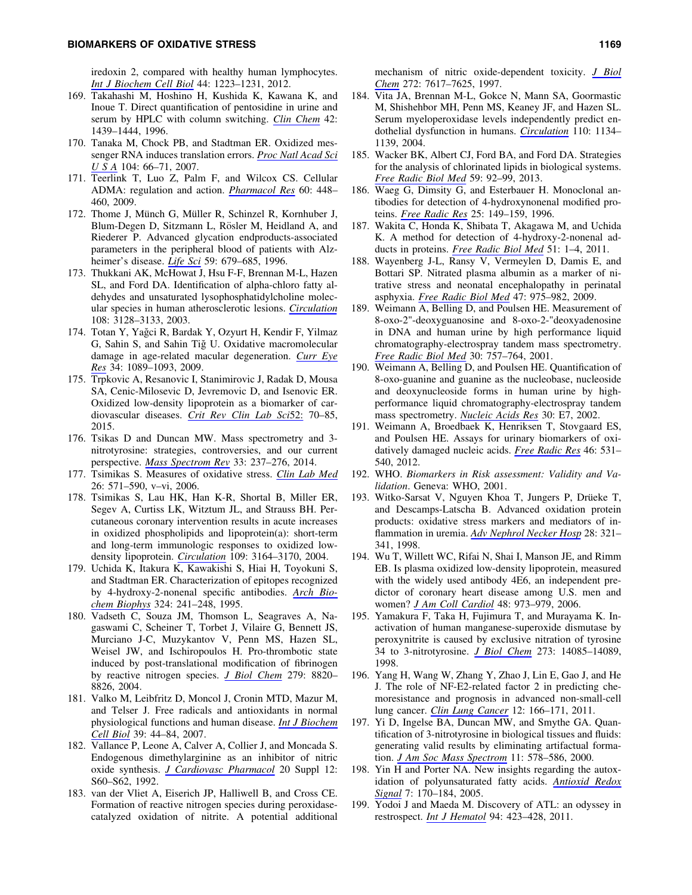iredoxin 2, compared with healthy human lymphocytes. *[Int J Biochem Cell Biol](http://online.liebertpub.com/action/showLinks?pmid=22565169&crossref=10.1016%2Fj.biocel.2012.04.016)* 44: 1223–1231, 2012.

- 169. Takahashi M, Hoshino H, Kushida K, Kawana K, and Inoue T. Direct quantification of pentosidine in urine and serum by HPLC with column switching. *[Clin Chem](http://online.liebertpub.com/action/showLinks?pmid=8787701)* 42: 1439–1444, 1996.
- 170. Tanaka M, Chock PB, and Stadtman ER. Oxidized messenger RNA induces translation errors. *[Proc Natl Acad Sci](http://online.liebertpub.com/action/showLinks?pmid=17190801&crossref=10.1073%2Fpnas.0609737104) [USA](http://online.liebertpub.com/action/showLinks?pmid=17190801&crossref=10.1073%2Fpnas.0609737104)* 104: 66–71, 2007.
- 171. Teerlink T, Luo Z, Palm F, and Wilcox CS. Cellular ADMA: regulation and action. *[Pharmacol Res](http://online.liebertpub.com/action/showLinks?pmid=19682580&crossref=10.1016%2Fj.phrs.2009.08.002)* 60: 448– 460, 2009.
- 172. Thome J, Münch G, Müller R, Schinzel R, Kornhuber J, Blum-Degen D, Sitzmann L, Rösler M, Heidland A, and Riederer P. Advanced glycation endproducts-associated parameters in the peripheral blood of patients with Alzheimer's disease. *[Life Sci](http://online.liebertpub.com/action/showLinks?pmid=8761018&crossref=10.1016%2F0024-3205%2896%2900349-9)* 59: 679–685, 1996.
- 173. Thukkani AK, McHowat J, Hsu F-F, Brennan M-L, Hazen SL, and Ford DA. Identification of alpha-chloro fatty aldehydes and unsaturated lysophosphatidylcholine molecular species in human atherosclerotic lesions. *[Circulation](http://online.liebertpub.com/action/showLinks?pmid=14638540&crossref=10.1161%2F01.CIR.0000104564.01539.6A)* 108: 3128–3133, 2003.
- 174. Totan Y, Yağci R, Bardak Y, Ozyurt H, Kendir F, Yilmaz G, Sahin S, and Sahin Tiğ U. Oxidative macromolecular damage in age-related macular degeneration. *[Curr Eye](http://online.liebertpub.com/action/showLinks?pmid=19958129&crossref=10.3109%2F02713680903353772) [Res](http://online.liebertpub.com/action/showLinks?pmid=19958129&crossref=10.3109%2F02713680903353772)* 34: 1089–1093, 2009.
- 175. Trpkovic A, Resanovic I, Stanimirovic J, Radak D, Mousa SA, Cenic-Milosevic D, Jevremovic D, and Isenovic ER. Oxidized low-density lipoprotein as a biomarker of cardiovascular diseases. *[Crit Rev Clin Lab Sci](http://online.liebertpub.com/action/showLinks?pmid=25537066&crossref=10.3109%2F10408363.2014.992063)*52: 70–85, 2015.
- 176. Tsikas D and Duncan MW. Mass spectrometry and 3 nitrotyrosine: strategies, controversies, and our current perspective. *[Mass Spectrom Rev](http://online.liebertpub.com/action/showLinks?pmid=24167057&crossref=10.1002%2Fmas.21396)* 33: 237–276, 2014.
- 177. Tsimikas S. Measures of oxidative stress. *[Clin Lab Med](http://online.liebertpub.com/action/showLinks?pmid=16938585&crossref=10.1016%2Fj.cll.2006.06.004)* 26: 571–590, v–vi, 2006.
- 178. Tsimikas S, Lau HK, Han K-R, Shortal B, Miller ER, Segev A, Curtiss LK, Witztum JL, and Strauss BH. Percutaneous coronary intervention results in acute increases in oxidized phospholipids and lipoprotein(a): short-term and long-term immunologic responses to oxidized lowdensity lipoprotein. *[Circulation](http://online.liebertpub.com/action/showLinks?pmid=15184281&crossref=10.1161%2F01.CIR.0000130844.01174.55)* 109: 3164–3170, 2004.
- 179. Uchida K, Itakura K, Kawakishi S, Hiai H, Toyokuni S, and Stadtman ER. Characterization of epitopes recognized by 4-hydroxy-2-nonenal specific antibodies. *[Arch Bio](http://online.liebertpub.com/action/showLinks?pmid=8554315&crossref=10.1006%2Fabbi.1995.0036)[chem Biophys](http://online.liebertpub.com/action/showLinks?pmid=8554315&crossref=10.1006%2Fabbi.1995.0036)* 324: 241–248, 1995.
- 180. Vadseth C, Souza JM, Thomson L, Seagraves A, Nagaswami C, Scheiner T, Torbet J, Vilaire G, Bennett JS, Murciano J-C, Muzykantov V, Penn MS, Hazen SL, Weisel JW, and Ischiropoulos H. Pro-thrombotic state induced by post-translational modification of fibrinogen by reactive nitrogen species. *[J Biol Chem](http://online.liebertpub.com/action/showLinks?pmid=14681238&crossref=10.1074%2Fjbc.M306101200)* 279: 8820– 8826, 2004.
- 181. Valko M, Leibfritz D, Moncol J, Cronin MTD, Mazur M, and Telser J. Free radicals and antioxidants in normal physiological functions and human disease. *[Int J Biochem](http://online.liebertpub.com/action/showLinks?pmid=16978905&crossref=10.1016%2Fj.biocel.2006.07.001) [Cell Biol](http://online.liebertpub.com/action/showLinks?pmid=16978905&crossref=10.1016%2Fj.biocel.2006.07.001)* 39: 44–84, 2007.
- 182. Vallance P, Leone A, Calver A, Collier J, and Moncada S. Endogenous dimethylarginine as an inhibitor of nitric oxide synthesis. *[J Cardiovasc Pharmacol](http://online.liebertpub.com/action/showLinks?crossref=10.1097%2F00005344-199204002-00018)* 20 Suppl 12: S60–S62, 1992.
- 183. van der Vliet A, Eiserich JP, Halliwell B, and Cross CE. Formation of reactive nitrogen species during peroxidasecatalyzed oxidation of nitrite. A potential additional

mechanism of nitric oxide-dependent toxicity. *[J Biol](http://online.liebertpub.com/action/showLinks?pmid=9065416&crossref=10.1074%2Fjbc.272.12.7617) [Chem](http://online.liebertpub.com/action/showLinks?pmid=9065416&crossref=10.1074%2Fjbc.272.12.7617)* 272: 7617–7625, 1997.

- 184. Vita JA, Brennan M-L, Gokce N, Mann SA, Goormastic M, Shishehbor MH, Penn MS, Keaney JF, and Hazen SL. Serum myeloperoxidase levels independently predict endothelial dysfunction in humans. *[Circulation](http://online.liebertpub.com/action/showLinks?pmid=15326065&crossref=10.1161%2F01.CIR.0000140262.20831.8F)* 110: 1134– 1139, 2004.
- 185. Wacker BK, Albert CJ, Ford BA, and Ford DA. Strategies for the analysis of chlorinated lipids in biological systems. *[Free Radic Biol Med](http://online.liebertpub.com/action/showLinks?pmid=22713364&crossref=10.1016%2Fj.freeradbiomed.2012.06.013)* 59: 92–99, 2013.
- 186. Waeg G, Dimsity G, and Esterbauer H. Monoclonal antibodies for detection of 4-hydroxynonenal modified proteins. *[Free Radic Res](http://online.liebertpub.com/action/showLinks?pmid=8885333&crossref=10.3109%2F10715769609149920)* 25: 149–159, 1996.
- 187. Wakita C, Honda K, Shibata T, Akagawa M, and Uchida K. A method for detection of 4-hydroxy-2-nonenal adducts in proteins. *[Free Radic Biol Med](http://online.liebertpub.com/action/showLinks?pmid=21457776&crossref=10.1016%2Fj.freeradbiomed.2011.02.037)* 51: 1–4, 2011.
- 188. Wayenberg J-L, Ransy V, Vermeylen D, Damis E, and Bottari SP. Nitrated plasma albumin as a marker of nitrative stress and neonatal encephalopathy in perinatal asphyxia. *[Free Radic Biol Med](http://online.liebertpub.com/action/showLinks?pmid=19591921&crossref=10.1016%2Fj.freeradbiomed.2009.07.003)* 47: 975–982, 2009.
- 189. Weimann A, Belling D, and Poulsen HE. Measurement of 8-oxo-2"-deoxyguanosine and 8-oxo-2-"deoxyadenosine in DNA and human urine by high performance liquid chromatography-electrospray tandem mass spectrometry. *[Free Radic Biol Med](http://online.liebertpub.com/action/showLinks?pmid=11275475&crossref=10.1016%2FS0891-5849%2801%2900462-2)* 30: 757–764, 2001.
- 190. Weimann A, Belling D, and Poulsen HE. Quantification of 8-oxo-guanine and guanine as the nucleobase, nucleoside and deoxynucleoside forms in human urine by highperformance liquid chromatography-electrospray tandem mass spectrometry. *[Nucleic Acids Res](http://online.liebertpub.com/action/showLinks?pmid=11788733&crossref=10.1093%2Fnar%2F30.2.e7)* 30: E7, 2002.
- 191. Weimann A, Broedbaek K, Henriksen T, Stovgaard ES, and Poulsen HE. Assays for urinary biomarkers of oxidatively damaged nucleic acids. *[Free Radic Res](http://online.liebertpub.com/action/showLinks?pmid=22352957&crossref=10.3109%2F10715762.2011.647693)* 46: 531– 540, 2012.
- 192. WHO. *Biomarkers in Risk assessment: Validity and Validation*. Geneva: WHO, 2001.
- 193. Witko-Sarsat V, Nguyen Khoa T, Jungers P, Drüeke T, and Descamps-Latscha B. Advanced oxidation protein products: oxidative stress markers and mediators of inflammation in uremia. *[Adv Nephrol Necker Hosp](http://online.liebertpub.com/action/showLinks?pmid=9889997)* 28: 321– 341, 1998.
- 194. Wu T, Willett WC, Rifai N, Shai I, Manson JE, and Rimm EB. Is plasma oxidized low-density lipoprotein, measured with the widely used antibody 4E6, an independent predictor of coronary heart disease among U.S. men and women? *[J Am Coll Cardiol](http://online.liebertpub.com/action/showLinks?pmid=16949489&crossref=10.1016%2Fj.jacc.2006.03.057)* 48: 973–979, 2006.
- 195. Yamakura F, Taka H, Fujimura T, and Murayama K. Inactivation of human manganese-superoxide dismutase by peroxynitrite is caused by exclusive nitration of tyrosine 34 to 3-nitrotyrosine. *[J Biol Chem](http://online.liebertpub.com/action/showLinks?pmid=9603906&crossref=10.1074%2Fjbc.273.23.14085)* 273: 14085–14089, 1998.
- 196. Yang H, Wang W, Zhang Y, Zhao J, Lin E, Gao J, and He J. The role of NF-E2-related factor 2 in predicting chemoresistance and prognosis in advanced non-small-cell lung cancer. *[Clin Lung Cancer](http://online.liebertpub.com/action/showLinks?pmid=21663859&crossref=10.1016%2Fj.cllc.2011.03.012)* 12: 166–171, 2011.
- 197. Yi D, Ingelse BA, Duncan MW, and Smythe GA. Quantification of 3-nitrotyrosine in biological tissues and fluids: generating valid results by eliminating artifactual formation. *[J Am Soc Mass Spectrom](http://online.liebertpub.com/action/showLinks?pmid=10833032&crossref=10.1016%2FS1044-0305%2800%2900113-6)* 11: 578–586, 2000.
- 198. Yin H and Porter NA. New insights regarding the autoxidation of polyunsaturated fatty acids. *[Antioxid Redox](http://online.liebertpub.com/action/showLinks?system=10.1089%2Fars.2005.7.170&pmid=15650406) [Signal](http://online.liebertpub.com/action/showLinks?system=10.1089%2Fars.2005.7.170&pmid=15650406)* 7: 170–184, 2005.
- 199. Yodoi J and Maeda M. Discovery of ATL: an odyssey in restrospect. *[Int J Hematol](http://online.liebertpub.com/action/showLinks?pmid=22068231&crossref=10.1007%2Fs12185-011-0957-x)* 94: 423–428, 2011.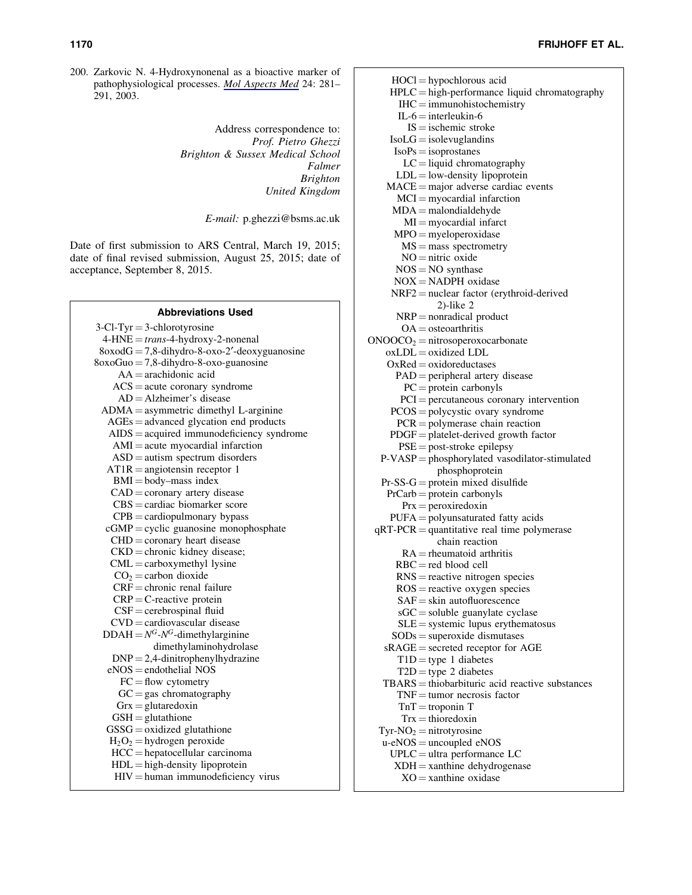200. Zarkovic N. 4-Hydroxynonenal as a bioactive marker of pathophysiological processes. *[Mol Aspects Med](http://online.liebertpub.com/action/showLinks?pmid=12893006&crossref=10.1016%2FS0098-2997%2803%2900023-2)* 24: 281– 291, 2003.

> Address correspondence to: *Prof. Pietro Ghezzi Brighton & Sussex Medical School Falmer Brighton United Kingdom*

> > *E-mail:* p.ghezzi@bsms.ac.uk

Date of first submission to ARS Central, March 19, 2015; date of final revised submission, August 25, 2015; date of acceptance, September 8, 2015.

| <b>Abbreviations Used</b>                       |
|-------------------------------------------------|
| $3$ -Cl-Tyr = 3-chlorotyrosine                  |
| 4-HNE = trans-4-hydroxy-2-nonenal               |
| $8oxodG = 7,8$ -dihydro-8-oxo-2'-deoxyguanosine |
| $8oxoGuo = 7,8$ -dihydro-8-oxo-guanosine        |
| $AA = arachidonic acid$                         |
| $ACS = acute coronary syndrome$                 |
| $AD = Alzheimer's$ disease                      |
| ADMA = asymmetric dimethyl L-arginine           |
| $AGEs = advanced$ glycation end products        |
| $AIDS = acquired immunodeficiency syndrome$     |
| $AMI = acute$ myocardial infarction             |
| $ASD =$ autism spectrum disorders               |
| $AT1R = angiotensin receptor 1$                 |
| $BMI = body - mass$ index                       |
| $CAD = \text{coronary artery disease}$          |
| $CRS =$ cardiac biomarker score                 |
| $CPB =$ cardiopulmonary bypass                  |
| $cGMP = cyclic$ guanosine monophosphate         |
| $CHD = \text{coronary heart disease}$           |
| $CKD =$ chronic kidney disease;                 |
| $CML =$ carboxymethyl lysine                    |
| $CO2 =$ carbon dioxide                          |
| $CRF =$ chronic renal failure                   |
| $CRP = C$ -reactive protein                     |
| $CSF =$ cerebrospinal fluid                     |
| $CVD =$ cardiovascular disease                  |
| $DDAH = N^G - N^G$ -dimethylarginine            |
| dimethylaminohydrolase                          |
| $DNP = 2,4$ -dinitrophenylhydrazine             |
| $eNOS =$ endothelial NOS                        |
| $FC = flow$ cytometry                           |
| $GC = gas$ chromatography                       |
| $Grx = glutaredoxin$                            |
| $GSH =$ glutathione                             |
| $GSSG =$ oxidized glutathione                   |
| $H_2O_2$ = hydrogen peroxide                    |
| $HCC = hepatocellular carcinoma$                |
| $HDL = high-density lipoprotein$                |
| $HIV =$ human immunodeficiency virus            |

 $HOCI = hypochlorous acid$  $HPLC = high-performance liquid chromatography$  $IHC = immunohistochemistry$  $IL-6$  = interleukin-6  $IS = i$  ischemic stroke  $IsoLG = isolevuglandins$  $IsoPs = isoprostanes$  $LC =$  liquid chromatography  $LDL = low$ -density lipoprotein  $MACE = major$  adverse cardiac events  $MCI = myocardial infarction$  $MDA =$  malondialdehyde  $MI = m\text{vocardial infarct}$  $MPO = myeloperoxidase$  $MS = mass$  spectrometry  $NO =$ nitric oxide  $NOS = NO$  synthase  $NOX = NADPH$  oxidase  $NRF2 =$  nuclear factor (erythroid-derived 2)-like 2  $NRP =$  nonradical product  $OA =$  osteoarthritis  $ONOOCO<sub>2</sub> = nitrosoperoxocarbonate$  $oxLDL = oxidized LDL$  $OxRed = oxidoreductases$  $PAD =$  peripheral artery disease  $PC =$ protein carbonyls  $PCI =$  percutaneous coronary intervention  $PCOS = polycystic$  ovary syndrome  $PCR = polymerase chain reaction$  $PDGF = platelet-derived growth factor$  $PSE = post-stroke$  epilepsy  $P-VASP = phosphorylated vasodilator-stimulated$ phosphoprotein  $Pr\text{-SS-G} =$  protein mixed disulfide  $PrCarb = protein carbonyls$  $Prx = peroxiredoxin$  $PUFA = polyunsaturated fatty acids$  $qRT-PCR = quantitative$  real time polymerase chain reaction  $RA =$  rheumatoid arthritis  $RBC = red blood cell$  $RNS =$  reactive nitrogen species  $ROS = reactive$  oxygen species  $SAF =$ skin autofluorescence  $sGC =$ soluble guanylate cyclase  $SLE =$  systemic lupus erythematosus  $SODs = superoxide$  dismutases  $sRAGE = secreted receptor for AGE$  $T1D =$ type 1 diabetes  $T2D = type 2 diabetes$  $TBARS = *thiobarbituric acid reactive substances*$  $TNF =$  tumor necrosis factor  $TnT =$ troponin T  $Trx = thioredoxin$  $Tyr-NO<sub>2</sub> = nitrotyrosine$  $u$ -eNOS = uncoupled eNOS  $UPLC =$ ultra performance LC  $XDH =$ xanthine dehydrogenase  $XO =$ xanthine oxidase